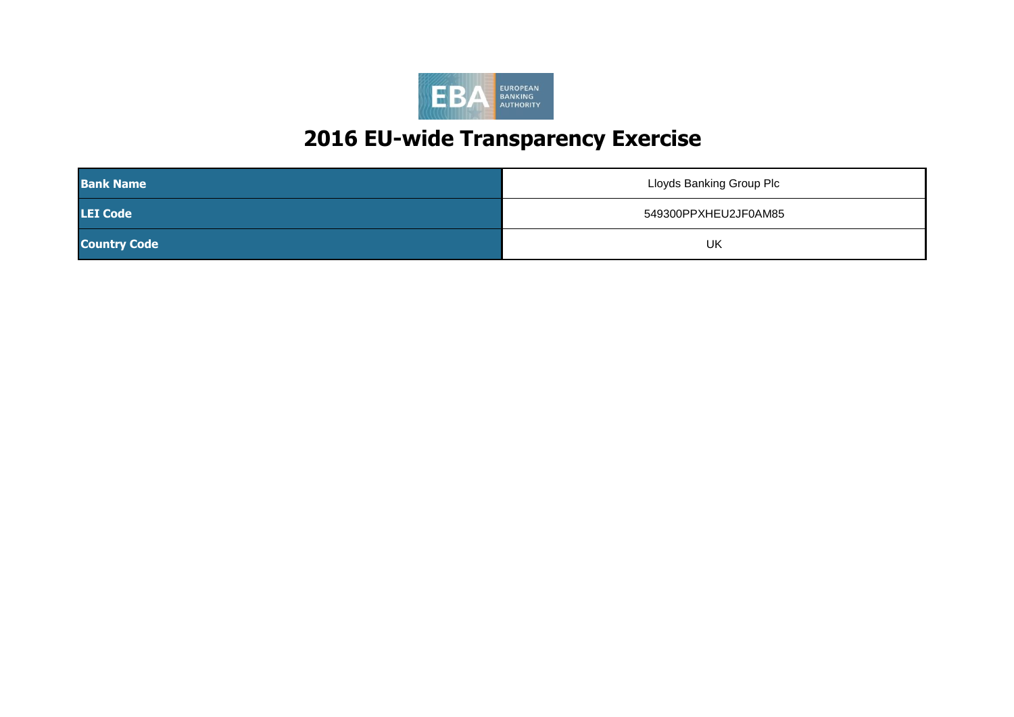

| <b>Bank Name</b>    | Lloyds Banking Group Plc |
|---------------------|--------------------------|
| <b>LEI Code</b>     | 549300PPXHEU2JF0AM85     |
| <b>Country Code</b> | UK                       |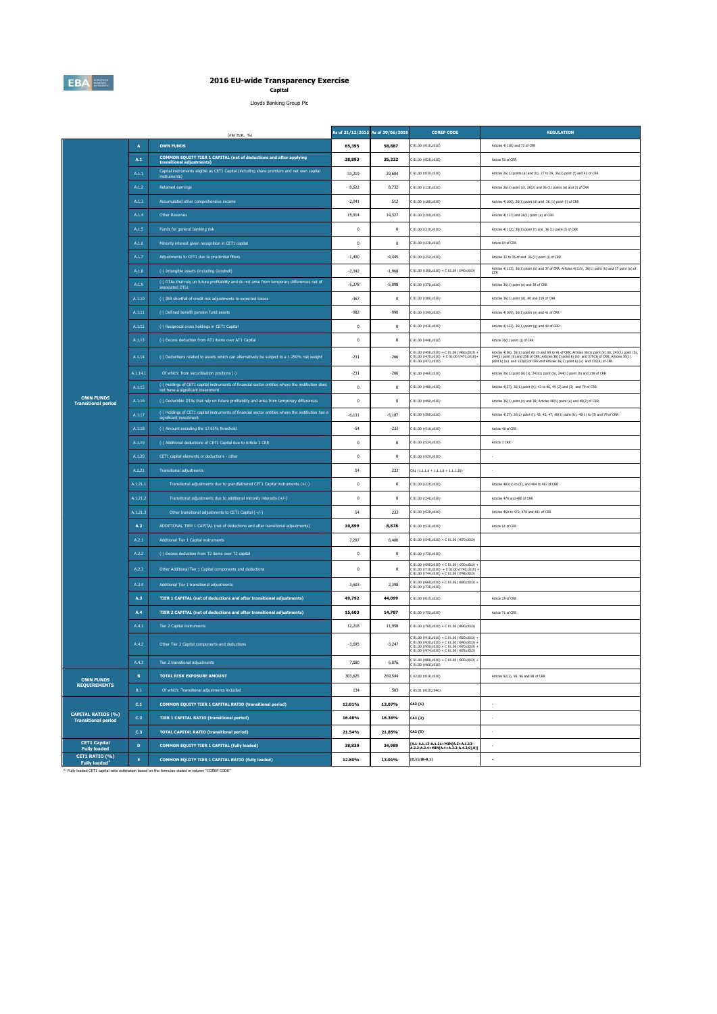

## **2016 EU-wide Transparency Exercise Capital**

Lloyds Banking Group Plc

|                                                         |                | (mln EUR, %)                                                                                                                           |              | As of 31/12/2015 As of 30/06/2016 | <b>COREP CODE</b>                                                                                                                                                                      | <b>REGULATION</b>                                                                                                                                                                                                                                                                                 |
|---------------------------------------------------------|----------------|----------------------------------------------------------------------------------------------------------------------------------------|--------------|-----------------------------------|----------------------------------------------------------------------------------------------------------------------------------------------------------------------------------------|---------------------------------------------------------------------------------------------------------------------------------------------------------------------------------------------------------------------------------------------------------------------------------------------------|
|                                                         | $\overline{A}$ | <b>OWN FUNDS</b>                                                                                                                       | 65.395       | 58,887                            | C 01.00 (r010,c010)                                                                                                                                                                    | Articles 4(118) and 72 of CRR                                                                                                                                                                                                                                                                     |
|                                                         | A.1            | COMMON EQUITY TIER 1 CAPITAL (net of deductions and after applying<br>transitional adjustments)                                        | 38,893       | 35,222                            | C 01.00 (r020.c010)                                                                                                                                                                    | Article 50 of CRR                                                                                                                                                                                                                                                                                 |
|                                                         | A.1.1          | Capital instruments eligible as CET1 Capital (including share premium and net own capital<br>instruments)                              | 33,219       | 29,604                            | C 01.00 (r030,c010)                                                                                                                                                                    | Articles 26(1) points (a) and (b), 27 to 29, 36(1) point (f) and 42 of CRR                                                                                                                                                                                                                        |
| <b>OWN FUNDS</b><br><b>Transitional period</b>          | A.1.2          | Retained earnings                                                                                                                      | 8.622        | 8.732                             | C 01.00 (r130.c010)                                                                                                                                                                    | Articles 26(1) point (c), 26(2) and 36 (1) points (a) and (f) of CRR                                                                                                                                                                                                                              |
|                                                         | A.1.3          | Accumulated other comprehensive income                                                                                                 | $-2.041$     | 512                               | C 01.00 (r180,c010)                                                                                                                                                                    | Articles 4(100), 26(1) point (d) and 36 (1) point (l) of CRR                                                                                                                                                                                                                                      |
|                                                         | A.1.4          | <b>Other Reserves</b>                                                                                                                  | 15,914       | 14,327                            | C 01.00 (r200,c010)                                                                                                                                                                    | Articles 4(117) and 26(1) point (e) of CRR                                                                                                                                                                                                                                                        |
|                                                         | A.1.5          | Funds for general banking risk                                                                                                         | $\mathbf 0$  | $\,0\,$                           | C 01.00 (r210,c010)                                                                                                                                                                    | Articles 4(112), 26(1) point (f) and 36 (1) point (l) of CRR                                                                                                                                                                                                                                      |
|                                                         | A.1.6          | Minority interest given recognition in CET1 capital                                                                                    | $\mathbf{0}$ | $\mathbf{0}$                      | 01.00 (r230.c010)                                                                                                                                                                      | Article 84 of CRR                                                                                                                                                                                                                                                                                 |
|                                                         | A.1.7          | Adjustments to CET1 due to prudential filters                                                                                          | $-1,490$     | $-4,445$                          | C 01.00 (r250,c010)                                                                                                                                                                    | Articles 32 to 35 of and 36 (1) point (I) of CRR                                                                                                                                                                                                                                                  |
|                                                         | A.1.8          | (-) Intangible assets (including Goodwill)                                                                                             | $-2,342$     | $-1,968$                          | $C 01.00 (r300, c010) + C 01.00 (r340, c010)$                                                                                                                                          | Articles 4(113), 36(1) point (b) and 37 of CRR. Articles 4(115), 36(1) point (b) and 37 point (a) of<br>CCR                                                                                                                                                                                       |
|                                                         | A.1.9          | (-) DTAs that rely on future profitability and do not arise from temporary differences net of<br>associated DTLs                       | $-5.278$     | $-5.098$                          | C 01.00 (r370,c010)                                                                                                                                                                    | Articles 36(1) point (c) and 38 of CRR                                                                                                                                                                                                                                                            |
|                                                         | A.1.10         | (-) IRB shortfall of credit risk adjustments to expected losses                                                                        | $-367$       | $\,0\,$                           | 01.00 (r380,c010)                                                                                                                                                                      | Articles 36(1) point (d), 40 and 159 of CRR                                                                                                                                                                                                                                                       |
|                                                         | A.1.11         | (-) Defined benefit pension fund assets                                                                                                | $-982$       | $-990$                            | 01.00 (r390,c010)                                                                                                                                                                      | Articles 4(109), 36(1) point (e) and 41 of CRR                                                                                                                                                                                                                                                    |
|                                                         | A.1.12         | (-) Reciprocal cross holdings in CET1 Capital                                                                                          | $\mathbf{0}$ | $\mathbf{0}$                      | C 01.00 (r430,c010)                                                                                                                                                                    | Articles 4(122), 36(1) point (g) and 44 of CRR                                                                                                                                                                                                                                                    |
|                                                         | A.1.13         | (-) Excess deduction from AT1 items over AT1 Capital                                                                                   | $\,0\,$      | $\,0\,$                           | C 01.00 (r440,c010)                                                                                                                                                                    | Article 36(1) point (j) of CRR                                                                                                                                                                                                                                                                    |
|                                                         | A.1.14         | (-) Deductions related to assets which can alternatively be subject to a 1.250% risk weight                                            | $-231$       | $-266$                            | C 01.00 (r450,c010) + C 01.00 (r460,c010) +<br>$C 01.00 (r470, c010) + C 01.00 (r471, c010) +$<br>C 01.00 (r472,c010)                                                                  | Articles 4(36), 36(1) point (k) (i) and 89 to 91 of CRR; Articles 36(1) point (k) (i), 243(1) point (b),<br>244(1) point (b) and 258 of CRR; Articles 36(1) point k) (ii) and 379(3) of CRR; Articles 36(1)<br>point k) (iv) and 153(8) of CRR and Articles 36(1) point k) (v) and 155(4) of CRR. |
|                                                         | A.1.14.1       | Of which: from securitisation positions (-)                                                                                            | $-231$       | $-266$                            | C 01.00 (r460,c010)                                                                                                                                                                    | Articles 36(1) point (k) (ii), 243(1) point (b), 244(1) point (b) and 258 of CRR                                                                                                                                                                                                                  |
|                                                         | A.1.15         | (-) Holdings of CET1 capital instruments of financial sector entities where the institiution does<br>not have a significant investment | $\mathbf 0$  | $\,0\,$                           | C 01.00 (r480,c010)                                                                                                                                                                    | Articles 4(27), 36(1) point (h); 43 to 46, 49 (2) and (3) and 79 of CRR                                                                                                                                                                                                                           |
|                                                         | A.1.16         | (-) Deductible DTAs that rely on future profitability and arise from temporary differences                                             | $\,0\,$      | $\,0\,$                           | C 01.00 (r490,c010)                                                                                                                                                                    | Articles 36(1) point (c) and 38; Articles 48(1) point (a) and 48(2) of CRR                                                                                                                                                                                                                        |
|                                                         | A.1.17         | (-) Holdings of CET1 capital instruments of financial sector entities where the institiution has a<br>significant investment           | $-6,131$     | $-5.187$                          | C 01.00 (r500,c010)                                                                                                                                                                    | Articles 4(27); 36(1) point (i); 43, 45; 47; 48(1) point (b); 49(1) to (3) and 79 of CRR                                                                                                                                                                                                          |
|                                                         | A.1.18         | (-) Amount exceding the 17.65% threshold                                                                                               | $-54$        | $-233$                            | 01.00 (r510.c010)                                                                                                                                                                      | Article 48 of CRR                                                                                                                                                                                                                                                                                 |
|                                                         | A.1.19         | (-) Additional deductions of CET1 Capital due to Article 3 CRR                                                                         | $\mathbf 0$  | $\,0\,$                           | 01.00 (r524,c010)                                                                                                                                                                      | Article 3 CRR                                                                                                                                                                                                                                                                                     |
|                                                         | A.1.20         | CET1 capital elements or deductions - other                                                                                            | $\mathbf 0$  | $\theta$                          | C 01.00 (rS29,c010)                                                                                                                                                                    |                                                                                                                                                                                                                                                                                                   |
|                                                         | A.1.21         | <b>Transitional adjustments</b>                                                                                                        | 54           | 233                               | $CA1$ {1.1.1.6 + 1.1.1.8 + 1.1.1.26}                                                                                                                                                   |                                                                                                                                                                                                                                                                                                   |
|                                                         | A.1.21.1       | Transitional adjustments due to grandfathered CET1 Capital instruments (+/-)                                                           | $\,0\,$      | $\,0\,$                           | C 01.00 (r220,c010)                                                                                                                                                                    | Articles 483(1) to (3), and 484 to 487 of CRR                                                                                                                                                                                                                                                     |
|                                                         | A.1.21.2       | Transitional adjustments due to additional minority interests (+/-)                                                                    | $\bf{0}$     | $\bf{0}$                          | C 01.00 (r240,c010)                                                                                                                                                                    | Articles 479 and 480 of CRR                                                                                                                                                                                                                                                                       |
|                                                         | A.1.21.3       | Other transitional adjustments to CET1 Capital (+/-)                                                                                   | 54           | 233                               | C 01.00 (r520,c010)                                                                                                                                                                    | Articles 469 to 472, 478 and 481 of CRR                                                                                                                                                                                                                                                           |
|                                                         | A.2            | ADDITIONAL TIER 1 CAPITAL (net of deductions and after transitional adjustments)                                                       | 10,899       | 8,878                             | 01.00 (r530,c010)                                                                                                                                                                      | Article 61 of CRR                                                                                                                                                                                                                                                                                 |
|                                                         | A.2.1          | Additional Tier 1 Capital instruments                                                                                                  | 7,297        | 6,480                             | C 01.00 (r540,c010) + C 01.00 (r670,c010)                                                                                                                                              |                                                                                                                                                                                                                                                                                                   |
|                                                         | A.2.2          | (-) Excess deduction from T2 items over T2 capital                                                                                     | $\mathbf{0}$ | $\mathbf{0}$                      | C 01.00 (r720,c010)                                                                                                                                                                    |                                                                                                                                                                                                                                                                                                   |
|                                                         | A.2.3          | Other Additional Tier 1 Capital components and deductions                                                                              | $\pmb{0}$    | $\,0\,$                           | $C$ 01.00 (r690,c010) + C 01.00 (r700,c010) +<br>C 01.00 (r710,c010) + C 01.00 (r740,c010) +<br>$01.00 (r744, c010) + C 01.00 (r748, c010)$                                            |                                                                                                                                                                                                                                                                                                   |
|                                                         | A.2.4          | Additional Tier 1 transitional adjustments                                                                                             | 3.603        | 2.398                             | C 01.00 (r660,c010) + C 01.00 (r680,c010) +<br>(01.00 (r730.0010))                                                                                                                     |                                                                                                                                                                                                                                                                                                   |
|                                                         | A.3            | TIER 1 CAPITAL (net of deductions and after transitional adjustments)                                                                  | 49,792       | 44,099                            | 01.00 (r015,c010)                                                                                                                                                                      | Article 25 of CRR                                                                                                                                                                                                                                                                                 |
|                                                         | A.4            | TIER 2 CAPITAL (net of deductions and after transitional adjustments)                                                                  | 15,603       | 14,787                            | 01.00 (r750,c010)                                                                                                                                                                      | Article 71 of CRR                                                                                                                                                                                                                                                                                 |
|                                                         | A.4.1          | Tier 2 Canital instruments                                                                                                             | 12.218       | 11.958                            | C 01.00 (r760,c010) + C 01.00 (r890,c010)                                                                                                                                              |                                                                                                                                                                                                                                                                                                   |
|                                                         | A.4.2          | Other Tier 2 Capital components and deductions                                                                                         | $-3.695$     | $-3.247$                          | C 01.00 (r910,c010) + C 01.00 (r920,c010) +<br>C 01.00 (r930,c010) + C 01.00 (r940,c010) +<br>C 01.00 (r950,c010) + C 01.00 (r970,c010) +<br>C 01.00 (r974,c010) + C 01.00 (r978,c010) |                                                                                                                                                                                                                                                                                                   |
|                                                         | A.4.3          | Tier 2 transitional adjustments                                                                                                        | 7,080        | 6.076                             | $C 01.00 (r880, c010) + C 01.00 (r900, c010) +$<br>C 01.00 (r960,c010)                                                                                                                 |                                                                                                                                                                                                                                                                                                   |
| <b>OWN FUNDS</b>                                        | B              | <b>TOTAL RISK EXPOSURE AMOUNT</b>                                                                                                      | 303,625      | 269,544                           | C 02.00 (r010,c010)                                                                                                                                                                    | Articles 92(3), 95, 96 and 98 of CRR                                                                                                                                                                                                                                                              |
| <b>REQUIREMENTS</b>                                     | $\mathsf{B}.1$ | Of which: Transitional adjustments included                                                                                            | 134          | 583                               | C 05.01 (r010;c040)                                                                                                                                                                    |                                                                                                                                                                                                                                                                                                   |
|                                                         | C.1            | COMMON EQUITY TIER 1 CAPITAL RATIO (transitional period)                                                                               | 12.81%       | 13.07%                            | CA3 (1)                                                                                                                                                                                | $\overline{\phantom{a}}$                                                                                                                                                                                                                                                                          |
| <b>CAPITAL RATIOS (%)</b><br><b>Transitional period</b> | C.2            | <b>TIER 1 CAPITAL RATIO (transitional period)</b>                                                                                      | 16.40%       | 16.36%                            | CA3 {3}                                                                                                                                                                                |                                                                                                                                                                                                                                                                                                   |
|                                                         | C.3            | <b>TOTAL CAPITAL RATIO (transitional period)</b>                                                                                       | 21.54%       | 21.85%                            | CA3 (5)                                                                                                                                                                                | $\sim$                                                                                                                                                                                                                                                                                            |
| <b>CET1 Capital</b><br><b>Fully loaded</b>              | D              | COMMON EQUITY TIER 1 CAPITAL (fully loaded)                                                                                            | 38,839       | 34,989                            | [A.1-A.1.13-A.1.21+MIN(A.2+A.1.13-<br>$(2.2 - A.2.4 + MIN(A.4 + A.2.2 - A.4.3, 0), 0)]$                                                                                                |                                                                                                                                                                                                                                                                                                   |
| CET1 RATIO (%)<br>Fully loaded <sup>1</sup>             | $\mathbf{E}$   | COMMON EQUITY TIER 1 CAPITAL RATIO (fully loaded)                                                                                      | 12.80%       | 13.01%                            | $[D.1]/[B-B.1]$                                                                                                                                                                        |                                                                                                                                                                                                                                                                                                   |

(1) Fully loaded CET1 capital ratio estimation based on the formulae stated in column "COREP CODE"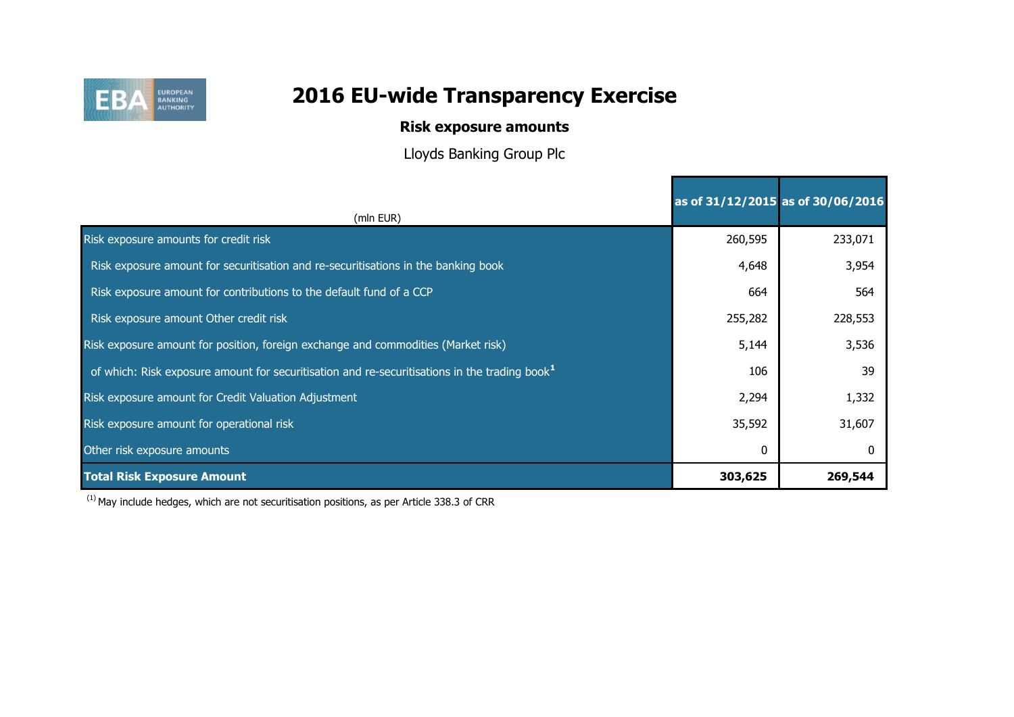

## **Risk exposure amounts**

Lloyds Banking Group Plc

|                                                                                                           | as of 31/12/2015 as of 30/06/2016 |         |
|-----------------------------------------------------------------------------------------------------------|-----------------------------------|---------|
| (mln EUR)                                                                                                 |                                   |         |
| Risk exposure amounts for credit risk                                                                     | 260,595                           | 233,071 |
| Risk exposure amount for securitisation and re-securitisations in the banking book                        | 4,648                             | 3,954   |
| Risk exposure amount for contributions to the default fund of a CCP                                       | 664                               | 564     |
| Risk exposure amount Other credit risk                                                                    | 255,282                           | 228,553 |
| Risk exposure amount for position, foreign exchange and commodities (Market risk)                         | 5,144                             | 3,536   |
| of which: Risk exposure amount for securitisation and re-securitisations in the trading book <sup>1</sup> | 106                               | 39      |
| Risk exposure amount for Credit Valuation Adjustment                                                      | 2,294                             | 1,332   |
| Risk exposure amount for operational risk                                                                 | 35,592                            | 31,607  |
| Other risk exposure amounts                                                                               | 0                                 |         |
| <b>Total Risk Exposure Amount</b>                                                                         | 303,625                           | 269,544 |

 $(1)$  May include hedges, which are not securitisation positions, as per Article 338.3 of CRR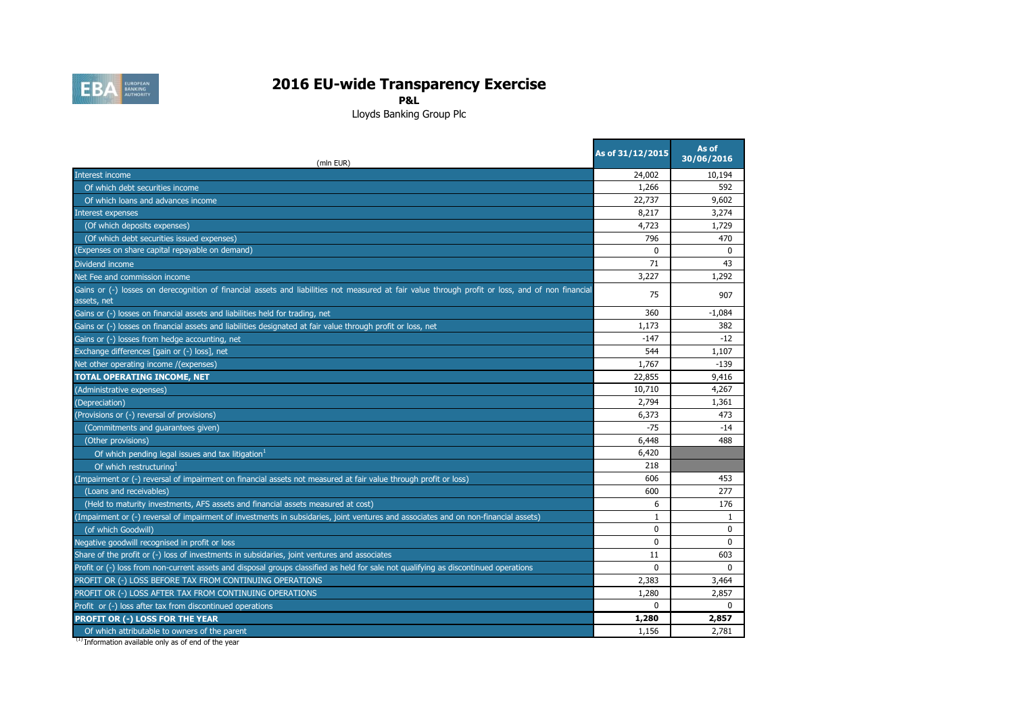

**P&L**

Lloyds Banking Group Plc

| (mln EUR)                                                                                                                                                       | As of 31/12/2015 | As of<br>30/06/2016 |
|-----------------------------------------------------------------------------------------------------------------------------------------------------------------|------------------|---------------------|
| Interest income                                                                                                                                                 | 24,002           | 10,194              |
| Of which debt securities income                                                                                                                                 | 1,266            | 592                 |
| Of which loans and advances income                                                                                                                              | 22,737           | 9,602               |
| Interest expenses                                                                                                                                               | 8,217            | 3,274               |
| (Of which deposits expenses)                                                                                                                                    | 4,723            | 1,729               |
| (Of which debt securities issued expenses)                                                                                                                      | 796              | 470                 |
| (Expenses on share capital repayable on demand)                                                                                                                 | $\Omega$         | $\Omega$            |
| Dividend income                                                                                                                                                 | 71               | 43                  |
| Net Fee and commission income                                                                                                                                   | 3,227            | 1,292               |
| Gains or (-) losses on derecognition of financial assets and liabilities not measured at fair value through profit or loss, and of non financial<br>assets, net | 75               | 907                 |
| Gains or (-) losses on financial assets and liabilities held for trading, net                                                                                   | 360              | $-1,084$            |
| Gains or (-) losses on financial assets and liabilities designated at fair value through profit or loss, net                                                    | 1,173            | 382                 |
| Gains or (-) losses from hedge accounting, net                                                                                                                  | $-147$           | $-12$               |
| Exchange differences [gain or (-) loss], net                                                                                                                    | 544              | 1,107               |
| Net other operating income /(expenses)                                                                                                                          | 1,767            | $-139$              |
| <b>TOTAL OPERATING INCOME, NET</b>                                                                                                                              | 22,855           | 9,416               |
| (Administrative expenses)                                                                                                                                       | 10,710           | 4,267               |
| (Depreciation)                                                                                                                                                  | 2,794            | 1,361               |
| (Provisions or (-) reversal of provisions)                                                                                                                      | 6,373            | 473                 |
| (Commitments and guarantees given)                                                                                                                              | $-75$            | $-14$               |
| (Other provisions)                                                                                                                                              | 6,448            | 488                 |
| Of which pending legal issues and tax litigation <sup>1</sup>                                                                                                   | 6,420            |                     |
| Of which restructuring                                                                                                                                          | 218              |                     |
| (Impairment or (-) reversal of impairment on financial assets not measured at fair value through profit or loss)                                                | 606              | 453                 |
| (Loans and receivables)                                                                                                                                         | 600              | 277                 |
| (Held to maturity investments, AFS assets and financial assets measured at cost)                                                                                | 6                | 176                 |
| (Impairment or (-) reversal of impairment of investments in subsidaries, joint ventures and associates and on non-financial assets)                             | 1                | 1                   |
| (of which Goodwill)                                                                                                                                             | $\Omega$         | 0                   |
| Negative goodwill recognised in profit or loss                                                                                                                  | $\Omega$         | $\Omega$            |
| Share of the profit or (-) loss of investments in subsidaries, joint ventures and associates                                                                    | 11               | 603                 |
| Profit or (-) loss from non-current assets and disposal groups classified as held for sale not qualifying as discontinued operations                            | $\Omega$         | $\Omega$            |
| PROFIT OR (-) LOSS BEFORE TAX FROM CONTINUING OPERATIONS                                                                                                        | 2,383            | 3,464               |
| PROFIT OR (-) LOSS AFTER TAX FROM CONTINUING OPERATIONS                                                                                                         | 1,280            | 2,857               |
| Profit or (-) loss after tax from discontinued operations                                                                                                       | $\Omega$         | $\Omega$            |
| PROFIT OR (-) LOSS FOR THE YEAR                                                                                                                                 | 1,280            | 2,857               |
| Of which attributable to owners of the parent                                                                                                                   | 1,156            | 2,781               |

<sup>(1)</sup> Information available only as of end of the year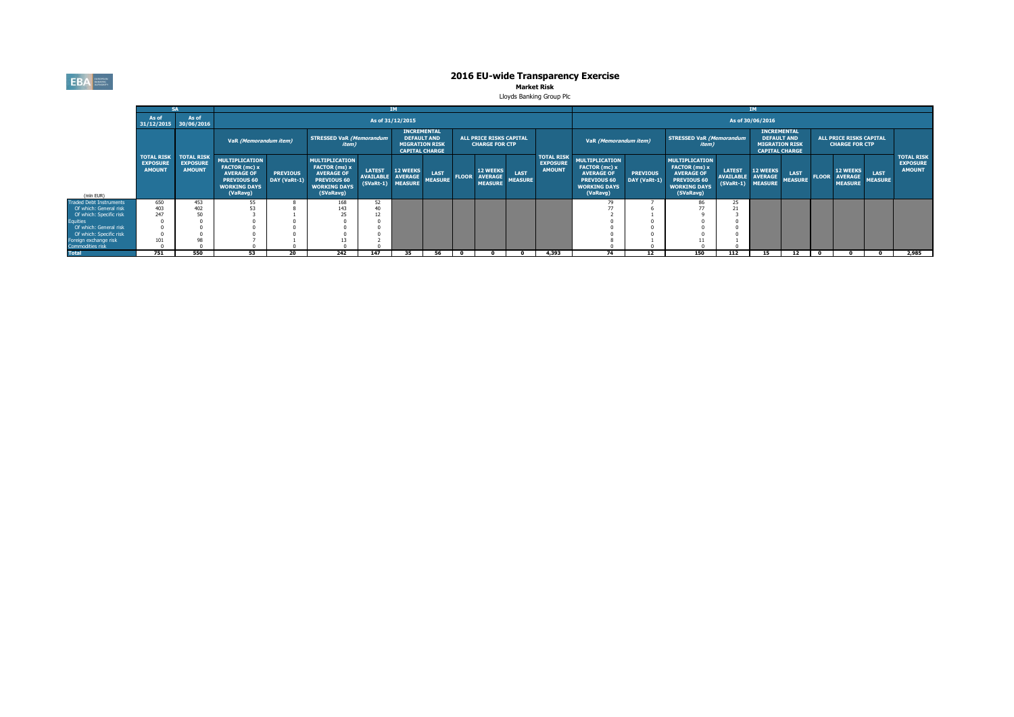**EBA** EUROPEAN

# **2016 EU-wide Transparency Exercise**<br>Market Risk

Lloyds Banking Group Plc

|                                                  |                                  |                                                                    |                                                                                                                      |                                 |                                                                                                                |                                                  |                                                                                            |                               |              |                                                         |                        |                                                       | <b>IM</b>                                                                                                            |                                 |                                                                                                                |                                                        |                                                                                            |                               |              |                                                         |                               |                                                       |
|--------------------------------------------------|----------------------------------|--------------------------------------------------------------------|----------------------------------------------------------------------------------------------------------------------|---------------------------------|----------------------------------------------------------------------------------------------------------------|--------------------------------------------------|--------------------------------------------------------------------------------------------|-------------------------------|--------------|---------------------------------------------------------|------------------------|-------------------------------------------------------|----------------------------------------------------------------------------------------------------------------------|---------------------------------|----------------------------------------------------------------------------------------------------------------|--------------------------------------------------------|--------------------------------------------------------------------------------------------|-------------------------------|--------------|---------------------------------------------------------|-------------------------------|-------------------------------------------------------|
|                                                  | As of<br>31/12/2015 30/06/2016   | As of                                                              |                                                                                                                      |                                 |                                                                                                                |                                                  | As of 31/12/2015                                                                           |                               |              |                                                         |                        |                                                       |                                                                                                                      |                                 |                                                                                                                |                                                        | As of 30/06/2016                                                                           |                               |              |                                                         |                               |                                                       |
|                                                  |                                  |                                                                    | VaR (Memorandum item)                                                                                                |                                 | <b>STRESSED VaR (Memorandum</b><br><i>item</i> )                                                               |                                                  | <b>INCREMENTAL</b><br><b>DEFAULT AND</b><br><b>MIGRATION RISK</b><br><b>CAPITAL CHARGE</b> |                               |              | <b>ALL PRICE RISKS CAPITAL</b><br><b>CHARGE FOR CTP</b> |                        |                                                       | VaR (Memorandum item)                                                                                                |                                 | <b>STRESSED VaR (Memorandum</b><br>item)                                                                       |                                                        | <b>INCREMENTAL</b><br><b>DEFAULT AND</b><br><b>MIGRATION RISK</b><br><b>CAPITAL CHARGE</b> |                               |              | <b>ALL PRICE RISKS CAPITAL</b><br><b>CHARGE FOR CTP</b> |                               |                                                       |
| (mln EUR)                                        | <b>EXPOSURE</b><br><b>AMOUNT</b> | <b>TOTAL RISK   TOTAL RISK</b><br><b>EXPOSURE</b><br><b>AMOUNT</b> | <b>MULTIPLICATION</b><br>FACTOR (mc) x<br><b>AVERAGE OF</b><br><b>PREVIOUS 60</b><br><b>WORKING DAYS</b><br>(VaRavg) | <b>PREVIOUS</b><br>DAY (VaRt-1) | <b>MULTIPLICATION</b><br>FACTOR (ms) x<br><b>AVERAGE OF</b><br>PREVIOUS 60<br><b>WORKING DAYS</b><br>(SVaRavg) | <b>LATEST</b><br><b>AVAILABLE</b><br>$(SVaRt-1)$ | <b>12 WEEKS</b><br><b>AVERAGE</b><br><b>MEASURE</b>                                        | <b>LAST</b><br><b>MEASURE</b> | <b>FLOOR</b> | <b>12 WEEKS</b><br><b>AVERAGE</b><br><b>MEASURE</b>     | LAST<br><b>MEASURE</b> | <b>TOTAL RISK</b><br><b>EXPOSURE</b><br><b>AMOUNT</b> | <b>MULTIPLICATION</b><br>FACTOR (mc) x<br><b>AVERAGE OF</b><br><b>PREVIOUS 60</b><br><b>WORKING DAYS</b><br>(VaRavg) | <b>PREVIOUS</b><br>DAY (VaRt-1) | <b>MULTIPLICATION</b><br>FACTOR (ms) x<br><b>AVERAGE OF</b><br>PREVIOUS 60<br><b>WORKING DAYS</b><br>(SVaRavg) | <b>LATEST</b><br><b>AVAILABLE</b><br>(SVaRt-1) MEASURE | <b>12 WEEKS</b><br><b>AVERAGE</b>                                                          | <b>LAST</b><br><b>MEASURE</b> | <b>FLOOR</b> | <b>12 WEEKS</b><br><b>AVERAGE</b><br><b>MEASURE</b>     | <b>LAST</b><br><b>MEASURE</b> | <b>TOTAL RISK</b><br><b>EXPOSURE</b><br><b>AMOUNT</b> |
| <b>Traded Debt Instruments</b>                   | 650                              | 453                                                                | 55                                                                                                                   |                                 | 168                                                                                                            | 52                                               |                                                                                            |                               |              |                                                         |                        |                                                       |                                                                                                                      |                                 | 86                                                                                                             |                                                        |                                                                                            |                               |              |                                                         |                               |                                                       |
| Of which: General risk                           | 403                              | 402                                                                | 53                                                                                                                   |                                 | 143                                                                                                            |                                                  |                                                                                            |                               |              |                                                         |                        |                                                       |                                                                                                                      |                                 |                                                                                                                |                                                        |                                                                                            |                               |              |                                                         |                               |                                                       |
| Of which: Specific risk                          | 247                              | 50                                                                 |                                                                                                                      |                                 |                                                                                                                |                                                  |                                                                                            |                               |              |                                                         |                        |                                                       |                                                                                                                      |                                 |                                                                                                                |                                                        |                                                                                            |                               |              |                                                         |                               |                                                       |
| <b>Equities</b>                                  |                                  |                                                                    |                                                                                                                      |                                 |                                                                                                                |                                                  |                                                                                            |                               |              |                                                         |                        |                                                       |                                                                                                                      |                                 |                                                                                                                |                                                        |                                                                                            |                               |              |                                                         |                               |                                                       |
| Of which: General risk                           |                                  |                                                                    |                                                                                                                      |                                 |                                                                                                                |                                                  |                                                                                            |                               |              |                                                         |                        |                                                       |                                                                                                                      |                                 |                                                                                                                |                                                        |                                                                                            |                               |              |                                                         |                               |                                                       |
| Of which: Specific risk<br>Foreign exchange risk | 101                              |                                                                    |                                                                                                                      |                                 |                                                                                                                |                                                  |                                                                                            |                               |              |                                                         |                        |                                                       |                                                                                                                      |                                 |                                                                                                                |                                                        |                                                                                            |                               |              |                                                         |                               |                                                       |
| Commodities risk                                 |                                  |                                                                    |                                                                                                                      |                                 |                                                                                                                |                                                  |                                                                                            |                               |              |                                                         |                        |                                                       |                                                                                                                      |                                 |                                                                                                                |                                                        |                                                                                            |                               |              |                                                         |                               |                                                       |
| <b>Total</b>                                     | 751                              | 550                                                                | 53                                                                                                                   | 20                              | 242                                                                                                            | 147                                              | 35                                                                                         | 56                            |              |                                                         |                        | 4,393                                                 | 74                                                                                                                   | 12                              | 150                                                                                                            | 112                                                    | 15                                                                                         | 12                            |              |                                                         |                               | 2,985                                                 |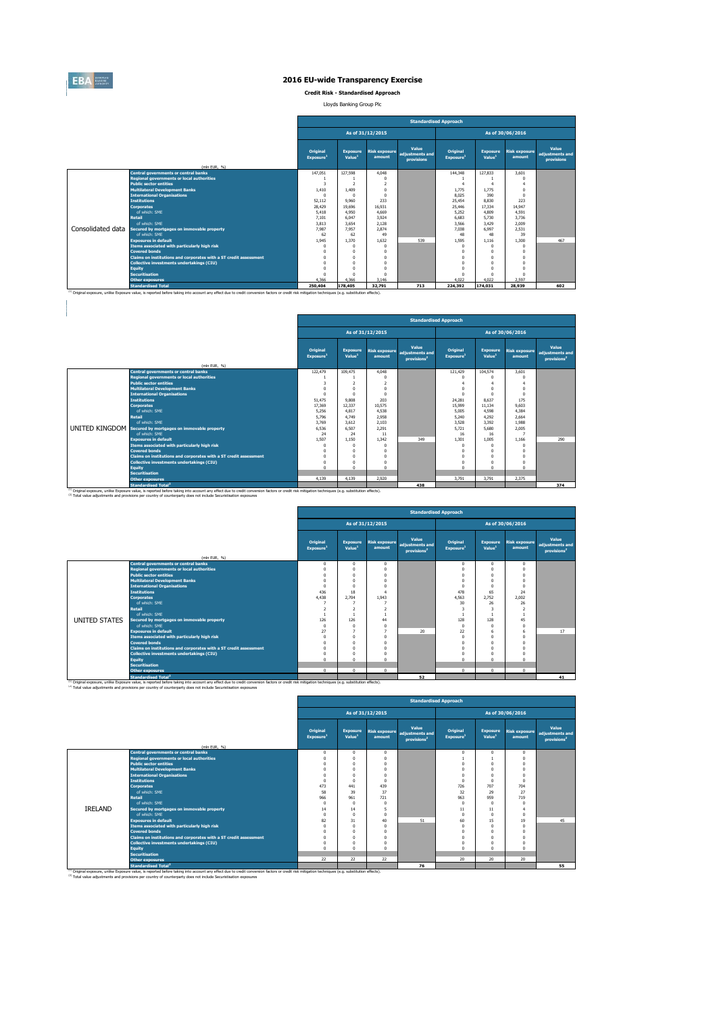

**Credit Risk - Standardised Approach**

Lloyds Banking Group Plc

|                   |                                                                   | <b>Standardised Approach</b> |                                       |                                |                                        |                                   |                                       |                                |                                        |  |  |  |
|-------------------|-------------------------------------------------------------------|------------------------------|---------------------------------------|--------------------------------|----------------------------------------|-----------------------------------|---------------------------------------|--------------------------------|----------------------------------------|--|--|--|
|                   |                                                                   |                              |                                       | As of 31/12/2015               |                                        |                                   |                                       | As of 30/06/2016               |                                        |  |  |  |
|                   | (mln EUR, %)                                                      | Original<br>Exposure         | <b>Exposure</b><br>Value <sup>1</sup> | <b>Risk exposure</b><br>amount | Value<br>adjustments and<br>provisions | Original<br>Exposure <sup>1</sup> | <b>Exposure</b><br>Value <sup>1</sup> | <b>Risk exposure</b><br>amount | Value<br>adjustments and<br>provisions |  |  |  |
|                   | <b>Central governments or central banks</b>                       | 147.051                      | 127,598                               | 4.048                          |                                        | 144,348                           | 127.833                               | 3,601                          |                                        |  |  |  |
|                   | <b>Regional governments or local authorities</b>                  |                              |                                       | n                              |                                        |                                   |                                       |                                |                                        |  |  |  |
|                   | <b>Public sector entities</b>                                     | 3                            | $\overline{ }$                        | $\overline{a}$                 |                                        |                                   | $\Delta$                              | 4                              |                                        |  |  |  |
|                   | <b>Multilateral Development Banks</b>                             | 1,410                        | 1.409                                 | $^{\circ}$                     |                                        | 1.775                             | 1.775                                 | $\Omega$                       |                                        |  |  |  |
|                   | <b>International Organisations</b>                                | $\Omega$                     | $\Omega$                              | $\mathbf{0}$                   |                                        | 8.025                             | 390                                   | $\Omega$                       |                                        |  |  |  |
|                   | <b>Institutions</b>                                               | 52.112                       | 9.960                                 | 233                            |                                        | 25.454                            | 8.830                                 | 223                            |                                        |  |  |  |
|                   | <b>Cornorates</b>                                                 | 28,429                       | 19,696                                | 16.931                         |                                        | 25.446                            | 17.334                                | 14.947                         |                                        |  |  |  |
|                   | of which: SMF                                                     | 5.418                        | 4.950                                 | 4,669                          |                                        | 5.252                             | 4,809                                 | 4.591                          |                                        |  |  |  |
|                   | <b>Retail</b>                                                     | 7.101                        | 6.047                                 | 3.924                          |                                        | 6.683                             | 5.730                                 | 3.736                          |                                        |  |  |  |
|                   | of which: SMF                                                     | 3.813                        | 3.654                                 | 2.128                          |                                        | 3.566                             | 3.429                                 | 2.009                          |                                        |  |  |  |
| Consolidated data | Secured by mortgages on immovable property                        | 7.987                        | 7.957                                 | 2.874                          |                                        | 7.038                             | 6,997                                 | 2.531                          |                                        |  |  |  |
|                   | of which: SME                                                     | 62                           | 62                                    | 49                             |                                        | 48                                | 48                                    | 39                             |                                        |  |  |  |
|                   | <b>Exposures in default</b>                                       | 1.945                        | 1.370                                 | 1.632                          | 539                                    | 1.595                             | 1.116                                 | 1.300                          | 467                                    |  |  |  |
|                   | Items associated with particularly high risk                      | $\Omega$                     | n                                     | n                              |                                        | $\Omega$                          | $\Omega$                              | $\Omega$                       |                                        |  |  |  |
|                   | <b>Covered bonds</b>                                              | $\Omega$                     | $\theta$                              | n                              |                                        | $\Omega$                          | $\Omega$                              | $\Omega$                       |                                        |  |  |  |
|                   | Claims on institutions and corporates with a ST credit assessment |                              | n                                     | n                              |                                        | 0                                 | $\Omega$                              |                                |                                        |  |  |  |
|                   | Collective investments undertakings (CIU)                         |                              | n                                     | 0                              |                                        | O                                 |                                       |                                |                                        |  |  |  |
|                   | <b>Equity</b>                                                     |                              | n                                     | 0                              |                                        | $\Omega$                          |                                       | $\Omega$                       |                                        |  |  |  |
|                   | <b>Securitisation</b>                                             | $\Omega$                     | n                                     | n                              |                                        | $\Omega$                          | $\Omega$                              | $\Omega$                       |                                        |  |  |  |
|                   | <b>Other exposures</b>                                            | 4.366                        | 4.366                                 | 3.146                          |                                        | 4.022                             | 4.022                                 | 2.597                          |                                        |  |  |  |
|                   | <b>Standardised Total</b>                                         | 250,404                      | 178,405                               | 32,791                         | 713                                    | 224.392                           | 174.031                               | 28.939                         | 602                                    |  |  |  |

|               |                                                                                                                                                                                                                                             |                                          |                                       |                                |                                                     | <b>Standardised Approach</b><br>As of 30/06/2016<br>Original<br><b>Exposure</b><br><b>Risk exposure</b><br>Value <sup>1</sup><br>Exposure <sup>1</sup><br>amount<br>121,429<br>104.574<br>3.601<br>$\Omega$<br>$\Omega$<br>$\Omega$<br>$\Delta$<br>$\Omega$<br>$\Omega$<br>$\Omega$<br>8.637<br>24.281<br>175<br>11.134<br>9.603<br>15,999<br>5.005<br>4,598<br>4.384<br>4.292<br>5.240<br>2.664<br>3.528<br>3.392<br>1.988<br>5.721<br>5,680<br>2.005<br>16<br>16<br>п.<br>1.301<br>1.005<br>1.166<br>$\Omega$<br>$\Omega$<br>$\Omega$<br>$\Omega$<br>$\Omega$<br>n<br>$\Omega$<br>$\Omega$<br>$\Omega$<br>$\Omega$<br>$\Omega$<br>$\Omega$ |       |       |                                                     |  |  |  |
|---------------|---------------------------------------------------------------------------------------------------------------------------------------------------------------------------------------------------------------------------------------------|------------------------------------------|---------------------------------------|--------------------------------|-----------------------------------------------------|----------------------------------------------------------------------------------------------------------------------------------------------------------------------------------------------------------------------------------------------------------------------------------------------------------------------------------------------------------------------------------------------------------------------------------------------------------------------------------------------------------------------------------------------------------------------------------------------------------------------------------------------|-------|-------|-----------------------------------------------------|--|--|--|
|               |                                                                                                                                                                                                                                             |                                          |                                       | As of 31/12/2015               |                                                     |                                                                                                                                                                                                                                                                                                                                                                                                                                                                                                                                                                                                                                              |       |       |                                                     |  |  |  |
|               | (mln EUR, %)                                                                                                                                                                                                                                | <b>Original</b><br>Exposure <sup>1</sup> | <b>Exposure</b><br>Value <sup>1</sup> | <b>Risk exposure</b><br>amount | Value<br>adiustments and<br>provisions <sup>2</sup> |                                                                                                                                                                                                                                                                                                                                                                                                                                                                                                                                                                                                                                              |       |       | Value<br>adjustments and<br>provisions <sup>2</sup> |  |  |  |
|               | <b>Central governments or central banks</b>                                                                                                                                                                                                 | 122,479                                  | 109,475                               | 4.048                          |                                                     |                                                                                                                                                                                                                                                                                                                                                                                                                                                                                                                                                                                                                                              |       |       |                                                     |  |  |  |
|               | <b>Regional governments or local authorities</b>                                                                                                                                                                                            |                                          |                                       | n                              |                                                     |                                                                                                                                                                                                                                                                                                                                                                                                                                                                                                                                                                                                                                              |       |       |                                                     |  |  |  |
|               | <b>Public sector entities</b>                                                                                                                                                                                                               | 3                                        | $\overline{a}$                        | $\overline{ }$                 |                                                     |                                                                                                                                                                                                                                                                                                                                                                                                                                                                                                                                                                                                                                              |       |       |                                                     |  |  |  |
|               | <b>Multilateral Development Banks</b>                                                                                                                                                                                                       | 0                                        | $\Omega$                              | n                              |                                                     |                                                                                                                                                                                                                                                                                                                                                                                                                                                                                                                                                                                                                                              |       |       |                                                     |  |  |  |
|               | <b>International Organisations</b>                                                                                                                                                                                                          | n                                        | $\Omega$                              | n                              |                                                     |                                                                                                                                                                                                                                                                                                                                                                                                                                                                                                                                                                                                                                              |       |       |                                                     |  |  |  |
|               | <b>Institutions</b>                                                                                                                                                                                                                         | 51,475                                   | 9,808                                 | 203                            |                                                     |                                                                                                                                                                                                                                                                                                                                                                                                                                                                                                                                                                                                                                              |       |       |                                                     |  |  |  |
|               | <b>Corporates</b>                                                                                                                                                                                                                           | 17,369                                   | 12.337                                | 10.575                         |                                                     |                                                                                                                                                                                                                                                                                                                                                                                                                                                                                                                                                                                                                                              |       |       |                                                     |  |  |  |
|               | of which: SMF                                                                                                                                                                                                                               | 5.256                                    | 4.817                                 | 4.538                          |                                                     |                                                                                                                                                                                                                                                                                                                                                                                                                                                                                                                                                                                                                                              |       |       |                                                     |  |  |  |
| <b>Retail</b> |                                                                                                                                                                                                                                             | 5.796                                    | 4.749                                 | 2.958                          |                                                     |                                                                                                                                                                                                                                                                                                                                                                                                                                                                                                                                                                                                                                              |       |       |                                                     |  |  |  |
|               | of which: SME                                                                                                                                                                                                                               | 3.769                                    | 3.612                                 | 2.103                          |                                                     |                                                                                                                                                                                                                                                                                                                                                                                                                                                                                                                                                                                                                                              |       |       |                                                     |  |  |  |
|               | <b>UNITED KINGDOM</b> Secured by mortgages on immovable property                                                                                                                                                                            | 6.536                                    | 6.507                                 | 2.291                          |                                                     |                                                                                                                                                                                                                                                                                                                                                                                                                                                                                                                                                                                                                                              |       |       |                                                     |  |  |  |
|               | of which: SMF                                                                                                                                                                                                                               | 24                                       | 24                                    | 11                             |                                                     |                                                                                                                                                                                                                                                                                                                                                                                                                                                                                                                                                                                                                                              |       |       |                                                     |  |  |  |
|               | <b>Exposures in default</b>                                                                                                                                                                                                                 | 1.507                                    | 1.150                                 | 1.342                          | 349                                                 |                                                                                                                                                                                                                                                                                                                                                                                                                                                                                                                                                                                                                                              |       |       | 290                                                 |  |  |  |
|               | Items associated with particularly high risk                                                                                                                                                                                                | Λ                                        | $\Omega$                              | $\Omega$                       |                                                     |                                                                                                                                                                                                                                                                                                                                                                                                                                                                                                                                                                                                                                              |       |       |                                                     |  |  |  |
|               | <b>Covered bonds</b>                                                                                                                                                                                                                        | n                                        | $\Omega$                              | n                              |                                                     |                                                                                                                                                                                                                                                                                                                                                                                                                                                                                                                                                                                                                                              |       |       |                                                     |  |  |  |
|               | Claims on institutions and corporates with a ST credit assessment                                                                                                                                                                           | 0                                        | 0                                     | n                              |                                                     |                                                                                                                                                                                                                                                                                                                                                                                                                                                                                                                                                                                                                                              |       |       |                                                     |  |  |  |
|               | Collective investments undertakings (CIU)                                                                                                                                                                                                   | 0                                        | 0                                     | n                              |                                                     |                                                                                                                                                                                                                                                                                                                                                                                                                                                                                                                                                                                                                                              |       |       |                                                     |  |  |  |
| <b>Equity</b> |                                                                                                                                                                                                                                             | n                                        | $\Omega$                              | n                              |                                                     |                                                                                                                                                                                                                                                                                                                                                                                                                                                                                                                                                                                                                                              |       |       |                                                     |  |  |  |
|               | <b>Securitisation</b>                                                                                                                                                                                                                       |                                          |                                       |                                |                                                     |                                                                                                                                                                                                                                                                                                                                                                                                                                                                                                                                                                                                                                              |       |       |                                                     |  |  |  |
|               | <b>Other exposures</b>                                                                                                                                                                                                                      | 4.139                                    | 4.139                                 | 2.920                          |                                                     | 3.791                                                                                                                                                                                                                                                                                                                                                                                                                                                                                                                                                                                                                                        | 3.791 | 2.375 |                                                     |  |  |  |
|               | <b>Standardised Total<sup>2</sup></b><br>(1) Original exposure, unlike Exposure value, is reported before taking into account any effect due to credit conversion factors or credit risk mitigation techniques (e.g. substitution effects). |                                          |                                       |                                | 438                                                 |                                                                                                                                                                                                                                                                                                                                                                                                                                                                                                                                                                                                                                              |       |       | 374                                                 |  |  |  |

|               |                                                                   |                                   |                                       |                  | <b>Standardised Approach</b>                                      |                                   |                                                                                                                                                                                                                                                                                                                                                                                                                                                                                                                                                                                                         |              |  |  |  |  |  |  |  |  |
|---------------|-------------------------------------------------------------------|-----------------------------------|---------------------------------------|------------------|-------------------------------------------------------------------|-----------------------------------|---------------------------------------------------------------------------------------------------------------------------------------------------------------------------------------------------------------------------------------------------------------------------------------------------------------------------------------------------------------------------------------------------------------------------------------------------------------------------------------------------------------------------------------------------------------------------------------------------------|--------------|--|--|--|--|--|--|--|--|
|               |                                                                   |                                   |                                       | As of 31/12/2015 |                                                                   |                                   | As of 30/06/2016<br>Value<br><b>Exposure</b><br><b>Risk exposure</b><br>adjustments and<br>Value <sup>1</sup><br>amount<br>provisions <sup>2</sup><br>$\mathbf 0$<br>$\mathbf{0}$<br>$\Omega$<br>$\Omega$<br>$\Omega$<br>$\Omega$<br>$\Omega$<br>$\Omega$<br>$\Omega$<br>$\Omega$<br>$\Omega$<br>$\Omega$<br>$\Omega$<br>$\Omega$<br>65<br>24<br>2.752<br>2,002<br>26<br>26<br>3<br>$\overline{ }$<br>128<br>45<br>$\Omega$<br>n<br>$\Omega$<br>17<br>6<br>$\Omega$<br>$\Omega$<br>$\Omega$<br>$\Omega$<br>$\Omega$<br>$\Omega$<br>$\Omega$<br>$^{\circ}$<br>$\Omega$<br>$\Omega$<br>$\Omega$<br>$\sim$ |              |  |  |  |  |  |  |  |  |
|               |                                                                   | Original<br>Exposure <sup>1</sup> | <b>Exposure</b><br>Value <sup>1</sup> | amount           | Value<br>Risk exposure adjustments and<br>provisions <sup>2</sup> | Original<br>Exposure <sup>1</sup> |                                                                                                                                                                                                                                                                                                                                                                                                                                                                                                                                                                                                         |              |  |  |  |  |  |  |  |  |
|               | (mln EUR, %)                                                      |                                   |                                       |                  |                                                                   |                                   |                                                                                                                                                                                                                                                                                                                                                                                                                                                                                                                                                                                                         |              |  |  |  |  |  |  |  |  |
|               | <b>Central governments or central banks</b>                       | $\mathbf{0}$                      | $^{\circ}$                            | $\Omega$         |                                                                   |                                   |                                                                                                                                                                                                                                                                                                                                                                                                                                                                                                                                                                                                         |              |  |  |  |  |  |  |  |  |
|               | <b>Regional governments or local authorities</b>                  | $\Omega$                          | $\Omega$                              | $\Omega$         |                                                                   |                                   |                                                                                                                                                                                                                                                                                                                                                                                                                                                                                                                                                                                                         |              |  |  |  |  |  |  |  |  |
|               | <b>Public sector entities</b>                                     | $\Omega$                          | $\Omega$                              | $\Omega$         |                                                                   |                                   |                                                                                                                                                                                                                                                                                                                                                                                                                                                                                                                                                                                                         |              |  |  |  |  |  |  |  |  |
|               | <b>Multilateral Development Banks</b>                             | $\Omega$                          | $\Omega$                              |                  |                                                                   |                                   |                                                                                                                                                                                                                                                                                                                                                                                                                                                                                                                                                                                                         |              |  |  |  |  |  |  |  |  |
|               | <b>International Organisations</b>                                | $\Omega$                          | $\Omega$                              |                  |                                                                   |                                   |                                                                                                                                                                                                                                                                                                                                                                                                                                                                                                                                                                                                         |              |  |  |  |  |  |  |  |  |
|               | <b>Institutions</b>                                               | 436                               | 18                                    |                  |                                                                   | 478                               |                                                                                                                                                                                                                                                                                                                                                                                                                                                                                                                                                                                                         |              |  |  |  |  |  |  |  |  |
|               | <b>Corporates</b>                                                 | 4.438                             | 2.704                                 | 1.943            |                                                                   | 4.563                             |                                                                                                                                                                                                                                                                                                                                                                                                                                                                                                                                                                                                         |              |  |  |  |  |  |  |  |  |
|               | of which: SME                                                     |                                   |                                       |                  |                                                                   | 30                                |                                                                                                                                                                                                                                                                                                                                                                                                                                                                                                                                                                                                         |              |  |  |  |  |  |  |  |  |
|               | <b>Retail</b>                                                     | $\overline{2}$                    | $\overline{2}$                        |                  |                                                                   |                                   |                                                                                                                                                                                                                                                                                                                                                                                                                                                                                                                                                                                                         |              |  |  |  |  |  |  |  |  |
|               | of which: SME                                                     |                                   |                                       |                  |                                                                   |                                   |                                                                                                                                                                                                                                                                                                                                                                                                                                                                                                                                                                                                         |              |  |  |  |  |  |  |  |  |
| UNITED STATES | Secured by mortgages on immovable property                        | 126                               | 126                                   | 44               |                                                                   | 128                               |                                                                                                                                                                                                                                                                                                                                                                                                                                                                                                                                                                                                         |              |  |  |  |  |  |  |  |  |
|               | of which: SME                                                     | $\Omega$                          | $\Omega$                              |                  |                                                                   |                                   |                                                                                                                                                                                                                                                                                                                                                                                                                                                                                                                                                                                                         |              |  |  |  |  |  |  |  |  |
|               | <b>Exposures in default</b>                                       | 27                                |                                       |                  | 20                                                                | 22                                |                                                                                                                                                                                                                                                                                                                                                                                                                                                                                                                                                                                                         |              |  |  |  |  |  |  |  |  |
|               | Items associated with particularly high risk                      | $\mathbf{0}$                      | $\mathbf{0}$                          | $\Omega$         |                                                                   |                                   |                                                                                                                                                                                                                                                                                                                                                                                                                                                                                                                                                                                                         |              |  |  |  |  |  |  |  |  |
|               | <b>Covered bonds</b>                                              | $\Omega$                          | $\Omega$                              | $\Omega$         |                                                                   |                                   |                                                                                                                                                                                                                                                                                                                                                                                                                                                                                                                                                                                                         |              |  |  |  |  |  |  |  |  |
|               | Claims on institutions and corporates with a ST credit assessment | $\Omega$                          | $\Omega$                              |                  |                                                                   |                                   |                                                                                                                                                                                                                                                                                                                                                                                                                                                                                                                                                                                                         |              |  |  |  |  |  |  |  |  |
|               | Collective investments undertakings (CIU)                         | $\Omega$                          | $\bf{0}$                              |                  |                                                                   |                                   |                                                                                                                                                                                                                                                                                                                                                                                                                                                                                                                                                                                                         |              |  |  |  |  |  |  |  |  |
|               | Equity                                                            | $\Omega$                          | $\Omega$                              | $\Omega$         |                                                                   |                                   |                                                                                                                                                                                                                                                                                                                                                                                                                                                                                                                                                                                                         |              |  |  |  |  |  |  |  |  |
|               | <b>Securitisation</b>                                             |                                   |                                       |                  |                                                                   |                                   |                                                                                                                                                                                                                                                                                                                                                                                                                                                                                                                                                                                                         |              |  |  |  |  |  |  |  |  |
|               | <b>Other exposures</b><br>Parameters (1999) Protect Rd            | $\mathbf{0}$                      | $\theta$                              | $\Omega$         |                                                                   | $\Omega$                          | $\Omega$                                                                                                                                                                                                                                                                                                                                                                                                                                                                                                                                                                                                | $\mathbf{0}$ |  |  |  |  |  |  |  |  |

<sup>13</sup> Original exposure, unlike Exposure and a standardised Total<sup>2</sup><br>The Substitution of the Substitution in the Substitution and the Substitution of the Substitution factors or credit risk mitigation techniques (e.g. subst

|                |                                                                                                                                                                                                                                             |            | <b>Standardised Approach</b><br>As of 30/06/2016<br>As of 31/12/2015<br>Value<br>Original<br><b>Original</b><br><b>Exposure</b><br><b>Risk exposure</b><br><b>Exposure</b><br><b>Risk exposure</b><br>adjustments and<br>Value <sup>1</sup><br>Value <sup>1</sup><br>amount<br>Exposure<br>Exposure <sup>1</sup><br>amount<br>provisions <sup>2</sup><br>$^{\circ}$<br>$^{\circ}$<br>$\Omega$<br>$^{\circ}$<br>$\Omega$<br>$^{\circ}$                                                                                 |          |    |          |          |          |                                                     |  |  |  |  |
|----------------|---------------------------------------------------------------------------------------------------------------------------------------------------------------------------------------------------------------------------------------------|------------|-----------------------------------------------------------------------------------------------------------------------------------------------------------------------------------------------------------------------------------------------------------------------------------------------------------------------------------------------------------------------------------------------------------------------------------------------------------------------------------------------------------------------|----------|----|----------|----------|----------|-----------------------------------------------------|--|--|--|--|
|                |                                                                                                                                                                                                                                             |            | $\Omega$<br>$^{\circ}$<br>$\Omega$<br>$\Omega$<br>$\Omega$<br>$\Omega$<br>$\Omega$<br>$\Omega$<br>$\Omega$<br>$\Omega$<br>$\Omega$<br>$\Omega$<br>$\Omega$<br>$\Omega$<br>$\Omega$<br>$\Omega$<br>$\Omega$<br>$\Omega$<br>$\Omega$<br>$\Omega$<br>$\Omega$<br>473<br>439<br>726<br>441<br>707<br>32<br>58<br>39<br>37<br>29<br>966<br>963<br>959<br>961<br>721<br>$^{\circ}$<br>$\Omega$<br>$\Omega$<br>$\Omega$<br>$\Omega$<br>11<br>11<br>14<br>14<br>5<br>$\Omega$<br>$\Omega$<br>$\Omega$<br>$\Omega$<br>$\Omega$ |          |    |          |          |          |                                                     |  |  |  |  |
|                | (mln EUR, %)                                                                                                                                                                                                                                |            |                                                                                                                                                                                                                                                                                                                                                                                                                                                                                                                       |          |    |          |          |          | Value<br>adjustments and<br>provisions <sup>2</sup> |  |  |  |  |
|                | <b>Central governments or central banks</b>                                                                                                                                                                                                 |            |                                                                                                                                                                                                                                                                                                                                                                                                                                                                                                                       |          |    |          |          |          |                                                     |  |  |  |  |
|                | <b>Regional governments or local authorities</b>                                                                                                                                                                                            |            |                                                                                                                                                                                                                                                                                                                                                                                                                                                                                                                       |          |    |          |          | $\Omega$ |                                                     |  |  |  |  |
|                | <b>Public sector entities</b>                                                                                                                                                                                                               |            |                                                                                                                                                                                                                                                                                                                                                                                                                                                                                                                       |          |    |          |          | $\Omega$ |                                                     |  |  |  |  |
|                | <b>Multilateral Development Banks</b>                                                                                                                                                                                                       |            |                                                                                                                                                                                                                                                                                                                                                                                                                                                                                                                       |          |    |          |          | $\Omega$ |                                                     |  |  |  |  |
|                | <b>International Organisations</b>                                                                                                                                                                                                          |            |                                                                                                                                                                                                                                                                                                                                                                                                                                                                                                                       |          |    |          |          | $\Omega$ |                                                     |  |  |  |  |
|                | <b>Institutions</b>                                                                                                                                                                                                                         |            |                                                                                                                                                                                                                                                                                                                                                                                                                                                                                                                       |          |    |          |          | $\Omega$ |                                                     |  |  |  |  |
|                | <b>Corporates</b>                                                                                                                                                                                                                           |            |                                                                                                                                                                                                                                                                                                                                                                                                                                                                                                                       |          |    |          |          | 704      |                                                     |  |  |  |  |
|                | of which: SME                                                                                                                                                                                                                               |            |                                                                                                                                                                                                                                                                                                                                                                                                                                                                                                                       |          |    |          |          | 27       |                                                     |  |  |  |  |
|                | <b>Retail</b>                                                                                                                                                                                                                               |            |                                                                                                                                                                                                                                                                                                                                                                                                                                                                                                                       |          |    |          |          | 719      |                                                     |  |  |  |  |
|                | of which: SME                                                                                                                                                                                                                               |            |                                                                                                                                                                                                                                                                                                                                                                                                                                                                                                                       |          |    |          |          | $\Omega$ |                                                     |  |  |  |  |
| <b>IRELAND</b> | Secured by mortgages on immovable property                                                                                                                                                                                                  |            |                                                                                                                                                                                                                                                                                                                                                                                                                                                                                                                       |          |    |          |          |          |                                                     |  |  |  |  |
|                | of which: SMF                                                                                                                                                                                                                               |            |                                                                                                                                                                                                                                                                                                                                                                                                                                                                                                                       |          |    |          |          | $\Omega$ |                                                     |  |  |  |  |
|                | <b>Exposures in default</b>                                                                                                                                                                                                                 | 82         | 31                                                                                                                                                                                                                                                                                                                                                                                                                                                                                                                    | 40       | 51 | 60       | 15       | 19       | 45                                                  |  |  |  |  |
|                | Items associated with particularly high risk                                                                                                                                                                                                | $\Omega$   | $\Omega$                                                                                                                                                                                                                                                                                                                                                                                                                                                                                                              | $\Omega$ |    | $\Omega$ | $\Omega$ | $\Omega$ |                                                     |  |  |  |  |
|                | <b>Covered bonds</b>                                                                                                                                                                                                                        | $\Omega$   | $\Omega$                                                                                                                                                                                                                                                                                                                                                                                                                                                                                                              | $\Omega$ |    | $\Omega$ | $\Omega$ | $\Omega$ |                                                     |  |  |  |  |
|                | Claims on institutions and corporates with a ST credit assessment                                                                                                                                                                           | $\Omega$   | $\Omega$                                                                                                                                                                                                                                                                                                                                                                                                                                                                                                              | $\Omega$ |    |          |          | $\Omega$ |                                                     |  |  |  |  |
|                | Collective investments undertakings (CIU)                                                                                                                                                                                                   | $\Omega$   | $^{\circ}$                                                                                                                                                                                                                                                                                                                                                                                                                                                                                                            | $\Omega$ |    | $\Omega$ |          |          |                                                     |  |  |  |  |
|                | <b>Equity</b>                                                                                                                                                                                                                               | $\sqrt{2}$ | $\Omega$                                                                                                                                                                                                                                                                                                                                                                                                                                                                                                              | $\Omega$ |    | $\Omega$ | $\Omega$ | $\Omega$ |                                                     |  |  |  |  |
|                | <b>Securitisation</b>                                                                                                                                                                                                                       |            |                                                                                                                                                                                                                                                                                                                                                                                                                                                                                                                       |          |    |          |          |          |                                                     |  |  |  |  |
|                | Other exposures                                                                                                                                                                                                                             | 22         | 22                                                                                                                                                                                                                                                                                                                                                                                                                                                                                                                    | 22       |    | 20       | 20       | 20       |                                                     |  |  |  |  |
|                | <b>Standardised Total<sup>2</sup></b><br>(1) Original exposure, unlike Exposure value, is reported before taking into account any effect due to credit conversion factors or credit risk mitigation techniques (e.g. substitution effects). |            |                                                                                                                                                                                                                                                                                                                                                                                                                                                                                                                       |          | 76 |          |          |          | 55                                                  |  |  |  |  |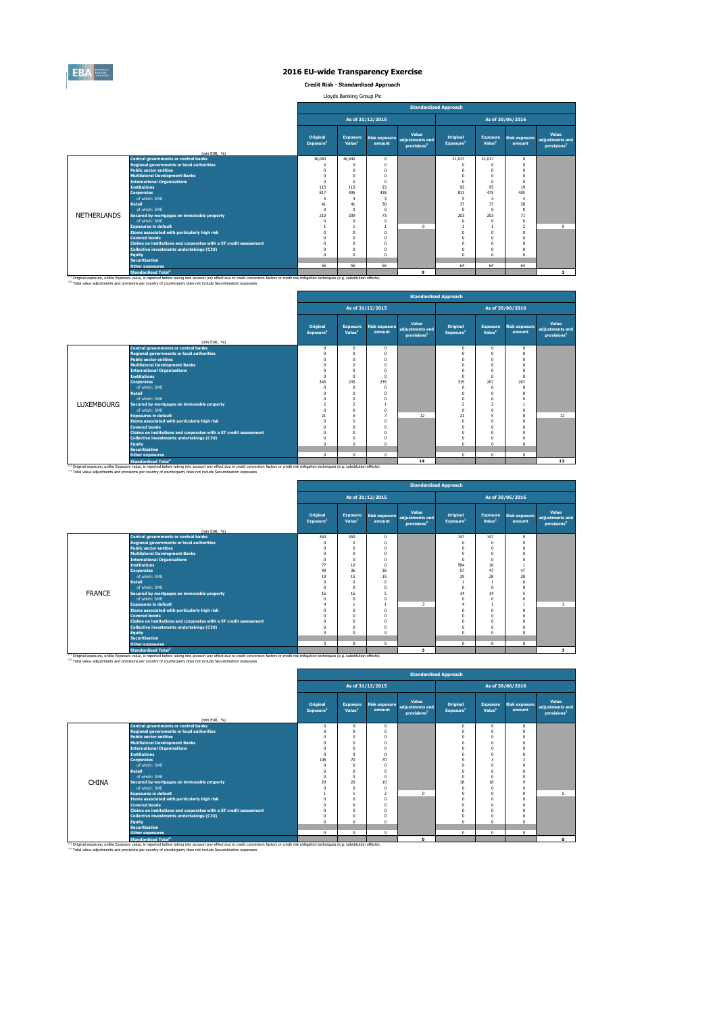

**Credit Risk - Standardised Approach**

Lloyds Banking Group Plc

|                    |                                                                   |                                   |                                       |                  | <b>Standardised Approach</b>                                      |    |                                                                                                                                                                                                                                                                                                                                                                                                                                                                                                                                                                                                                                                                                                                                                                  |    |   |
|--------------------|-------------------------------------------------------------------|-----------------------------------|---------------------------------------|------------------|-------------------------------------------------------------------|----|------------------------------------------------------------------------------------------------------------------------------------------------------------------------------------------------------------------------------------------------------------------------------------------------------------------------------------------------------------------------------------------------------------------------------------------------------------------------------------------------------------------------------------------------------------------------------------------------------------------------------------------------------------------------------------------------------------------------------------------------------------------|----|---|
|                    |                                                                   |                                   |                                       | As of 31/12/2015 |                                                                   |    | As of 30/06/2016<br>Value<br>Original<br><b>Exposure</b><br>Risk exposure<br>adjustments and<br>Value <sup>1</sup><br>Exposure <sup>1</sup><br>amount<br>provisions <sup>2</sup><br>21.017<br>21.017<br>$\Omega$<br>$\Omega$<br>$\Omega$<br>$\Omega$<br>$\Omega$<br>$\Omega$<br>$\Omega$<br>$\Omega$<br>$\Omega$<br>$\Omega$<br>$\Omega$<br>$\Omega$<br>$\Omega$<br>93<br>93<br>19<br>811<br>475<br>405<br>5<br>4<br>4<br>37<br>37<br>28<br>$\Omega$<br>$\Omega$<br>$\Omega$<br>203<br>203<br>71<br>$\Omega$<br>$\Omega$<br>$\Omega$<br>$\Omega$<br>$\overline{\phantom{a}}$<br>$\Omega$<br>$\Omega$<br>$\Omega$<br>$\Omega$<br>$\Omega$<br>$\Omega$<br>$\Omega$<br>$\Omega$<br>$\Omega$<br>$\Omega$<br>$\Omega$<br>$\Omega$<br>$\Omega$<br>$\Omega$<br>$\Omega$ |    |   |
|                    |                                                                   | Original<br>Exposure <sup>1</sup> | <b>Exposure</b><br>Value <sup>1</sup> | amount           | Value<br>Risk exposure adjustments and<br>provisions <sup>2</sup> |    |                                                                                                                                                                                                                                                                                                                                                                                                                                                                                                                                                                                                                                                                                                                                                                  |    |   |
|                    | (mln EUR, %)                                                      |                                   |                                       |                  |                                                                   |    |                                                                                                                                                                                                                                                                                                                                                                                                                                                                                                                                                                                                                                                                                                                                                                  |    |   |
|                    | <b>Central governments or central banks</b>                       | 16,040                            | 16,040                                | $\Omega$         |                                                                   |    |                                                                                                                                                                                                                                                                                                                                                                                                                                                                                                                                                                                                                                                                                                                                                                  |    |   |
|                    | <b>Regional governments or local authorities</b>                  | $\Omega$                          | $\Omega$                              | $\Omega$         |                                                                   |    |                                                                                                                                                                                                                                                                                                                                                                                                                                                                                                                                                                                                                                                                                                                                                                  |    |   |
|                    | <b>Public sector entities</b>                                     | $\Omega$                          | $\Omega$                              |                  |                                                                   |    |                                                                                                                                                                                                                                                                                                                                                                                                                                                                                                                                                                                                                                                                                                                                                                  |    |   |
|                    | <b>Multilateral Development Banks</b>                             | $\Omega$                          | $\Omega$                              |                  |                                                                   |    |                                                                                                                                                                                                                                                                                                                                                                                                                                                                                                                                                                                                                                                                                                                                                                  |    |   |
|                    | <b>International Organisations</b>                                | $\Omega$                          | $\Omega$                              |                  |                                                                   |    |                                                                                                                                                                                                                                                                                                                                                                                                                                                                                                                                                                                                                                                                                                                                                                  |    |   |
|                    | <b>Institutions</b>                                               | 115                               | 115                                   | 23               |                                                                   |    |                                                                                                                                                                                                                                                                                                                                                                                                                                                                                                                                                                                                                                                                                                                                                                  |    |   |
|                    | <b>Corporates</b>                                                 | 817                               | 495                                   | 428              |                                                                   |    |                                                                                                                                                                                                                                                                                                                                                                                                                                                                                                                                                                                                                                                                                                                                                                  |    |   |
|                    | of which: SME                                                     | 5                                 |                                       | 3                |                                                                   |    |                                                                                                                                                                                                                                                                                                                                                                                                                                                                                                                                                                                                                                                                                                                                                                  |    |   |
|                    | <b>Retail</b>                                                     | 41                                | 41                                    | 30               |                                                                   |    |                                                                                                                                                                                                                                                                                                                                                                                                                                                                                                                                                                                                                                                                                                                                                                  |    |   |
|                    | of which: SME                                                     | $\Omega$                          | $\Omega$                              | $\Omega$         |                                                                   |    |                                                                                                                                                                                                                                                                                                                                                                                                                                                                                                                                                                                                                                                                                                                                                                  |    |   |
| <b>NETHERLANDS</b> | Secured by mortgages on immovable property                        | 210                               | 209                                   | 73               |                                                                   |    |                                                                                                                                                                                                                                                                                                                                                                                                                                                                                                                                                                                                                                                                                                                                                                  |    |   |
|                    | of which: SME                                                     | $\Omega$                          | $\Omega$                              |                  |                                                                   |    |                                                                                                                                                                                                                                                                                                                                                                                                                                                                                                                                                                                                                                                                                                                                                                  |    |   |
|                    | <b>Exposures in default</b>                                       |                                   |                                       |                  | $\Omega$                                                          |    |                                                                                                                                                                                                                                                                                                                                                                                                                                                                                                                                                                                                                                                                                                                                                                  |    |   |
|                    | Items associated with particularly high risk                      | $\Omega$                          | $\Omega$                              |                  |                                                                   |    |                                                                                                                                                                                                                                                                                                                                                                                                                                                                                                                                                                                                                                                                                                                                                                  |    |   |
|                    | <b>Covered bonds</b>                                              |                                   | -0                                    |                  |                                                                   |    |                                                                                                                                                                                                                                                                                                                                                                                                                                                                                                                                                                                                                                                                                                                                                                  |    |   |
|                    | Claims on institutions and corporates with a ST credit assessment |                                   | $\Omega$                              |                  |                                                                   |    |                                                                                                                                                                                                                                                                                                                                                                                                                                                                                                                                                                                                                                                                                                                                                                  |    |   |
|                    | <b>Collective investments undertakings (CIU)</b>                  | $\Omega$                          | -0                                    |                  |                                                                   |    |                                                                                                                                                                                                                                                                                                                                                                                                                                                                                                                                                                                                                                                                                                                                                                  |    |   |
|                    | <b>Equity</b>                                                     | $\sqrt{2}$                        | $\Omega$                              |                  |                                                                   |    |                                                                                                                                                                                                                                                                                                                                                                                                                                                                                                                                                                                                                                                                                                                                                                  |    |   |
|                    | <b>Securitisation</b>                                             |                                   |                                       |                  |                                                                   |    |                                                                                                                                                                                                                                                                                                                                                                                                                                                                                                                                                                                                                                                                                                                                                                  |    |   |
|                    | <b>Other exposures</b>                                            | 56                                | 56                                    | 56               |                                                                   | 64 | 64                                                                                                                                                                                                                                                                                                                                                                                                                                                                                                                                                                                                                                                                                                                                                               | 64 |   |
|                    | <b>Standardised Total<sup>2</sup></b>                             |                                   |                                       |                  | $\mathbf{Q}$                                                      |    |                                                                                                                                                                                                                                                                                                                                                                                                                                                                                                                                                                                                                                                                                                                                                                  |    | 3 |

|                   |                                                                                                                                                                                                                                                        |                                   |                                       |                                |                                                     | <b>Standardised Approach</b>      |                                       |                                |                                                     |
|-------------------|--------------------------------------------------------------------------------------------------------------------------------------------------------------------------------------------------------------------------------------------------------|-----------------------------------|---------------------------------------|--------------------------------|-----------------------------------------------------|-----------------------------------|---------------------------------------|--------------------------------|-----------------------------------------------------|
|                   |                                                                                                                                                                                                                                                        |                                   |                                       | As of 31/12/2015               |                                                     |                                   |                                       | As of 30/06/2016               |                                                     |
|                   | (mln EUR, %)                                                                                                                                                                                                                                           | Original<br>Exposure <sup>1</sup> | <b>Exposure</b><br>Value <sup>1</sup> | <b>Risk exposure</b><br>amount | Value<br>adiustments and<br>provisions <sup>2</sup> | Original<br>Exposure <sup>1</sup> | <b>Exposure</b><br>Value <sup>1</sup> | <b>Risk exposure</b><br>amount | Value<br>adjustments and<br>provisions <sup>2</sup> |
|                   | <b>Central governments or central banks</b>                                                                                                                                                                                                            | $\mathbf 0$                       | $^{\circ}$                            | $\Omega$                       |                                                     | $\mathbf 0$                       | $\Omega$                              | $\mathbf{0}$                   |                                                     |
|                   | <b>Regional governments or local authorities</b>                                                                                                                                                                                                       | $\Omega$                          | $\mathbf{0}$                          | n                              |                                                     | O                                 |                                       | $\Omega$                       |                                                     |
|                   | <b>Public sector entities</b>                                                                                                                                                                                                                          | $\Omega$                          | $\Omega$                              |                                |                                                     |                                   |                                       | $\Omega$                       |                                                     |
|                   | <b>Multilateral Development Banks</b>                                                                                                                                                                                                                  | $\Omega$                          | $\Omega$                              |                                |                                                     |                                   |                                       | $\Omega$                       |                                                     |
|                   | <b>International Organisations</b>                                                                                                                                                                                                                     | $\Omega$                          | $\Omega$                              |                                |                                                     |                                   | $\Omega$                              | $\Omega$                       |                                                     |
|                   | <b>Institutions</b>                                                                                                                                                                                                                                    | $\Omega$                          | $\Omega$                              |                                |                                                     |                                   |                                       | $\Omega$                       |                                                     |
|                   | <b>Corporates</b>                                                                                                                                                                                                                                      | 345                               | 235                                   | 235                            |                                                     | 315                               | 207                                   | 207                            |                                                     |
|                   | of which: SME                                                                                                                                                                                                                                          | $\Omega$                          | $\mathbf{0}$                          | n                              |                                                     | $\Omega$                          | $\Omega$                              | $\Omega$                       |                                                     |
|                   | <b>Retail</b>                                                                                                                                                                                                                                          | $\Omega$                          | $\Omega$                              |                                |                                                     |                                   |                                       |                                |                                                     |
|                   | of which: SME                                                                                                                                                                                                                                          | $\Omega$                          | $\Omega$                              |                                |                                                     |                                   |                                       |                                |                                                     |
| <b>LUXEMBOURG</b> | Secured by mortgages on immovable property                                                                                                                                                                                                             | $\mathcal{P}$                     | $\overline{2}$                        |                                |                                                     |                                   |                                       |                                |                                                     |
|                   | of which: SMF                                                                                                                                                                                                                                          | $\Omega$                          | n                                     |                                |                                                     | n                                 |                                       |                                |                                                     |
|                   | <b>Exposures in default</b>                                                                                                                                                                                                                            | 21                                | 5                                     |                                | 12                                                  | 21                                |                                       | 8                              | 12                                                  |
|                   | <b>Items associated with narticularly high risk</b>                                                                                                                                                                                                    | $\Omega$                          | $\Omega$                              |                                |                                                     |                                   |                                       |                                |                                                     |
|                   | <b>Covered bonds</b>                                                                                                                                                                                                                                   | $\Omega$                          | $\Omega$                              |                                |                                                     |                                   |                                       |                                |                                                     |
|                   | Claims on institutions and corporates with a ST credit assessment                                                                                                                                                                                      | $\Omega$                          | $\Omega$                              |                                |                                                     |                                   |                                       |                                |                                                     |
|                   | <b>Collective investments undertakings (CIU)</b>                                                                                                                                                                                                       | $\Omega$                          | $\Omega$                              |                                |                                                     |                                   |                                       |                                |                                                     |
|                   | <b>Equity</b>                                                                                                                                                                                                                                          | $\Omega$                          | $\Omega$                              | n                              |                                                     |                                   | $\Omega$                              | $\Omega$                       |                                                     |
|                   | <b>Securitisation</b>                                                                                                                                                                                                                                  |                                   |                                       |                                |                                                     |                                   |                                       |                                |                                                     |
|                   | <b>Other exposures</b>                                                                                                                                                                                                                                 | $\Omega$                          | $\Omega$                              | $\mathbf{0}$                   |                                                     | $\Omega$                          | $\Omega$                              | $\Omega$                       |                                                     |
|                   | <b>Standardised Total<sup>2</sup></b><br><sup>(1)</sup> Original exposure, unlike Exposure value, is reported before taking into account any effect due to credit conversion factors or credit risk mitigation techniques (e.g. substitution effects). |                                   |                                       |                                | 14                                                  |                                   |                                       |                                | 13                                                  |

|               |                                                                                                                                                                                                                                 |                                      |                                       |                                | <b>Standardised Approach</b>                        |                                   |                                       |                                |                                                     |  |  |
|---------------|---------------------------------------------------------------------------------------------------------------------------------------------------------------------------------------------------------------------------------|--------------------------------------|---------------------------------------|--------------------------------|-----------------------------------------------------|-----------------------------------|---------------------------------------|--------------------------------|-----------------------------------------------------|--|--|
|               |                                                                                                                                                                                                                                 | As of 31/12/2015<br>As of 30/06/2016 |                                       |                                |                                                     |                                   |                                       |                                |                                                     |  |  |
|               | (mln EUR, %)                                                                                                                                                                                                                    | Original<br>Exposure <sup>1</sup>    | <b>Exposure</b><br>Value <sup>1</sup> | <b>Risk exposure</b><br>amount | Value<br>adjustments and<br>provisions <sup>2</sup> | Original<br>Exposure <sup>1</sup> | <b>Exposure</b><br>Value <sup>1</sup> | <b>Risk exposure</b><br>amount | Value<br>adjustments and<br>provisions <sup>2</sup> |  |  |
|               | <b>Central governments or central banks</b>                                                                                                                                                                                     | 350                                  | 350                                   | 0                              |                                                     | 147                               | 147                                   | $^{\circ}$                     |                                                     |  |  |
|               | <b>Regional governments or local authorities</b>                                                                                                                                                                                | $\Omega$                             | n                                     | $^{\circ}$                     |                                                     | $\Omega$                          | n                                     | $\Omega$                       |                                                     |  |  |
|               | <b>Public sector entities</b>                                                                                                                                                                                                   |                                      | O                                     | 0                              |                                                     | $\Omega$                          |                                       |                                |                                                     |  |  |
|               | <b>Multilateral Development Banks</b>                                                                                                                                                                                           | $\Omega$                             | n                                     | 0                              |                                                     | O                                 | $\Omega$                              |                                |                                                     |  |  |
|               | <b>International Organisations</b>                                                                                                                                                                                              | $\Omega$                             | $\Omega$                              | 0                              |                                                     | $\Omega$                          | $\Omega$                              |                                |                                                     |  |  |
|               | <b>Institutions</b>                                                                                                                                                                                                             | 77                                   | 10                                    | $^{\circ}$                     |                                                     | 584                               | 16                                    |                                |                                                     |  |  |
|               | <b>Corporates</b>                                                                                                                                                                                                               | 49                                   | 36                                    | 36                             |                                                     | 57                                | 47                                    | 47                             |                                                     |  |  |
|               | of which: SME                                                                                                                                                                                                                   | 19                                   | 15                                    | 15                             |                                                     | 29                                | 28                                    | 28                             |                                                     |  |  |
|               | <b>Retail</b>                                                                                                                                                                                                                   | $\Omega$                             | $\Omega$                              | $^{\circ}$                     |                                                     |                                   |                                       | $\Omega$                       |                                                     |  |  |
|               | of which: SMF                                                                                                                                                                                                                   | $\Omega$                             | $\Omega$                              | 0                              |                                                     | $\Omega$                          | $\Omega$                              |                                |                                                     |  |  |
| <b>FRANCE</b> | Secured by mortgages on immovable property                                                                                                                                                                                      | 16                                   | 16                                    | 5                              |                                                     | 14                                | 14                                    |                                |                                                     |  |  |
|               | of which: SMF                                                                                                                                                                                                                   |                                      | n                                     | 0                              |                                                     |                                   |                                       | $\Omega$                       |                                                     |  |  |
|               | <b>Exposures in default</b>                                                                                                                                                                                                     |                                      |                                       |                                | 3                                                   |                                   |                                       |                                | 3                                                   |  |  |
|               | Items associated with particularly high risk                                                                                                                                                                                    |                                      | n                                     | 0                              |                                                     | 0                                 | $\Omega$                              | $\Omega$                       |                                                     |  |  |
|               | <b>Covered bonds</b>                                                                                                                                                                                                            |                                      | $\theta$                              | $\theta$                       |                                                     | n                                 | $\Omega$                              | $\Omega$                       |                                                     |  |  |
|               | Claims on institutions and corporates with a ST credit assessment                                                                                                                                                               |                                      | $\theta$                              | 0                              |                                                     | O                                 | $\Omega$                              |                                |                                                     |  |  |
|               | <b>Collective investments undertakings (CIU)</b>                                                                                                                                                                                |                                      | n                                     | 0                              |                                                     | O                                 |                                       |                                |                                                     |  |  |
|               | Equity                                                                                                                                                                                                                          | $\Omega$                             | $\Omega$                              | $\Omega$                       |                                                     | $\Omega$                          | $\Omega$                              | $\Omega$                       |                                                     |  |  |
|               | <b>Securitisation</b>                                                                                                                                                                                                           |                                      |                                       |                                |                                                     |                                   |                                       |                                |                                                     |  |  |
|               | <b>Other exposures</b>                                                                                                                                                                                                          | $^{\circ}$                           | $^{\circ}$                            | $^{\circ}$                     |                                                     | $\circ$                           | $\mathbf{0}$                          | $\mathbf{0}$                   |                                                     |  |  |
|               | <b>Standardised Total</b><br>(3) Original exposure, unlike Exposure value, is reported before taking into account any effect due to credit conversion factors or credit risk mitigation techniques (e.g. substitution effects). |                                      |                                       |                                | 3                                                   |                                   |                                       |                                | $\overline{\mathbf{3}}$                             |  |  |

<sup>(1)</sup> Original exposure, unlike Exposure value, is reported before taking into account any effect due to credit conversion factors or credit risk mitigation techniques (e.g. substitution effects).<br><sup>(2)</sup> Total value adjustm

|                                                                                                                                                                                                    |                                                                   |                                   |                                       | As of 31/12/2015               |                                                     |                                   |                                       | As of 30/06/2016               |                                                     |
|----------------------------------------------------------------------------------------------------------------------------------------------------------------------------------------------------|-------------------------------------------------------------------|-----------------------------------|---------------------------------------|--------------------------------|-----------------------------------------------------|-----------------------------------|---------------------------------------|--------------------------------|-----------------------------------------------------|
|                                                                                                                                                                                                    | (mln EUR, %)                                                      | Original<br>Exposure <sup>1</sup> | <b>Exposure</b><br>Value <sup>1</sup> | <b>Risk exposure</b><br>amount | Value<br>adiustments and<br>provisions <sup>2</sup> | Original<br>Exposure <sup>1</sup> | <b>Exposure</b><br>Value <sup>1</sup> | <b>Risk exposure</b><br>amount | Value<br>adjustments and<br>provisions <sup>2</sup> |
|                                                                                                                                                                                                    | <b>Central governments or central banks</b>                       | $\Omega$                          | 0                                     | $\mathbf{0}$                   |                                                     | $\Omega$                          | 0                                     | $\Omega$                       |                                                     |
|                                                                                                                                                                                                    | <b>Regional governments or local authorities</b>                  |                                   |                                       | $\mathbf{0}$                   |                                                     | $\Omega$                          |                                       | n                              |                                                     |
|                                                                                                                                                                                                    | <b>Public sector entities</b>                                     |                                   |                                       | 0                              |                                                     | $\Omega$                          |                                       | n                              |                                                     |
|                                                                                                                                                                                                    | <b>Multilateral Development Banks</b>                             |                                   |                                       |                                |                                                     |                                   |                                       | n                              |                                                     |
|                                                                                                                                                                                                    | <b>International Organisations</b>                                |                                   |                                       | n                              |                                                     |                                   |                                       |                                |                                                     |
|                                                                                                                                                                                                    | <b>Institutions</b>                                               |                                   |                                       | n                              |                                                     |                                   |                                       |                                |                                                     |
|                                                                                                                                                                                                    | <b>Corporates</b>                                                 | 108                               | $\overline{20}$                       | 70                             |                                                     | $\circ$                           | в                                     |                                |                                                     |
|                                                                                                                                                                                                    | of which: SME                                                     |                                   |                                       | 0                              |                                                     |                                   |                                       |                                |                                                     |
|                                                                                                                                                                                                    | <b>Retail</b>                                                     |                                   |                                       | 0                              |                                                     | $\Omega$                          | O                                     |                                |                                                     |
|                                                                                                                                                                                                    | of which: SME                                                     |                                   |                                       | 0                              |                                                     | $\Omega$                          | n                                     |                                |                                                     |
| <b>CHINA</b>                                                                                                                                                                                       | Secured by mortgages on immovable property                        | 20                                | 20                                    | 10 <sup>10</sup>               |                                                     | 18                                | 18                                    | $\circ$                        |                                                     |
|                                                                                                                                                                                                    | of which: SMF                                                     |                                   |                                       | n                              |                                                     |                                   | n                                     | n                              |                                                     |
|                                                                                                                                                                                                    | <b>Exposures in default</b>                                       |                                   |                                       | $\mathcal{P}$                  | $\Omega$                                            |                                   |                                       | $\Omega$                       | $\Omega$                                            |
|                                                                                                                                                                                                    | Items associated with particularly high risk                      |                                   |                                       | n                              |                                                     |                                   |                                       |                                |                                                     |
|                                                                                                                                                                                                    | <b>Covered bonds</b>                                              |                                   |                                       |                                |                                                     | $\Omega$                          | O                                     | n                              |                                                     |
|                                                                                                                                                                                                    | Claims on institutions and corporates with a ST credit assessment |                                   |                                       |                                |                                                     |                                   |                                       |                                |                                                     |
|                                                                                                                                                                                                    | <b>Collective investments undertakings (CIU)</b>                  |                                   |                                       |                                |                                                     |                                   |                                       |                                |                                                     |
|                                                                                                                                                                                                    | <b>Equity</b>                                                     |                                   | n                                     | n                              |                                                     | $\sqrt{2}$                        | n                                     | $\Omega$                       |                                                     |
|                                                                                                                                                                                                    | <b>Securitisation</b>                                             |                                   |                                       |                                |                                                     |                                   |                                       |                                |                                                     |
|                                                                                                                                                                                                    | <b>Other exposures</b>                                            | $\Omega$                          | $\Omega$                              | $\Omega$                       |                                                     | $\Omega$                          | $\Omega$                              | $\mathbf{0}$                   |                                                     |
| (1) Original exposure, unlike Exposure value, is reported before taking into account any effect due to credit conversion factors or credit risk mitigation techniques (e.g. substitution effects). | <b>Standardised Total<sup>2</sup></b>                             |                                   |                                       |                                | $\Omega$                                            |                                   |                                       |                                | $\Omega$                                            |

l.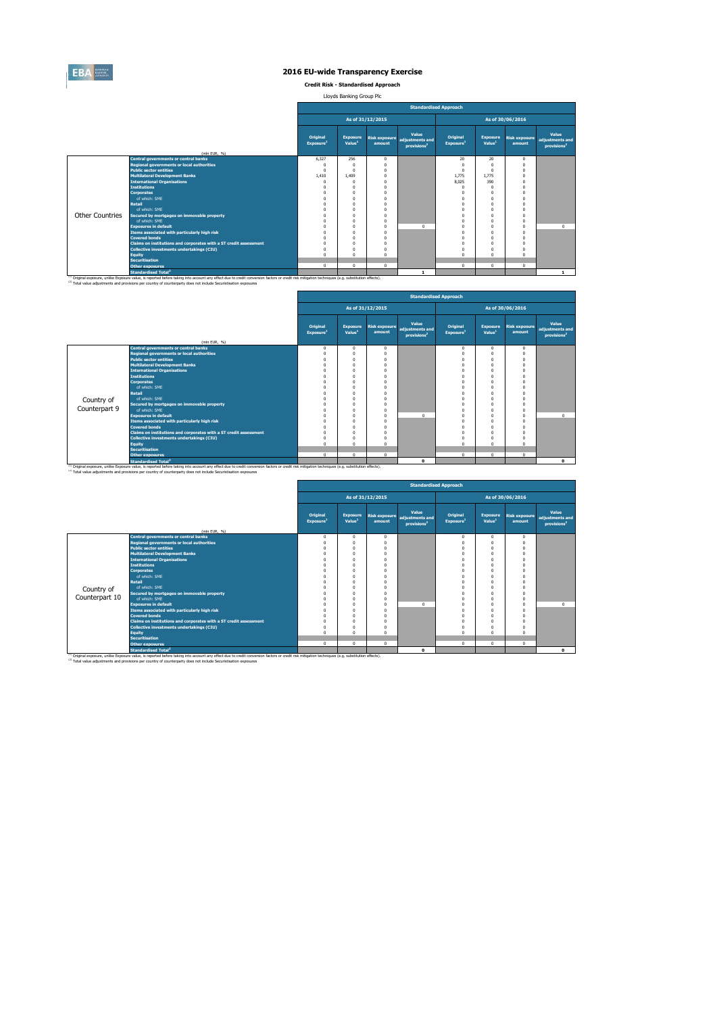

**Credit Risk - Standardised Approach**

Lloyds Banking Group Plc

|                        |                                                                                                                                                                                                                                                                                                                         |                                          |                                       |                  | <b>Standardised Approach</b>                                      |                                   |                                       |                                |                                                     |
|------------------------|-------------------------------------------------------------------------------------------------------------------------------------------------------------------------------------------------------------------------------------------------------------------------------------------------------------------------|------------------------------------------|---------------------------------------|------------------|-------------------------------------------------------------------|-----------------------------------|---------------------------------------|--------------------------------|-----------------------------------------------------|
|                        |                                                                                                                                                                                                                                                                                                                         |                                          |                                       | As of 31/12/2015 |                                                                   |                                   |                                       | As of 30/06/2016               |                                                     |
|                        | (mln EUR. %)                                                                                                                                                                                                                                                                                                            | <b>Original</b><br>Exposure <sup>1</sup> | <b>Exposure</b><br>Value <sup>1</sup> | amount           | Value<br>Risk exposure adjustments and<br>provisions <sup>2</sup> | Original<br>Exposure <sup>1</sup> | <b>Exposure</b><br>Value <sup>1</sup> | <b>Risk exposure</b><br>amount | Value<br>adjustments and<br>provisions <sup>2</sup> |
|                        | <b>Central governments or central banks</b>                                                                                                                                                                                                                                                                             | 6.327                                    | 256                                   | $\Omega$         |                                                                   | 20                                | 20                                    | $\Omega$                       |                                                     |
|                        | <b>Regional governments or local authorities</b>                                                                                                                                                                                                                                                                        |                                          | $\Omega$                              | $\Omega$         |                                                                   | $\Omega$                          | $\Omega$                              | $\Omega$                       |                                                     |
|                        | <b>Public sector entities</b>                                                                                                                                                                                                                                                                                           | $\Omega$                                 | $\Omega$                              | $\Omega$         |                                                                   | $\Omega$                          | $\Omega$                              | $\Omega$                       |                                                     |
|                        | <b>Multilateral Development Banks</b>                                                                                                                                                                                                                                                                                   | 1,410                                    | 1.409                                 |                  |                                                                   | 1.775                             | 1.775                                 | $\Omega$                       |                                                     |
|                        | <b>International Organisations</b>                                                                                                                                                                                                                                                                                      |                                          | n                                     |                  |                                                                   | 8.025                             | 390                                   | $\Omega$                       |                                                     |
|                        | <b>Institutions</b>                                                                                                                                                                                                                                                                                                     | n                                        | $\Omega$                              |                  |                                                                   | $\Omega$                          | $\Omega$                              | $\Omega$                       |                                                     |
|                        | <b>Corporates</b>                                                                                                                                                                                                                                                                                                       |                                          | O                                     |                  |                                                                   | $\Omega$                          | $\Omega$                              | $\Omega$                       |                                                     |
|                        | of which: SMF                                                                                                                                                                                                                                                                                                           |                                          | $\Omega$                              | $\Omega$         |                                                                   | $\Omega$                          | $\Omega$                              | $\Omega$                       |                                                     |
|                        | <b>Retail</b>                                                                                                                                                                                                                                                                                                           |                                          | $\Omega$                              | n                |                                                                   | $\Omega$                          | $\Omega$                              | $\Omega$                       |                                                     |
|                        | of which: SMF                                                                                                                                                                                                                                                                                                           |                                          | $\theta$                              |                  |                                                                   |                                   | $\Omega$                              | $\Omega$                       |                                                     |
| <b>Other Countries</b> | Secured by mortgages on immovable property                                                                                                                                                                                                                                                                              |                                          | $\Omega$                              | n                |                                                                   |                                   | $\Omega$                              | $\Omega$                       |                                                     |
|                        | of which: SMF                                                                                                                                                                                                                                                                                                           |                                          | $\Omega$                              |                  |                                                                   |                                   | $\Omega$                              | $\Omega$                       |                                                     |
|                        | <b>Exposures in default</b>                                                                                                                                                                                                                                                                                             |                                          | O                                     | $\Omega$         | $\Omega$                                                          | $\Omega$                          | $\Omega$                              | $\Omega$                       | $\Omega$                                            |
|                        | Items associated with particularly high risk                                                                                                                                                                                                                                                                            |                                          | $\Omega$                              | n                |                                                                   | $\Omega$                          | $\Omega$                              | $\Omega$                       |                                                     |
|                        | <b>Covered bonds</b>                                                                                                                                                                                                                                                                                                    |                                          | $\Omega$                              |                  |                                                                   | $\Omega$                          | $\Omega$                              | $\Omega$                       |                                                     |
|                        | Claims on institutions and corporates with a ST credit assessment                                                                                                                                                                                                                                                       | O                                        | $\Omega$                              | n                |                                                                   | $\Omega$                          | $\Omega$                              | $\Omega$                       |                                                     |
|                        | Collective investments undertakings (CIU)                                                                                                                                                                                                                                                                               | n                                        | $\Omega$                              | n                |                                                                   | $\Omega$                          | $\Omega$                              |                                |                                                     |
|                        | <b>Equity</b>                                                                                                                                                                                                                                                                                                           | $\Omega$                                 | $\Omega$                              | n                |                                                                   | $\Omega$                          | $\Omega$                              | $\Omega$                       |                                                     |
|                        | <b>Securitisation</b>                                                                                                                                                                                                                                                                                                   |                                          |                                       |                  |                                                                   |                                   |                                       |                                |                                                     |
|                        | <b>Other exposures</b>                                                                                                                                                                                                                                                                                                  | $\mathbf 0$                              | $\mathbf{0}$                          | $\Omega$         |                                                                   | $\mathbf 0$                       | $\Omega$                              | $\mathbf{0}$                   |                                                     |
|                        | <b>Standardised Total<sup>2</sup></b>                                                                                                                                                                                                                                                                                   |                                          |                                       |                  |                                                                   |                                   |                                       |                                | $\mathbf{1}$                                        |
|                        | (1) Original exposure, unlike Exposure value, is reported before taking into account any effect due to credit conversion factors or credit risk mitigation techniques (e.g. substitution effects).<br>(2) Total value adjustments and provisions per country of counterparty does not include Securistisation exposures |                                          |                                       |                  |                                                                   |                                   |                                       |                                |                                                     |

|               |                                                                   |                                   |                                       |                                |                                                     | <b>Standardised Approach</b>      |                                       |                                |                                                     |
|---------------|-------------------------------------------------------------------|-----------------------------------|---------------------------------------|--------------------------------|-----------------------------------------------------|-----------------------------------|---------------------------------------|--------------------------------|-----------------------------------------------------|
|               |                                                                   |                                   |                                       | As of 31/12/2015               |                                                     |                                   |                                       | As of 30/06/2016               |                                                     |
|               | (mln EUR, %)                                                      | Original<br>Exposure <sup>1</sup> | <b>Exposure</b><br>Value <sup>1</sup> | <b>Risk exposure</b><br>amount | Value<br>adjustments and<br>provisions <sup>2</sup> | Original<br>Exposure <sup>1</sup> | <b>Exposure</b><br>Value <sup>1</sup> | <b>Risk exposure</b><br>amount | Value<br>adjustments and<br>provisions <sup>2</sup> |
|               | <b>Central governments or central banks</b>                       | $\mathbf 0$                       | $\mathbf{0}$                          | 0                              |                                                     | $\mathbf{0}$                      | $\Omega$                              | $\mathbf{0}$                   |                                                     |
|               | <b>Regional governments or local authorities</b>                  | $\Omega$                          | $\Omega$                              |                                |                                                     | $\Omega$                          |                                       | $\Omega$                       |                                                     |
|               | <b>Public sector entities</b>                                     | $^{\circ}$                        | $\Omega$                              |                                |                                                     | $\Omega$                          |                                       | $\Omega$                       |                                                     |
|               | <b>Multilateral Development Banks</b>                             | $\Omega$                          | $\Omega$                              |                                |                                                     | $\Omega$                          |                                       |                                |                                                     |
|               | <b>International Organisations</b>                                | $\Omega$                          | $\Omega$                              |                                |                                                     | $\Omega$                          | $\Omega$                              |                                |                                                     |
|               | <b>Institutions</b>                                               | $\Omega$                          | $\Omega$                              |                                |                                                     | $\Omega$                          |                                       |                                |                                                     |
|               | <b>Corporates</b>                                                 | $\Omega$                          | $\Omega$                              |                                |                                                     | $\Omega$                          | $\Omega$                              | $\Omega$                       |                                                     |
|               | of which: SME                                                     | $\Omega$                          | $\Omega$                              |                                |                                                     | $\Omega$                          |                                       | $\Omega$                       |                                                     |
|               | <b>Retail</b>                                                     | $\Omega$                          | $\Omega$                              |                                |                                                     | $\Omega$                          | $\Omega$                              |                                |                                                     |
| Country of    | of which: SMF                                                     | $\Omega$                          | $\Omega$                              |                                |                                                     |                                   |                                       |                                |                                                     |
|               | Secured by mortgages on immovable property                        | $\Omega$                          | $\Omega$                              |                                |                                                     | O                                 |                                       |                                |                                                     |
| Counterpart 9 | of which: SME                                                     | $\Omega$                          | $\Omega$                              |                                |                                                     | $\Omega$                          |                                       | $\Omega$                       |                                                     |
|               | <b>Exposures in default</b>                                       | $\Omega$                          | $\Omega$                              |                                | $\Omega$                                            | $\Omega$                          |                                       | $\Omega$                       | $^{\circ}$                                          |
|               | Items associated with particularly high risk                      | $\Omega$                          | $\Omega$                              |                                |                                                     | $\Omega$                          |                                       |                                |                                                     |
|               | <b>Covered bonds</b>                                              | $\Omega$                          | $\Omega$                              |                                |                                                     | 0                                 |                                       |                                |                                                     |
|               | Claims on institutions and corporates with a ST credit assessment | $\Omega$                          | $\Omega$                              |                                |                                                     | $\Omega$                          | $\Omega$                              | $\Omega$                       |                                                     |
|               | Collective investments undertakings (CIU)                         | $^{\circ}$                        | $\Omega$                              |                                |                                                     | $\Omega$                          |                                       |                                |                                                     |
|               | <b>Equity</b>                                                     | $\Omega$                          | $\Omega$                              |                                |                                                     | $\Omega$                          | $\Omega$                              | $\Omega$                       |                                                     |
|               | <b>Securitisation</b>                                             |                                   |                                       |                                |                                                     |                                   |                                       |                                |                                                     |
|               | <b>Other exposures</b>                                            | $\Omega$                          | $\Omega$                              | 0                              |                                                     | $\Omega$                          | $\Omega$                              | $\Omega$                       |                                                     |
|               | <b>Standardised Total<sup>2</sup></b>                             |                                   |                                       |                                | $\mathbf{0}$                                        |                                   |                                       |                                | $\mathbf{0}$                                        |

<sup>10</sup> Original exposure, unlike Exposure Total of Total Total Total Count any effect due to credit conversion factors or credit risk mitigation techniques (e.g. substitution effects).<br><sup>21</sup> Total value adjustments and provis

|                |                                                                                                                                                                                                               |                                   |                                       |                                | <b>Standardised Approach</b>                        |                                   |                                       |                                |                                                     |
|----------------|---------------------------------------------------------------------------------------------------------------------------------------------------------------------------------------------------------------|-----------------------------------|---------------------------------------|--------------------------------|-----------------------------------------------------|-----------------------------------|---------------------------------------|--------------------------------|-----------------------------------------------------|
|                |                                                                                                                                                                                                               |                                   |                                       | As of 31/12/2015               |                                                     |                                   |                                       | As of 30/06/2016               |                                                     |
|                | (mln EUR, %)                                                                                                                                                                                                  | Original<br>Exposure <sup>1</sup> | <b>Exposure</b><br>Value <sup>1</sup> | <b>Risk exposure</b><br>amount | Value<br>adjustments and<br>provisions <sup>2</sup> | Original<br>Exposure <sup>1</sup> | <b>Exposure</b><br>Value <sup>1</sup> | <b>Risk exposure</b><br>amount | Value<br>adjustments and<br>provisions <sup>2</sup> |
|                | <b>Central governments or central banks</b>                                                                                                                                                                   | $\mathbf 0$                       | $^{\circ}$                            | $\Omega$                       |                                                     | $\mathbf{0}$                      | $\mathbf 0$                           | $\Omega$                       |                                                     |
|                | <b>Regional governments or local authorities</b>                                                                                                                                                              | $\Omega$                          |                                       |                                |                                                     | $\Omega$                          | $\Omega$                              | $\Omega$                       |                                                     |
|                | <b>Public sector entities</b>                                                                                                                                                                                 | O                                 | O                                     |                                |                                                     | $\Omega$                          | $\Omega$                              | £                              |                                                     |
|                | <b>Multilateral Development Banks</b>                                                                                                                                                                         | O                                 | n                                     |                                |                                                     | $\Omega$                          | $\Omega$                              | $\Omega$                       |                                                     |
|                | <b>International Organisations</b>                                                                                                                                                                            | O                                 | O                                     |                                |                                                     | $\Omega$                          | $\Omega$                              | £                              |                                                     |
|                | <b>Institutions</b>                                                                                                                                                                                           | n                                 |                                       |                                |                                                     |                                   | $\Omega$                              |                                |                                                     |
|                | <b>Corporates</b>                                                                                                                                                                                             | n                                 | n                                     |                                |                                                     | $\Omega$                          | $\Omega$                              |                                |                                                     |
|                | of which: SME                                                                                                                                                                                                 |                                   |                                       |                                |                                                     |                                   | $\Omega$                              |                                |                                                     |
|                | Retail                                                                                                                                                                                                        | O                                 | O                                     |                                |                                                     | $\Omega$                          | $\Omega$                              | O                              |                                                     |
| Country of     | of which: SMF                                                                                                                                                                                                 | Ō                                 | O                                     |                                |                                                     | $\Omega$                          | $\Omega$                              | £                              |                                                     |
| Counterpart 10 | Secured by mortgages on immovable property<br>of which: SMF                                                                                                                                                   | $\Omega$                          |                                       |                                |                                                     |                                   | $\Omega$<br>$\Omega$                  |                                |                                                     |
|                | <b>Exposures in default</b>                                                                                                                                                                                   | 0<br>0                            | O<br>O                                |                                | $\Omega$                                            | $\Omega$<br>$\Omega$              | $\Omega$                              | £<br>$\Omega$                  | $\Omega$                                            |
|                |                                                                                                                                                                                                               | n                                 |                                       |                                |                                                     | $\Omega$                          | $\Omega$                              |                                |                                                     |
|                | Items associated with particularly high risk<br><b>Covered bonds</b>                                                                                                                                          | 0                                 | O                                     |                                |                                                     | $\Omega$                          | $\Omega$                              | $\Omega$                       |                                                     |
|                | Claims on institutions and corporates with a ST credit assessment                                                                                                                                             | 0                                 | O                                     |                                |                                                     | $\Omega$                          | $\Omega$                              | $\Omega$                       |                                                     |
|                | Collective investments undertakings (CIU)                                                                                                                                                                     | $\Omega$                          | O                                     |                                |                                                     | $\Omega$                          | $\Omega$                              |                                |                                                     |
|                | <b>Equity</b>                                                                                                                                                                                                 | $\Omega$                          | $\theta$                              |                                |                                                     | $\Omega$                          | $\Omega$                              | $\Omega$                       |                                                     |
|                | <b>Securitisation</b>                                                                                                                                                                                         |                                   |                                       |                                |                                                     |                                   |                                       |                                |                                                     |
|                | <b>Other exposures</b>                                                                                                                                                                                        | $\mathbf 0$                       | $\mathbf{0}$                          | $\Omega$                       |                                                     | $\mathbf{0}$                      | $\Omega$                              | $\Omega$                       |                                                     |
|                | <b>Standardised Total<sup>2</sup></b>                                                                                                                                                                         |                                   |                                       |                                | $\Omega$                                            |                                   |                                       |                                | $\Omega$                                            |
|                | <sup>(1)</sup> Original exposure, unlike Exposure value, is reported before taking into account any effect due to credit conversion factors or credit risk mitigation techniques (e.g. substitution effects). |                                   |                                       |                                |                                                     |                                   |                                       |                                |                                                     |
|                | (2) Total value adjustments and provisions per country of counterparty does not include Securistisation exposures                                                                                             |                                   |                                       |                                |                                                     |                                   |                                       |                                |                                                     |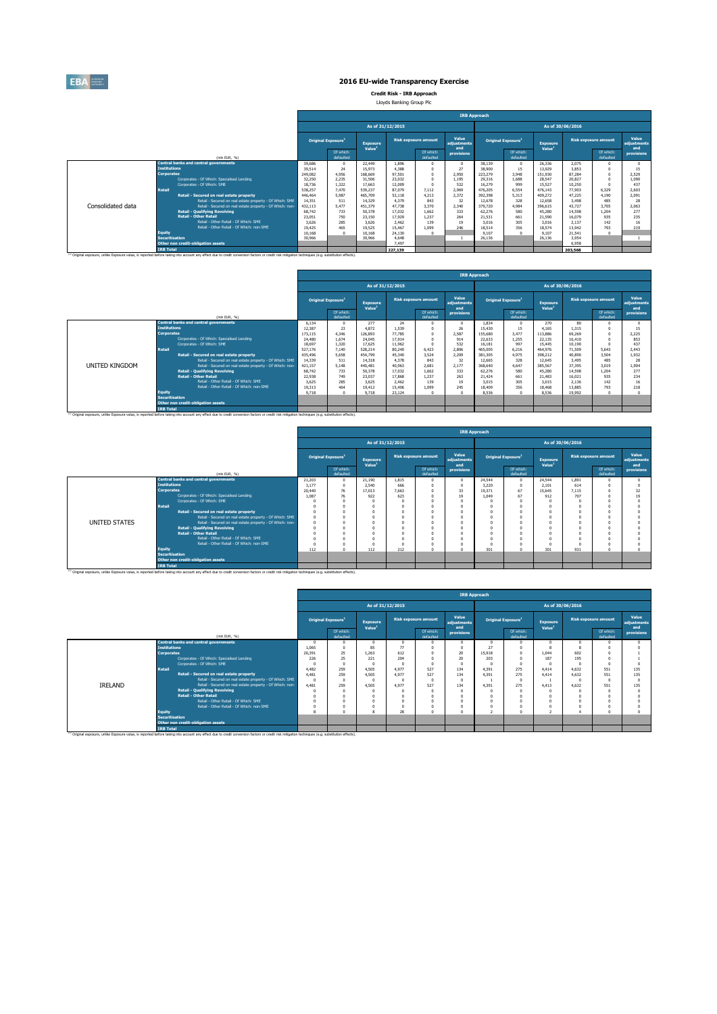

**Credit Risk - IRB Approach** Lloyds Banking Group Plc

|                   |                                                                                                                                                                                                              |                   |                                |                                       |                  |                             |                             | <b>IRB Approach</b> |                                |                                       |                  |                             |                             |
|-------------------|--------------------------------------------------------------------------------------------------------------------------------------------------------------------------------------------------------------|-------------------|--------------------------------|---------------------------------------|------------------|-----------------------------|-----------------------------|---------------------|--------------------------------|---------------------------------------|------------------|-----------------------------|-----------------------------|
|                   |                                                                                                                                                                                                              |                   |                                |                                       | As of 31/12/2015 |                             |                             |                     |                                |                                       | As of 30/06/2016 |                             |                             |
|                   |                                                                                                                                                                                                              |                   | Original Exposure <sup>1</sup> | <b>Exposure</b><br>Value <sup>1</sup> |                  | <b>Risk exposure amount</b> | Value<br>adiustments<br>and |                     | Original Exposure <sup>1</sup> | <b>Exposure</b><br>Value <sup>1</sup> |                  | <b>Risk exposure amount</b> | Value<br>adiustments<br>and |
|                   | (mln EUR. %)                                                                                                                                                                                                 |                   | Of which:<br>defaulted         |                                       |                  | Of which:<br>defaulted      | provisions                  |                     | Of which:<br>defaulted         |                                       |                  | Of which:<br>defaulted      | provisions                  |
|                   | <b>Central banks and central governments</b>                                                                                                                                                                 | 39,686            | $\Omega$                       | 22,449                                | 1.896            |                             | $\theta$                    | 38.139              | $\Omega$                       | 26.336                                | 2.075            |                             |                             |
|                   | <b>Tnstitutions</b>                                                                                                                                                                                          | 39.514            | 24                             | 15.973                                | 4,388            | $\theta$                    | 27                          | 38,900              | 15                             | 13.929                                | 3.853            |                             | 15                          |
|                   | <b>Corporates</b>                                                                                                                                                                                            | 249.082<br>32.250 | 4.956<br>2.235                 | 168,669                               | 97.501           | $\Omega$                    | 2.950                       | 223,279             | 3,948                          | 151,930                               | 87.284           |                             | 2.529                       |
|                   | Corporates - Of Which: Specialised Lending                                                                                                                                                                   |                   |                                | 31.506                                | 23.032           | $\Omega$                    | 1.195                       | 29.316              | 1,688                          | 28.547                                | 20.827           |                             | 1.090                       |
|                   | Comorates - Of Which: SME                                                                                                                                                                                    |                   | 1.322                          | 17,663                                | 12,009           | $\Omega$                    | 532                         | 16.279              | 999                            | 15.527                                | 10.250           |                             | 437                         |
|                   | <b>Retail</b>                                                                                                                                                                                                | 538.257           | 7.470                          | 539,237                               | 87.079           | 7.112                       | 2.969                       | 476,205             | 6.554                          | 476.143                               | 77.903           | 6.329                       | 2.603                       |
|                   | Retail - Secured on real estate property                                                                                                                                                                     | 446,464           | 5.987                          | 465,709                               | 52.118           | 4.213                       | 2.372                       | 392,398             | 5.313                          | 409.272                               | 47.225           | 4.190                       | 2.091                       |
|                   | Retail - Secured on real estate property - Of Which: SME                                                                                                                                                     | 14.351            | 511                            | 14.329                                | 4.379            | 843                         | 32                          | 12,678              | 328                            | 12,658                                | 3.498            | 485                         | 28                          |
| Consolidated data | Retail - Secured on real estate property - Of Which: non-                                                                                                                                                    | 432.113           | 5.477                          | 451.379                               | 47.738           | 3,370                       | 2.340                       | 379,720             | 4.984                          | 396.615                               | 43.727           | 3.705                       | 2.063                       |
|                   | <b>Retail - Qualifying Revolving</b>                                                                                                                                                                         | 68.742            | 733                            | 50.378                                | 17.032           | 1.662                       | 333                         | 62.276              | 580                            | 45,280                                | 14.598           | 1.204                       | 277                         |
|                   | <b>Retail - Other Retail</b>                                                                                                                                                                                 | 23.051            | 750                            | 23,150                                | 17,929           | 1.237                       | 264                         | 21.531              | 661                            | 21.590                                | 16.079           | 935                         | 235                         |
|                   | Retail - Other Retail - Of Which: SME                                                                                                                                                                        | 3.626             | 285                            | 3.626                                 | 2.462            | 139                         | 19                          | 3.016               | 305                            | 3.016                                 | 2.137            | 142                         | 16                          |
|                   | Retail - Other Retail - Of Which: non-SME                                                                                                                                                                    | 19.425            | 465                            | 19.525                                | 15.467           | 1.099                       | 246                         | 18.514              | 356                            | 18.574                                | 13.942           | 793                         | 219                         |
|                   | <b>Equity</b>                                                                                                                                                                                                | 10.168            | $\sqrt{2}$                     | 10.168                                | 24,130           | $\Omega$                    |                             | 9.107               |                                | 9.107                                 | 21.541           |                             |                             |
|                   | <b>Securitisation</b>                                                                                                                                                                                        | 30,966            |                                | 30,966                                | 4,648            |                             |                             | 26.136              |                                | 26.136                                | 3.954            |                             |                             |
|                   | Other non credit-obligation assets                                                                                                                                                                           |                   |                                |                                       | 7.497            |                             |                             |                     |                                |                                       | 6.958            |                             |                             |
|                   | <b>IRB Total</b>                                                                                                                                                                                             |                   |                                |                                       | 227.139          |                             |                             |                     |                                |                                       | 203,568          |                             |                             |
|                   | <sup>(1)</sup> Original exposure, unlike Exposure value, is reported before taking into account any effect due to credit conversion factors or credit risk mitigation techniques (e.g. substitution effects) |                   |                                |                                       |                  |                             |                             |                     |                                |                                       |                  |                             |                             |

|                |                                            |                                                                                                                                                                                                              |         |                                |                                       |                  |                             |                             | <b>IRB Approach</b> |                                       |                                       |                  |                             |                             |
|----------------|--------------------------------------------|--------------------------------------------------------------------------------------------------------------------------------------------------------------------------------------------------------------|---------|--------------------------------|---------------------------------------|------------------|-----------------------------|-----------------------------|---------------------|---------------------------------------|---------------------------------------|------------------|-----------------------------|-----------------------------|
|                |                                            |                                                                                                                                                                                                              |         |                                |                                       | As of 31/12/2015 |                             |                             |                     |                                       |                                       | As of 30/06/2016 |                             |                             |
|                |                                            |                                                                                                                                                                                                              |         | Original Exposure <sup>1</sup> | <b>Exposure</b><br>Value <sup>1</sup> |                  | <b>Risk exposure amount</b> | Value<br>adiustments<br>and |                     | <b>Original Exposure</b> <sup>1</sup> | <b>Exposure</b><br>Value <sup>1</sup> |                  | <b>Risk exposure amount</b> | Value<br>adiustments<br>and |
|                |                                            | (min EUR. %)                                                                                                                                                                                                 |         | Of which:<br>defaulted         |                                       |                  | Of which:<br>defaulted      | provisions                  |                     | Of which:<br>defaulted                |                                       |                  | Of which:<br>defaulted      | provisions                  |
|                |                                            | <b>Central banks and central governments</b>                                                                                                                                                                 | 6.134   |                                | 277                                   | 24               |                             | $\Omega$                    | 1.834               | $\Omega$                              | 270                                   | 80               | n                           |                             |
|                | <b>Institutions</b>                        |                                                                                                                                                                                                              | 12.387  | 23                             | 4.872                                 | 1.539            |                             | 26                          | 15,430              | 15                                    | 4.165                                 | 1.315            |                             | 15                          |
|                | <b>Corporates</b>                          |                                                                                                                                                                                                              | 173,115 | 4.346                          | 126.893                               | 77,785           |                             | 2.587                       | 155,680             | 3.477                                 | 113,886                               | 69,269           |                             | 2.225                       |
|                | Corporates - Of Which: Specialised Lending |                                                                                                                                                                                                              | 24,480  | 1.674                          | 24.045                                | 17.914           |                             | 914                         | 22,633              | 1.255                                 | 22.135                                | 16,410           |                             | 853                         |
|                |                                            | Comorates - Of Which: SME                                                                                                                                                                                    | 18,697  | 1.320                          | 17.625                                | 11.962           |                             | 532                         | 16.181              | 997                                   | 15,445                                | 10.190           |                             | 437                         |
|                | <b>Retail</b>                              |                                                                                                                                                                                                              | 527,176 | 7.140                          | 528.214                               | 80,240           | 6.423                       | 2.806                       | 465,005             | 6.216                                 | 464.976                               | 71,509           | 5.643                       | 2.443                       |
|                |                                            | Retail - Secured on real estate property                                                                                                                                                                     | 435,496 | 5.658                          | 454.799                               | 45.340           | 3.524                       | 2.209                       | 381.305             | 4.975                                 | 398.212                               | 40.890           | 3.504                       | 1.932                       |
|                |                                            | Retail - Secured on real estate property - Of Which: SME                                                                                                                                                     | 14.339  | 511                            | 14.318                                | 4,378            | 843                         | 32                          | 12.665              | 328                                   | 12.645                                | 3.495            | 485                         | 28                          |
| UNITED KINGDOM |                                            | Retail - Secured on real estate property - Of Which: non-                                                                                                                                                    | 421,157 | 5.148                          | 440.481                               | 40,963           | 2,681                       | 2.177                       | 368,640             | 4.647                                 | 385.567                               | 37,395           | 3.019                       | 1.904                       |
|                |                                            | <b>Retail - Qualifying Revolving</b>                                                                                                                                                                         | 68.742  | 733                            | 50.378                                | 17.032           | 1,662                       | 333                         | 62.276              | 580                                   | 45,280                                | 14,598           | 1.204                       | 277                         |
|                |                                            | <b>Retail - Other Retail</b>                                                                                                                                                                                 | 22,938  | 749                            | 23.037                                | 17,868           | 1.237                       | 263                         | 21,424              | 661                                   | 21,483                                | 16.021           | 935                         | 234                         |
|                |                                            | Retail - Other Retail - Of Which: SME                                                                                                                                                                        | 3.625   | 285                            | 3.625                                 | 2.462            | 139                         | 19                          | 3.015               | 305                                   | 3.015                                 | 2.136            | 142                         | 16                          |
|                |                                            | Retail - Other Retail - Of Which: non-SME                                                                                                                                                                    | 19.313  | 464                            | 19.412                                | 15,406           | 1.099                       | 245                         | 18,409              | 356                                   | 18,468                                | 13,885           | 793                         | 218                         |
|                | <b>Equity</b>                              |                                                                                                                                                                                                              | 9.718   |                                | 9.718                                 | 23.124           | $\Omega$                    | $\Omega$                    | 8.536               | $\Omega$                              | 8.536                                 | 19,992           | $\Omega$                    |                             |
|                | <b>Securitisation</b>                      |                                                                                                                                                                                                              |         |                                |                                       |                  |                             |                             |                     |                                       |                                       |                  |                             |                             |
|                |                                            | Other non credit-obligation assets                                                                                                                                                                           |         |                                |                                       |                  |                             |                             |                     |                                       |                                       |                  |                             |                             |
|                | <b>IRB Total</b>                           |                                                                                                                                                                                                              |         |                                |                                       |                  |                             |                             |                     |                                       |                                       |                  |                             |                             |
|                |                                            | <sup>(3)</sup> Original exposure, unlike Exposure value, is reported before taking into account any effect due to credit conversion factors or credit risk mitigation techniques (e.g. substitution effects) |         |                                |                                       |                  |                             |                             |                     |                                       |                                       |                  |                             |                             |

|               |                                                                                                                                                                                                                       |        |                                |                                       |                  |                             |                             | <b>IRB Approach</b> |                                |                                |                  |                             |                             |
|---------------|-----------------------------------------------------------------------------------------------------------------------------------------------------------------------------------------------------------------------|--------|--------------------------------|---------------------------------------|------------------|-----------------------------|-----------------------------|---------------------|--------------------------------|--------------------------------|------------------|-----------------------------|-----------------------------|
|               |                                                                                                                                                                                                                       |        |                                |                                       | As of 31/12/2015 |                             |                             |                     |                                |                                | As of 30/06/2016 |                             |                             |
|               |                                                                                                                                                                                                                       |        | Original Exposure <sup>1</sup> | <b>Exposure</b><br>Value <sup>1</sup> |                  | <b>Risk exposure amount</b> | Value<br>adjustments<br>and |                     | Original Exposure <sup>1</sup> | Exposure<br>Value <sup>1</sup> |                  | <b>Risk exposure amount</b> | Value<br>adiustments<br>and |
|               | (min EUR, %)                                                                                                                                                                                                          |        | Of which:<br>defaulted         |                                       |                  | Of which:<br>defaulted      | provisions                  |                     | Of which:<br>defaulted         |                                |                  | Of which:<br>defaulted      | provisions                  |
|               | <b>Central banks and central governments</b>                                                                                                                                                                          | 21,203 |                                | 21,190                                | 1.815            |                             | $^{\circ}$                  | 24,544              |                                | 24,544                         | 1.891            |                             |                             |
|               | <b>Institutions</b>                                                                                                                                                                                                   | 3.177  |                                | 2.540                                 | 666              |                             | $^{\circ}$                  | 3.220               |                                | 2.101                          | 614              |                             |                             |
|               | <b>Corporates</b>                                                                                                                                                                                                     | 20.440 | 76                             | 17.013                                | 7.663            |                             | 33                          | 19.371              | 67                             | 15.645                         | 7.115            |                             | 32                          |
|               | Corporates - Of Which: Specialised Lending                                                                                                                                                                            | 1.087  | 76                             | 922                                   | 623              |                             | 19                          | 1.049               | 67                             | 912                            | 707              |                             |                             |
|               | Corporates - Of Which: SME                                                                                                                                                                                            |        |                                | n                                     |                  |                             | $\Omega$                    |                     |                                |                                |                  |                             |                             |
|               | <b>Retail</b>                                                                                                                                                                                                         |        |                                |                                       |                  |                             | $\Omega$                    |                     |                                |                                |                  |                             |                             |
|               | Retail - Secured on real estate property                                                                                                                                                                              |        |                                |                                       |                  |                             | $\Omega$                    |                     |                                |                                |                  |                             |                             |
|               | Retail - Secured on real estate property - Of Which: SME                                                                                                                                                              |        |                                |                                       |                  |                             | $\Omega$                    |                     |                                |                                |                  |                             |                             |
| UNITED STATES | Retail - Secured on real estate property - Of Which: non-                                                                                                                                                             |        |                                |                                       |                  |                             | $\Omega$                    |                     |                                |                                |                  |                             |                             |
|               | <b>Retail - Qualifying Revolving</b>                                                                                                                                                                                  |        |                                |                                       |                  |                             | $\Omega$                    |                     |                                |                                |                  |                             |                             |
|               | <b>Retail - Other Retail</b>                                                                                                                                                                                          |        |                                |                                       |                  |                             | $\Omega$                    |                     |                                |                                |                  |                             |                             |
|               | Retail - Other Retail - Of Which: SME                                                                                                                                                                                 |        |                                |                                       |                  |                             | $\Omega$                    |                     |                                |                                |                  |                             |                             |
|               | Retail - Other Retail - Of Which: non-SME                                                                                                                                                                             |        |                                |                                       |                  |                             | $\Omega$                    |                     |                                |                                |                  |                             |                             |
|               | Equity                                                                                                                                                                                                                | 112    |                                | 112                                   | 212              |                             | $\Omega$                    | 301                 |                                | 301                            | 931              |                             |                             |
|               | <b>Securitisation</b>                                                                                                                                                                                                 |        |                                |                                       |                  |                             |                             |                     |                                |                                |                  |                             |                             |
|               | Other non credit-obligation assets                                                                                                                                                                                    |        |                                |                                       |                  |                             |                             |                     |                                |                                |                  |                             |                             |
|               | <b>IRB Total</b><br>(3) Original exposure, unlike Exposure value, is reported before taking into account any effect due to credit conversion factors or credit risk mitigation techniques (e.g. substitution effects) |        |                                |                                       |                  |                             |                             |                     |                                |                                |                  |                             |                             |

|                       |                                                                                                                                                                                                                                   |          |                                       |                                       |                  |                             | <b>IRB Approach</b>         |                                |                        |                                       |                  |                             |                             |
|-----------------------|-----------------------------------------------------------------------------------------------------------------------------------------------------------------------------------------------------------------------------------|----------|---------------------------------------|---------------------------------------|------------------|-----------------------------|-----------------------------|--------------------------------|------------------------|---------------------------------------|------------------|-----------------------------|-----------------------------|
|                       |                                                                                                                                                                                                                                   |          |                                       |                                       | As of 31/12/2015 |                             |                             |                                |                        |                                       | As of 30/06/2016 |                             |                             |
|                       |                                                                                                                                                                                                                                   |          | <b>Original Exposure</b> <sup>1</sup> | <b>Exposure</b><br>Value <sup>1</sup> |                  | <b>Risk exposure amount</b> | Value<br>adjustments<br>and | Original Exposure <sup>1</sup> |                        | <b>Exposure</b><br>Value <sup>1</sup> |                  | <b>Risk exposure amount</b> | Value<br>adjustments<br>and |
|                       | (min EUR, %)                                                                                                                                                                                                                      |          | Of which:<br>defaulted                |                                       |                  | Of which:<br>defaulted      | provisions                  |                                | Of which:<br>defaulted |                                       |                  | Of which:<br>defaulted      | provisions                  |
|                       | <b>Central banks and central governments</b>                                                                                                                                                                                      |          |                                       | $\Omega$                              |                  |                             |                             | $\Omega$                       |                        |                                       |                  |                             |                             |
|                       | <b>Institutions</b>                                                                                                                                                                                                               | 1.065    | $\Omega$                              | 85                                    | 77               |                             |                             | 27                             |                        |                                       |                  |                             |                             |
|                       | <b>Corporates</b>                                                                                                                                                                                                                 | 20.391   | 25                                    | 1.263                                 | 612              |                             | 20                          | 15.918                         | $\Omega$               | 1.044                                 | 602              |                             |                             |
|                       | Corporates - Of Which: Specialised Lending                                                                                                                                                                                        | 226      | 25                                    | 221                                   | 204              |                             | 20                          | 203                            |                        | 187                                   | 195              |                             |                             |
|                       | Corporates - Of Which: SME                                                                                                                                                                                                        |          |                                       |                                       |                  |                             |                             | n                              | $\Omega$               |                                       |                  |                             |                             |
|                       | Retail                                                                                                                                                                                                                            | 4.482    | 259                                   | 4.505                                 | 4.977            | 527                         | 134                         | 4.391                          | 275                    | 4.414                                 | 4.632            | 551                         | 135                         |
|                       | Retail - Secured on real estate property                                                                                                                                                                                          | 4.481    | 259                                   | 4.505                                 | 4.977            | 527                         | 134                         | 4.391                          | 275                    | 4.414                                 | 4.632            | 551                         | 135                         |
|                       | Retail - Secured on real estate property - Of Which: SME                                                                                                                                                                          | $\Omega$ |                                       |                                       |                  |                             |                             |                                | $\Omega$               |                                       |                  |                             |                             |
| <b><i>IRELAND</i></b> | Retail - Secured on real estate property - Of Which: non-                                                                                                                                                                         | 4,481    | 259                                   | 4,505                                 | 4,977            | 527                         | 134                         | 4.391                          | 275                    | 4.413                                 | 4.632            | 551                         | 135                         |
|                       | <b>Retail - Qualifving Revolving</b>                                                                                                                                                                                              |          |                                       |                                       |                  |                             |                             |                                |                        |                                       |                  |                             |                             |
|                       | <b>Retail - Other Retail</b>                                                                                                                                                                                                      |          |                                       |                                       |                  |                             |                             | $\Omega$                       |                        |                                       |                  |                             |                             |
|                       | Retail - Other Retail - Of Which: SME                                                                                                                                                                                             |          |                                       |                                       |                  |                             |                             | $\Omega$                       |                        |                                       |                  |                             |                             |
|                       | Retail - Other Retail - Of Which: non-SME                                                                                                                                                                                         |          |                                       |                                       |                  |                             |                             | $\Omega$                       |                        |                                       |                  |                             |                             |
|                       | <b>Equity</b>                                                                                                                                                                                                                     |          |                                       |                                       | 28               |                             |                             | ×,                             |                        |                                       |                  |                             |                             |
|                       | <b>Securitisation</b>                                                                                                                                                                                                             |          |                                       |                                       |                  |                             |                             |                                |                        |                                       |                  |                             |                             |
|                       | Other non credit-obligation assets                                                                                                                                                                                                |          |                                       |                                       |                  |                             |                             |                                |                        |                                       |                  |                             |                             |
|                       | <b>IRB Total</b><br><sup>(1)</sup> Original exposure, unlike Exposure value, is reported before taking into account any effect due to credit conversion factors or credit risk mitigation techniques (e.g. substitution effects). |          |                                       |                                       |                  |                             |                             |                                |                        |                                       |                  |                             |                             |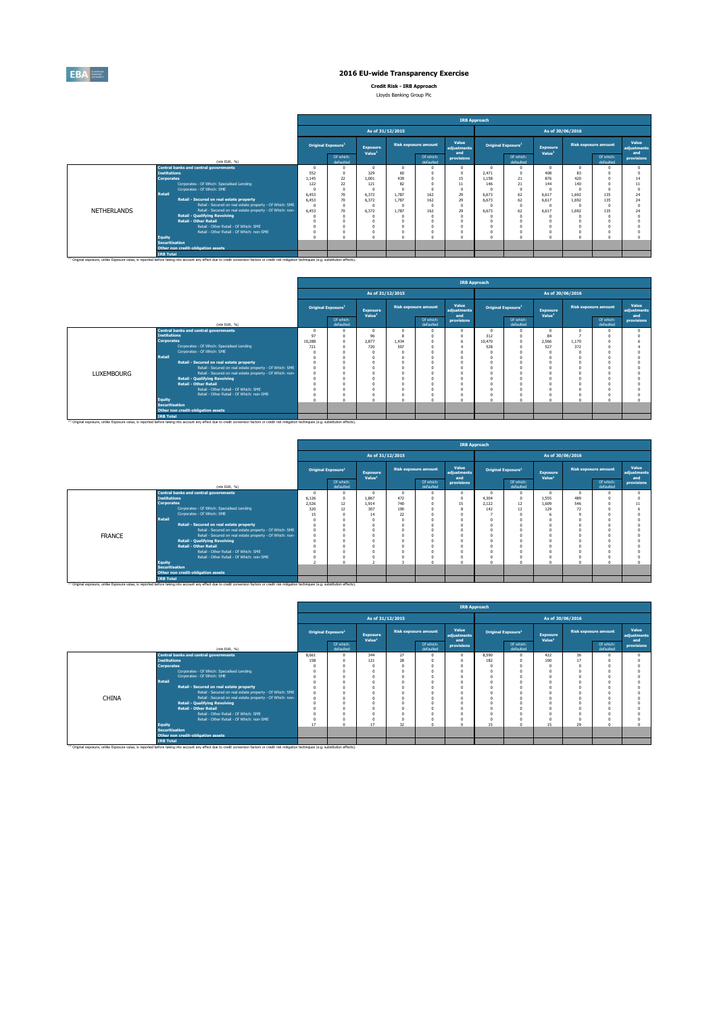

**Securitisation Other non credit-obligation assets**

(1) Original exposure, unlike Exposure value, is reported before taking into account any effect due to credit conversion factors or credit risk mitigation techniques (e.g. substitution effects).

**IRB Total**

### **2016 EU-wide Transparency Exercise**

**Credit Risk - IRB Approach** Lloyds Banking Group Plc

**Retail - Other Retail** 0 0 0 0 0 0 0 0 0 0 0 0 Retail - Other Retail - Of Which: SME 0 0 0 0 0 0 0 0 0 0 0 0 Retail - Other Retail - Of Which: non-SME 0 0 0 0 0 0 0 0 0 0 0 0 **Equity** 0 0 0 0 0 0 0 0 0 0 0 0

|             |                     |                                                           |       |                                |                                       |                  |                             | <b>IRB Approach</b>         |       |                                |                                       |                  |                             |                             |
|-------------|---------------------|-----------------------------------------------------------|-------|--------------------------------|---------------------------------------|------------------|-----------------------------|-----------------------------|-------|--------------------------------|---------------------------------------|------------------|-----------------------------|-----------------------------|
|             |                     |                                                           |       |                                |                                       | As of 31/12/2015 |                             |                             |       |                                |                                       | As of 30/06/2016 |                             |                             |
|             |                     |                                                           |       | Original Exposure <sup>1</sup> | <b>Exposure</b><br>Value <sup>1</sup> |                  | <b>Risk exposure amount</b> | Value<br>adjustments<br>and |       | Original Exposure <sup>1</sup> | <b>Exposure</b><br>Value <sup>1</sup> |                  | <b>Risk exposure amount</b> | Value<br>adjustments<br>and |
|             |                     | (min EUR. %)                                              |       | Of which:<br>defaulted         |                                       |                  | Of which:<br>defaulted      | provisions                  |       | Of which:<br>defaulted         |                                       |                  | Of which:<br>defaulted      | provisions                  |
|             | <b>Institutions</b> | <b>Central banks and central governments</b>              | 552   | n                              | 329                                   | 60               |                             | $\Omega$<br>$\Omega$        | 2.471 | $\Omega$<br>$^{\circ}$         | 408                                   | 83               |                             |                             |
|             | <b>Corporates</b>   |                                                           | 1.145 | 22                             | 1.001                                 | 439              |                             | 15                          | 1.158 | 21                             | 876                                   | 420              |                             | 14                          |
|             |                     | Corporates - Of Which: Specialised Lending                | 122   | 22                             | 121                                   | 82               |                             | 11                          | 146   | 21                             | 144                                   | 140              |                             | 11                          |
|             |                     | Corporates - Of Which: SME                                |       | $\Omega$                       |                                       |                  |                             | $\sim$                      |       | $\Omega$                       |                                       |                  |                             | $\Omega$                    |
|             | <b>Retail</b>       |                                                           | 6.453 | 70                             | 6.372                                 | 1.787            | 162                         | 29                          | 6.673 | 62                             | 6.617                                 | 1.692            | 135                         | 24                          |
|             |                     | Retail - Secured on real estate property                  | 6.453 | 70                             | 6.372                                 | 1.787            | 162                         | 29                          | 6.673 | 62                             | 6.617                                 | 1.692            | 135                         | 24                          |
|             |                     | Retail - Secured on real estate property - Of Which: SME  |       | n                              |                                       |                  |                             | $\Omega$                    |       | $^{\circ}$                     |                                       |                  |                             | $\Omega$                    |
| NETHERLANDS |                     | Retail - Secured on real estate property - Of Which: non- | 6.453 | 70                             | 6.372                                 | 1.787            | 162                         | 29                          | 6.673 | 62                             | 6.617                                 | 1.692            | 135                         | 24                          |
|             |                     | <b>Retail - Qualifying Revolving</b>                      |       |                                |                                       |                  |                             |                             |       |                                |                                       |                  |                             |                             |

|                   |                       |                                                                                                                                                                                                               |          |                                       |                                       |                  |                             |                             | <b>IRB Approach</b> |                                |                                       |                  |                             |                             |
|-------------------|-----------------------|---------------------------------------------------------------------------------------------------------------------------------------------------------------------------------------------------------------|----------|---------------------------------------|---------------------------------------|------------------|-----------------------------|-----------------------------|---------------------|--------------------------------|---------------------------------------|------------------|-----------------------------|-----------------------------|
|                   |                       |                                                                                                                                                                                                               |          |                                       |                                       | As of 31/12/2015 |                             |                             |                     |                                |                                       | As of 30/06/2016 |                             |                             |
|                   |                       |                                                                                                                                                                                                               |          | <b>Original Exposure</b> <sup>1</sup> | <b>Exposure</b><br>Value <sup>1</sup> |                  | <b>Risk exposure amount</b> | Value<br>adjustments<br>and |                     | Original Exposure <sup>1</sup> | <b>Exposure</b><br>Value <sup>1</sup> |                  | <b>Risk exposure amount</b> | Value<br>adjustments<br>and |
|                   |                       | (min EUR, %)                                                                                                                                                                                                  |          | Of which:<br>defaulted                |                                       |                  | Of which:<br>defaulted      | provisions                  |                     | Of which:<br>defaulted         |                                       |                  | Of which:<br>defaulted      | provisions                  |
|                   |                       | <b>Central banks and central governments</b>                                                                                                                                                                  |          |                                       |                                       |                  |                             |                             |                     | $\Omega$                       |                                       |                  |                             |                             |
|                   | <b>Institutions</b>   |                                                                                                                                                                                                               | 97       |                                       | 96                                    |                  |                             |                             | 312                 | $\Omega$                       | 84                                    |                  |                             |                             |
|                   | <b>Corporates</b>     |                                                                                                                                                                                                               | 10.288   |                                       | 2.877                                 | 1.434            |                             | 6                           | 10,470              | $\Omega$                       | 2.566                                 | 1.170            |                             |                             |
|                   |                       | Corporates - Of Which: Specialised Lending                                                                                                                                                                    | 721      |                                       | 720                                   | 507              |                             |                             | 528                 | $\Omega$                       | 527                                   | 372              |                             |                             |
|                   |                       | Corporates - Of Which: SME                                                                                                                                                                                    |          |                                       |                                       |                  |                             |                             |                     | n                              |                                       |                  |                             |                             |
|                   | Retail                |                                                                                                                                                                                                               |          |                                       |                                       |                  |                             |                             |                     |                                |                                       |                  |                             |                             |
|                   |                       | Retail - Secured on real estate property                                                                                                                                                                      |          |                                       |                                       |                  |                             |                             |                     | ń                              |                                       |                  |                             |                             |
|                   |                       | Retail - Secured on real estate property - Of Which: SME                                                                                                                                                      | $\theta$ |                                       |                                       |                  |                             |                             |                     | n                              |                                       |                  |                             |                             |
| <b>LUXEMBOURG</b> |                       | Retail - Secured on real estate property - Of Which: non-                                                                                                                                                     |          |                                       |                                       |                  |                             |                             |                     | Ò                              |                                       |                  |                             |                             |
|                   |                       | <b>Retail - Qualifying Revolving</b>                                                                                                                                                                          |          |                                       |                                       |                  |                             |                             |                     | n                              |                                       |                  |                             |                             |
|                   |                       | <b>Retail - Other Retail</b>                                                                                                                                                                                  |          |                                       |                                       |                  |                             |                             |                     | $\Omega$                       |                                       |                  |                             |                             |
|                   |                       | Retail - Other Retail - Of Which: SME                                                                                                                                                                         |          |                                       |                                       |                  |                             |                             |                     |                                |                                       |                  |                             |                             |
|                   |                       | Retail - Other Retail - Of Which: non-SME                                                                                                                                                                     |          |                                       |                                       |                  |                             |                             |                     | Ò                              |                                       |                  |                             |                             |
|                   | <b>Equity</b>         |                                                                                                                                                                                                               |          |                                       |                                       |                  |                             |                             |                     | ń                              |                                       |                  |                             |                             |
|                   | <b>Securitisation</b> |                                                                                                                                                                                                               |          |                                       |                                       |                  |                             |                             |                     |                                |                                       |                  |                             |                             |
|                   |                       | Other non credit-obligation assets                                                                                                                                                                            |          |                                       |                                       |                  |                             |                             |                     |                                |                                       |                  |                             |                             |
|                   | <b>IRB Total</b>      |                                                                                                                                                                                                               |          |                                       |                                       |                  |                             |                             |                     |                                |                                       |                  |                             |                             |
|                   |                       | <sup>(1)</sup> Original exposure, unlike Exposure value, is reported before taking into account any effect due to credit conversion factors or credit risk mitigation techniques (e.g. substitution effects). |          |                                       |                                       |                  |                             |                             |                     |                                |                                       |                  |                             |                             |

|               |                       |                                                                                                                                                                                                               |       |                                |                                       |     |                             | <b>IRB Approach</b>         |          |                                |                                       |                  |                             |                             |
|---------------|-----------------------|---------------------------------------------------------------------------------------------------------------------------------------------------------------------------------------------------------------|-------|--------------------------------|---------------------------------------|-----|-----------------------------|-----------------------------|----------|--------------------------------|---------------------------------------|------------------|-----------------------------|-----------------------------|
|               |                       |                                                                                                                                                                                                               |       |                                | As of 31/12/2015                      |     |                             |                             |          |                                |                                       | As of 30/06/2016 |                             |                             |
|               |                       |                                                                                                                                                                                                               |       | Original Exposure <sup>1</sup> | <b>Exposure</b><br>Value <sup>1</sup> |     | <b>Risk exposure amount</b> | Value<br>adjustments<br>and |          | Original Exposure <sup>1</sup> | <b>Exposure</b><br>Value <sup>1</sup> |                  | <b>Risk exposure amount</b> | Value<br>adjustments<br>and |
|               |                       | (min EUR, %)                                                                                                                                                                                                  |       | Of which:<br>defaulted         |                                       |     | Of which:<br>defaulted      | provisions                  |          | Of which:<br>defaulted         |                                       |                  | Of which:<br>defaulted      | provisions                  |
|               |                       | <b>Central banks and central governments</b>                                                                                                                                                                  |       |                                | $\Omega$                              |     |                             | O                           | $\Omega$ |                                | $\Omega$                              |                  |                             |                             |
|               | <b>Institutions</b>   |                                                                                                                                                                                                               | 6.126 |                                | 1.867                                 | 472 |                             | $\theta$                    | 4.304    | $\Omega$                       | 1.555                                 | 489              |                             |                             |
|               | <b>Corporates</b>     |                                                                                                                                                                                                               | 2.526 | 12                             | 1.914                                 | 740 | $\Omega$                    | 15                          | 2.122    | $12\,$                         | 1,609                                 | 546              |                             |                             |
|               |                       | Corporates - Of Which: Specialised Lending                                                                                                                                                                    | 320   |                                | 307                                   | 190 |                             |                             | 142      | 12                             | 129                                   | $\overline{2}$   |                             |                             |
|               |                       | Corporates - Of Which: SME                                                                                                                                                                                    | 15    |                                | 14                                    | 22  |                             |                             |          |                                |                                       |                  |                             |                             |
|               | <b>Retail</b>         |                                                                                                                                                                                                               |       |                                |                                       |     |                             |                             |          |                                |                                       |                  |                             |                             |
|               |                       | Retail - Secured on real estate property                                                                                                                                                                      |       |                                |                                       |     |                             |                             |          |                                |                                       |                  |                             |                             |
|               |                       | Retail - Secured on real estate property - Of Which: SME                                                                                                                                                      |       |                                |                                       |     |                             | $\Omega$                    |          |                                |                                       |                  |                             |                             |
| <b>FRANCE</b> |                       | Retail - Secured on real estate property - Of Which: non-                                                                                                                                                     |       |                                |                                       |     |                             |                             |          |                                |                                       |                  |                             |                             |
|               |                       | <b>Retail - Qualifying Revolving</b>                                                                                                                                                                          |       |                                |                                       |     |                             | $\Omega$                    | n        |                                |                                       |                  |                             |                             |
|               |                       | <b>Retail - Other Retail</b><br>Retail - Other Retail - Of Which: SME                                                                                                                                         |       |                                |                                       |     |                             | $\Omega$                    |          |                                |                                       |                  |                             |                             |
|               |                       | Retail - Other Retail - Of Which: non-SME                                                                                                                                                                     |       |                                |                                       |     |                             | $\Omega$                    | o        |                                |                                       |                  |                             |                             |
|               | <b>Equity</b>         |                                                                                                                                                                                                               |       |                                |                                       |     |                             | $\Omega$                    | o        |                                |                                       |                  |                             |                             |
|               | <b>Securitisation</b> |                                                                                                                                                                                                               |       |                                |                                       |     |                             |                             |          |                                |                                       |                  |                             |                             |
|               |                       | Other non credit-obligation assets                                                                                                                                                                            |       |                                |                                       |     |                             |                             |          |                                |                                       |                  |                             |                             |
|               | <b>IRB Total</b>      |                                                                                                                                                                                                               |       |                                |                                       |     |                             |                             |          |                                |                                       |                  |                             |                             |
|               |                       | <sup>(1)</sup> Original exposure, unlike Exposure value, is reported before taking into account any effect due to credit conversion factors or credit risk mitigation techniques (e.g. substitution effects). |       |                                |                                       |     |                             |                             |          |                                |                                       |                  |                             |                             |

|              |                       |                                                                                                                                                                                                               |       |                                |                    |                  |                             | <b>IRB Approach</b>         |       |                                |                    |                  |                             |                             |
|--------------|-----------------------|---------------------------------------------------------------------------------------------------------------------------------------------------------------------------------------------------------------|-------|--------------------------------|--------------------|------------------|-----------------------------|-----------------------------|-------|--------------------------------|--------------------|------------------|-----------------------------|-----------------------------|
|              |                       |                                                                                                                                                                                                               |       |                                |                    | As of 31/12/2015 |                             |                             |       |                                |                    | As of 30/06/2016 |                             |                             |
|              |                       |                                                                                                                                                                                                               |       | Original Exposure <sup>1</sup> | <b>Exposure</b>    |                  | <b>Risk exposure amount</b> | Value<br>adjustments<br>and |       | Original Exposure <sup>1</sup> | <b>Exposure</b>    |                  | <b>Risk exposure amount</b> | Value<br>adjustments<br>and |
|              |                       | (min EUR. %)                                                                                                                                                                                                  |       | Of which:<br>defaulted         | Value <sup>1</sup> |                  | Of which:<br>defaulted      | provisions                  |       | Of which:<br>defaulted         | Value <sup>1</sup> |                  | Of which:<br>defaulted      | provisions                  |
|              |                       | <b>Central banks and central governments</b>                                                                                                                                                                  | 8,661 |                                | 344                | 27               |                             |                             | 8.590 |                                | 422                | 36               |                             |                             |
|              | <b>Institutions</b>   |                                                                                                                                                                                                               | 158   |                                | 121                | 28               |                             |                             | 182   |                                | 100                |                  |                             |                             |
|              | <b>Corporates</b>     |                                                                                                                                                                                                               |       |                                |                    |                  |                             |                             |       |                                |                    |                  |                             |                             |
|              |                       | Corporates - Of Which: Specialised Lending                                                                                                                                                                    |       |                                |                    |                  |                             |                             |       |                                |                    |                  |                             |                             |
|              |                       | Corporates - Of Which: SME                                                                                                                                                                                    |       |                                |                    |                  |                             |                             |       |                                |                    |                  |                             |                             |
|              | <b>Retail</b>         |                                                                                                                                                                                                               |       |                                |                    |                  |                             |                             |       |                                |                    |                  |                             |                             |
|              |                       | Retail - Secured on real estate property                                                                                                                                                                      |       |                                |                    |                  |                             |                             |       |                                |                    |                  |                             |                             |
|              |                       | Retail - Secured on real estate property - Of Which: SME                                                                                                                                                      |       |                                |                    |                  |                             |                             |       |                                |                    |                  |                             |                             |
| <b>CHINA</b> |                       | Retail - Secured on real estate property - Of Which: non-                                                                                                                                                     |       |                                |                    |                  |                             |                             |       |                                |                    |                  |                             |                             |
|              |                       | <b>Retail - Qualifying Revolving</b>                                                                                                                                                                          |       |                                |                    |                  |                             |                             |       |                                |                    |                  |                             |                             |
|              |                       | <b>Retail - Other Retail</b>                                                                                                                                                                                  |       |                                |                    |                  |                             |                             |       |                                |                    |                  |                             |                             |
|              |                       | Retail - Other Retail - Of Which: SME                                                                                                                                                                         |       |                                |                    |                  |                             |                             |       |                                |                    |                  |                             |                             |
|              |                       | Retail - Other Retail - Of Which: non-SME                                                                                                                                                                     |       |                                |                    |                  |                             |                             |       |                                |                    |                  |                             |                             |
|              | <b>Equity</b>         |                                                                                                                                                                                                               | 17    |                                | 17                 | 32               |                             |                             | 15    |                                | 15                 | 29               |                             |                             |
|              | <b>Securitisation</b> |                                                                                                                                                                                                               |       |                                |                    |                  |                             |                             |       |                                |                    |                  |                             |                             |
|              |                       | Other non credit-obligation assets                                                                                                                                                                            |       |                                |                    |                  |                             |                             |       |                                |                    |                  |                             |                             |
|              | <b>IRB Total</b>      |                                                                                                                                                                                                               |       |                                |                    |                  |                             |                             |       |                                |                    |                  |                             |                             |
|              |                       | <sup>(1)</sup> Original exposure, unlike Exposure value, is reported before taking into account any effect due to credit conversion factors or credit risk mitigation techniques (e.g. substitution effects). |       |                                |                    |                  |                             |                             |       |                                |                    |                  |                             |                             |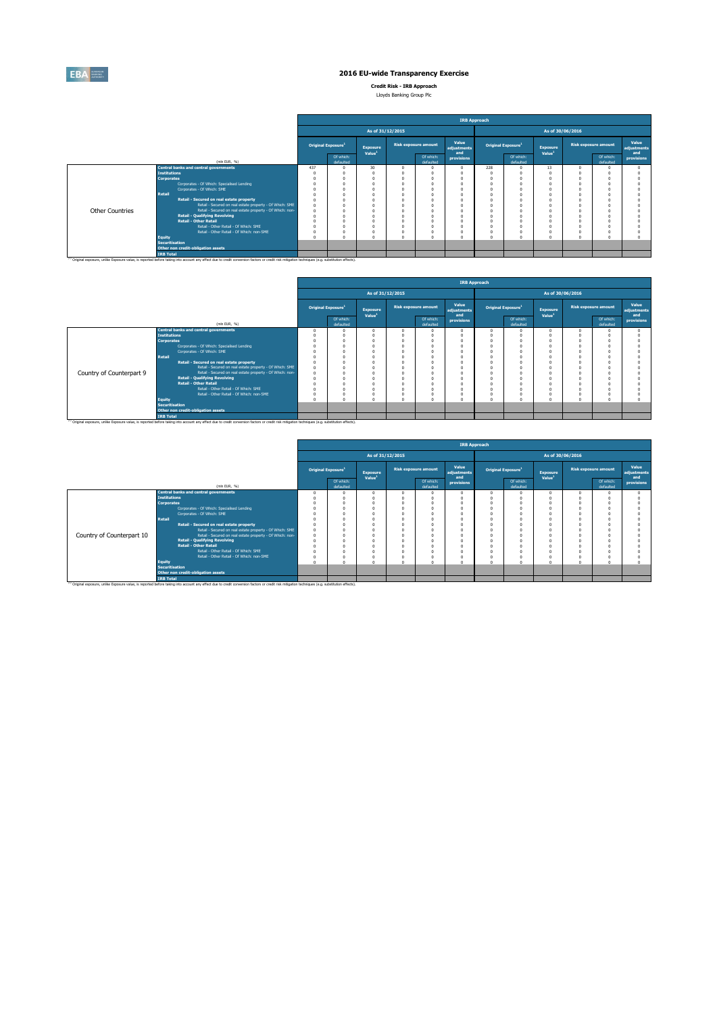

**Credit Risk - IRB Approach** Lloyds Banking Group Plc

|  | provide painting aroup inc. |  |
|--|-----------------------------|--|
|  |                             |  |
|  |                             |  |

|                 |                                                                                                                                                                                                    | <b>IRB Approach</b>            |                        |                                |                             |                        |                             |                                |                        |                                |                             |                        |                             |  |  |
|-----------------|----------------------------------------------------------------------------------------------------------------------------------------------------------------------------------------------------|--------------------------------|------------------------|--------------------------------|-----------------------------|------------------------|-----------------------------|--------------------------------|------------------------|--------------------------------|-----------------------------|------------------------|-----------------------------|--|--|
|                 |                                                                                                                                                                                                    |                                |                        |                                | As of 31/12/2015            |                        |                             | As of 30/06/2016               |                        |                                |                             |                        |                             |  |  |
|                 |                                                                                                                                                                                                    | Original Exposure <sup>1</sup> |                        | Exposure<br>Value <sup>1</sup> | <b>Risk exposure amount</b> |                        | Value<br>adjustments<br>and | Original Exposure <sup>1</sup> |                        | Exposure<br>Value <sup>1</sup> | <b>Risk exposure amount</b> |                        | Value<br>adjustments<br>and |  |  |
|                 | (min EUR, %)                                                                                                                                                                                       |                                | Of which:<br>defaulted |                                |                             | Of which:<br>defaulted | provisions                  |                                | Of which:<br>defaulted |                                |                             | Of which:<br>defaulted | provisions                  |  |  |
|                 | <b>Central banks and central governments</b>                                                                                                                                                       | 437                            | $\Omega$               | 30                             |                             |                        | $\Omega$                    | 228                            |                        | 13                             |                             |                        |                             |  |  |
|                 | <b>Institutions</b>                                                                                                                                                                                |                                |                        |                                |                             | $\Omega$               |                             |                                |                        |                                |                             |                        |                             |  |  |
|                 | <b>Corporates</b>                                                                                                                                                                                  |                                |                        |                                |                             |                        |                             |                                |                        |                                |                             |                        |                             |  |  |
|                 | Corporates - Of Which: Specialised Lending                                                                                                                                                         |                                |                        |                                |                             |                        |                             |                                |                        |                                |                             |                        |                             |  |  |
|                 | Corporates - Of Which: SME                                                                                                                                                                         |                                |                        |                                |                             |                        | $\Omega$                    |                                |                        |                                |                             |                        |                             |  |  |
|                 | Retail                                                                                                                                                                                             |                                |                        |                                |                             |                        |                             |                                |                        |                                |                             |                        |                             |  |  |
|                 | Retail - Secured on real estate property                                                                                                                                                           |                                |                        |                                |                             |                        | $\theta$<br>$\Omega$        |                                |                        |                                |                             |                        |                             |  |  |
|                 | Retail - Secured on real estate property - Of Which: SME                                                                                                                                           |                                |                        |                                |                             |                        |                             |                                |                        |                                |                             |                        |                             |  |  |
| Other Countries | Retail - Secured on real estate property - Of Which: non-<br><b>Retail - Qualifying Revolving</b>                                                                                                  |                                |                        |                                |                             | $\Omega$               | $\Omega$                    |                                |                        |                                |                             |                        |                             |  |  |
|                 | <b>Retail - Other Retail</b>                                                                                                                                                                       |                                |                        |                                |                             |                        |                             |                                |                        |                                |                             |                        |                             |  |  |
|                 | Retail - Other Retail - Of Which: SME                                                                                                                                                              |                                |                        |                                |                             |                        |                             |                                |                        |                                |                             |                        |                             |  |  |
|                 | Retail - Other Retail - Of Which: non-SME                                                                                                                                                          |                                |                        |                                |                             |                        | $\theta$                    |                                |                        |                                |                             |                        |                             |  |  |
|                 | <b>Equity</b>                                                                                                                                                                                      |                                |                        |                                |                             | $\sim$                 | $\Delta$                    | ٠                              |                        |                                |                             |                        |                             |  |  |
|                 | <b>Securitisation</b><br>Other non credit-obligation assets                                                                                                                                        |                                |                        |                                |                             |                        |                             |                                |                        |                                |                             |                        |                             |  |  |
|                 | <b>IRB Total</b>                                                                                                                                                                                   |                                |                        |                                |                             |                        |                             |                                |                        |                                |                             |                        |                             |  |  |
|                 | (1) Original exposure, unlike Exposure value, is reported before taking into account any effect due to credit conversion factors or credit risk mitigation techniques (e.g. substitution effects). |                                |                        |                                |                             |                        |                             |                                |                        |                                |                             |                        |                             |  |  |

|                          |                       |                                                                                                                                                                                                               |                                |                                       |                  |                             | <b>IRB Approach</b>         |                  |                                |                                |                             |                        |                      |  |  |
|--------------------------|-----------------------|---------------------------------------------------------------------------------------------------------------------------------------------------------------------------------------------------------------|--------------------------------|---------------------------------------|------------------|-----------------------------|-----------------------------|------------------|--------------------------------|--------------------------------|-----------------------------|------------------------|----------------------|--|--|
|                          |                       |                                                                                                                                                                                                               |                                |                                       | As of 31/12/2015 |                             |                             | As of 30/06/2016 |                                |                                |                             |                        |                      |  |  |
|                          |                       |                                                                                                                                                                                                               | Original Exposure <sup>1</sup> | <b>Exposure</b><br>Value <sup>1</sup> |                  | <b>Risk exposure amount</b> | Value<br>adjustments<br>and |                  | Original Exposure <sup>1</sup> | Exposure<br>Value <sup>1</sup> | <b>Risk exposure amount</b> |                        | Value<br>adjustments |  |  |
|                          |                       | (mln EUR, %)                                                                                                                                                                                                  | Of which:<br>defaulted         |                                       |                  | Of which:<br>defaulted      | provisions                  |                  | Of which:<br>defaulted         |                                |                             | Of which:<br>defaulted | and<br>provisions    |  |  |
|                          |                       | <b>Central banks and central governments</b>                                                                                                                                                                  |                                |                                       |                  |                             |                             | $\Omega$         | $\Omega$                       |                                |                             |                        |                      |  |  |
|                          | <b>Institutions</b>   |                                                                                                                                                                                                               |                                |                                       |                  |                             |                             |                  |                                |                                |                             |                        |                      |  |  |
|                          | <b>Corporates</b>     |                                                                                                                                                                                                               |                                |                                       |                  |                             |                             |                  |                                |                                |                             |                        |                      |  |  |
|                          |                       | Corporates - Of Which: Specialised Lending                                                                                                                                                                    |                                |                                       |                  |                             |                             | $\Omega$         |                                |                                |                             |                        |                      |  |  |
|                          |                       | Corporates - Of Which: SME                                                                                                                                                                                    |                                |                                       |                  |                             |                             |                  |                                |                                |                             |                        |                      |  |  |
|                          | <b>Retail</b>         |                                                                                                                                                                                                               |                                |                                       |                  |                             |                             |                  |                                |                                |                             |                        |                      |  |  |
|                          |                       | Retail - Secured on real estate property                                                                                                                                                                      |                                |                                       |                  |                             |                             | n                |                                |                                |                             |                        |                      |  |  |
|                          |                       | Retail - Secured on real estate property - Of Which: SME                                                                                                                                                      |                                |                                       |                  |                             |                             |                  |                                |                                |                             |                        |                      |  |  |
| Country of Counterpart 9 |                       | Retail - Secured on real estate property - Of Which: non-                                                                                                                                                     |                                |                                       |                  |                             |                             |                  |                                |                                |                             |                        |                      |  |  |
|                          |                       | <b>Retail - Qualifying Revolving</b>                                                                                                                                                                          |                                |                                       |                  |                             |                             |                  |                                |                                |                             |                        |                      |  |  |
|                          |                       | <b>Retail - Other Retail</b>                                                                                                                                                                                  |                                |                                       |                  |                             |                             |                  |                                |                                |                             |                        |                      |  |  |
|                          |                       | Retail - Other Retail - Of Which: SME                                                                                                                                                                         |                                |                                       |                  |                             |                             |                  |                                |                                |                             |                        |                      |  |  |
|                          |                       | Retail - Other Retail - Of Which: non-SME                                                                                                                                                                     |                                |                                       |                  |                             |                             |                  | $\Omega$                       |                                |                             |                        |                      |  |  |
|                          | <b>Equity</b>         |                                                                                                                                                                                                               |                                |                                       |                  |                             |                             | $\Omega$         |                                |                                |                             |                        |                      |  |  |
|                          | <b>Securitisation</b> |                                                                                                                                                                                                               |                                |                                       |                  |                             |                             |                  |                                |                                |                             |                        |                      |  |  |
|                          |                       | Other non credit-obligation assets                                                                                                                                                                            |                                |                                       |                  |                             |                             |                  |                                |                                |                             |                        |                      |  |  |
|                          | <b>IRB Total</b>      |                                                                                                                                                                                                               |                                |                                       |                  |                             |                             |                  |                                |                                |                             |                        |                      |  |  |
|                          |                       | <sup>(1)</sup> Original exposure, unlike Exposure value, is reported before taking into account any effect due to credit conversion factors or credit risk mitigation techniques (e.g. substitution effects). |                                |                                       |                  |                             |                             |                  |                                |                                |                             |                        |                      |  |  |

|                           |                       |                                                                                                                                                                                                               |                                       |                                       |                             |                        | <b>IRB Approach</b>         |                                |                        |                                       |                             |                        |                             |  |  |
|---------------------------|-----------------------|---------------------------------------------------------------------------------------------------------------------------------------------------------------------------------------------------------------|---------------------------------------|---------------------------------------|-----------------------------|------------------------|-----------------------------|--------------------------------|------------------------|---------------------------------------|-----------------------------|------------------------|-----------------------------|--|--|
|                           |                       |                                                                                                                                                                                                               |                                       |                                       | As of 31/12/2015            |                        |                             | As of 30/06/2016               |                        |                                       |                             |                        |                             |  |  |
|                           |                       |                                                                                                                                                                                                               | <b>Original Exposure</b> <sup>1</sup> | <b>Exposure</b><br>Value <sup>1</sup> | <b>Risk exposure amount</b> |                        | Value<br>adjustments<br>and | Original Exposure <sup>1</sup> |                        | <b>Exposure</b><br>Value <sup>1</sup> | <b>Risk exposure amount</b> |                        | Value<br>adjustments<br>and |  |  |
|                           |                       | (min EUR, %)                                                                                                                                                                                                  | Of which:<br>defaulted                |                                       |                             | Of which:<br>defaulted | provisions                  |                                | Of which:<br>defaulted |                                       |                             | Of which:<br>defaulted | provisions                  |  |  |
|                           |                       | <b>Central banks and central governments</b>                                                                                                                                                                  |                                       |                                       |                             |                        |                             | n                              |                        |                                       |                             |                        |                             |  |  |
|                           | <b>Institutions</b>   |                                                                                                                                                                                                               |                                       |                                       |                             |                        |                             |                                |                        |                                       |                             |                        |                             |  |  |
|                           | <b>Corporates</b>     |                                                                                                                                                                                                               |                                       |                                       |                             |                        |                             |                                |                        |                                       |                             |                        |                             |  |  |
|                           |                       | Corporates - Of Which: Specialised Lending                                                                                                                                                                    |                                       |                                       |                             |                        |                             |                                |                        |                                       |                             |                        |                             |  |  |
|                           |                       | Corporates - Of Which: SME                                                                                                                                                                                    |                                       |                                       |                             |                        |                             |                                |                        |                                       |                             |                        |                             |  |  |
|                           | <b>Retail</b>         |                                                                                                                                                                                                               |                                       |                                       |                             |                        |                             |                                |                        |                                       |                             |                        |                             |  |  |
|                           |                       | Retail - Secured on real estate property                                                                                                                                                                      |                                       |                                       |                             |                        |                             |                                |                        |                                       |                             |                        |                             |  |  |
|                           |                       | Retail - Secured on real estate property - Of Which: SME                                                                                                                                                      |                                       |                                       |                             |                        |                             |                                |                        |                                       |                             |                        |                             |  |  |
| Country of Counterpart 10 |                       | Retail - Secured on real estate property - Of Which: non-                                                                                                                                                     |                                       |                                       |                             |                        |                             |                                |                        |                                       |                             |                        |                             |  |  |
|                           |                       | <b>Retail - Qualifving Revolving</b>                                                                                                                                                                          |                                       |                                       |                             |                        |                             |                                |                        |                                       |                             |                        |                             |  |  |
|                           |                       | <b>Retail - Other Retail</b>                                                                                                                                                                                  |                                       |                                       |                             |                        |                             |                                |                        |                                       |                             |                        |                             |  |  |
|                           |                       | Retail - Other Retail - Of Which: SME                                                                                                                                                                         |                                       |                                       |                             |                        | $\Omega$                    |                                |                        |                                       |                             |                        |                             |  |  |
|                           |                       | Retail - Other Retail - Of Which: non-SME                                                                                                                                                                     |                                       |                                       |                             |                        |                             | O                              |                        |                                       |                             |                        |                             |  |  |
|                           | <b>Equity</b>         |                                                                                                                                                                                                               |                                       |                                       |                             |                        | $\alpha$                    | n                              |                        |                                       |                             |                        |                             |  |  |
|                           | <b>Securitisation</b> |                                                                                                                                                                                                               |                                       |                                       |                             |                        |                             |                                |                        |                                       |                             |                        |                             |  |  |
|                           |                       | Other non credit-obligation assets                                                                                                                                                                            |                                       |                                       |                             |                        |                             |                                |                        |                                       |                             |                        |                             |  |  |
|                           | <b>IRB Total</b>      |                                                                                                                                                                                                               |                                       |                                       |                             |                        |                             |                                |                        |                                       |                             |                        |                             |  |  |
|                           |                       | <sup>(1)</sup> Original exposure, unlike Exposure value, is reported before taking into account any effect due to credit conversion factors or credit risk mitigation techniques (e.g. substitution effects). |                                       |                                       |                             |                        |                             |                                |                        |                                       |                             |                        |                             |  |  |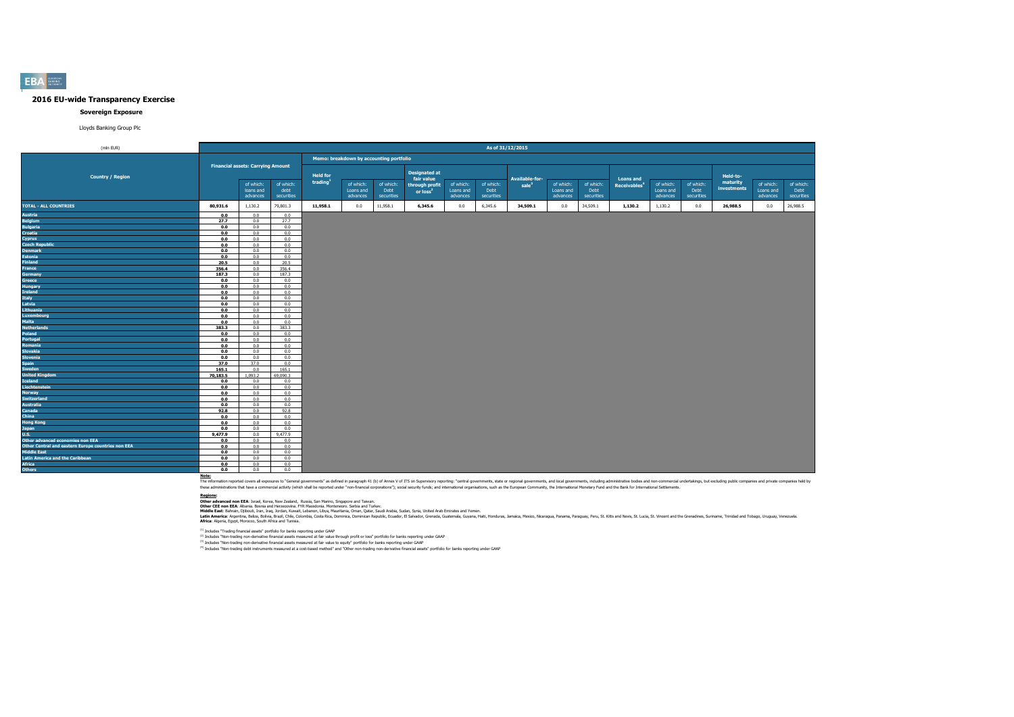#### **Sovereign Exposure**

Lloyds Banking Group Plc

| (mln EUR)                                          |          |                                          |                    |                                         |                       |                    |                              |                       | As of 31/12/2015   |                                            |                       |                    |                                              |                       |                    |                      |                       |                    |
|----------------------------------------------------|----------|------------------------------------------|--------------------|-----------------------------------------|-----------------------|--------------------|------------------------------|-----------------------|--------------------|--------------------------------------------|-----------------------|--------------------|----------------------------------------------|-----------------------|--------------------|----------------------|-----------------------|--------------------|
|                                                    |          |                                          |                    | Memo: breakdown by accounting portfolio |                       |                    |                              |                       |                    |                                            |                       |                    |                                              |                       |                    |                      |                       |                    |
|                                                    |          | <b>Financial assets: Carrying Amount</b> |                    |                                         |                       |                    | <b>Designated at</b>         |                       |                    |                                            |                       |                    |                                              |                       |                    |                      |                       |                    |
| <b>Country / Region</b>                            |          | of which:                                | of which:          | <b>Held for</b><br>trading              | of which:             | of which:          | fair value<br>through profit | of which:             | of which:          | <b>Available-for-</b><br>sale <sup>3</sup> | of which:             | of which:          | <b>Loans and</b><br>Receivables <sup>4</sup> | of which:             | of which:          | Held-to-<br>maturity | of which:             | of which:          |
|                                                    |          | loans and<br>advances                    | debt<br>securities |                                         | Loans and<br>advances | Debt<br>securities | or $loss2$                   | Loans and<br>advances | Debt<br>securities |                                            | Loans and<br>advances | Debt<br>securities |                                              | Loans and<br>advances | Debt<br>securities | investments          | Loans and<br>advances | Debt<br>securities |
| <b>TOTAL - ALL COUNTRIES</b>                       | 80,931.6 | 1,130.2                                  | 79,801.3           | 11,958.1                                | 0.0                   | 11,958.1           | 6,345.6                      | 0.0                   | 6,345.6            | 34,509.1                                   | 0.0                   | 34,509.1           | 1,130.2                                      | 1,130.2               | 0.0                | 26,988.5             | 0.0                   | 26,988.5           |
| Austria                                            | 0.0      | 0.0                                      | 0.0                |                                         |                       |                    |                              |                       |                    |                                            |                       |                    |                                              |                       |                    |                      |                       |                    |
| <b>Belgium</b>                                     | 27.7     | 0.0                                      | 27.7               |                                         |                       |                    |                              |                       |                    |                                            |                       |                    |                                              |                       |                    |                      |                       |                    |
| <b>Bulgaria</b>                                    | 0.0      | 0.0                                      | 0.0                |                                         |                       |                    |                              |                       |                    |                                            |                       |                    |                                              |                       |                    |                      |                       |                    |
| Croatia                                            | 0.0      | 0.0                                      | 0.0                |                                         |                       |                    |                              |                       |                    |                                            |                       |                    |                                              |                       |                    |                      |                       |                    |
| Cyprus                                             | 0.0      | 0.0                                      | 0.0                |                                         |                       |                    |                              |                       |                    |                                            |                       |                    |                                              |                       |                    |                      |                       |                    |
| <b>Czech Republic</b>                              | 0.0      | 0.0                                      | 0.0                |                                         |                       |                    |                              |                       |                    |                                            |                       |                    |                                              |                       |                    |                      |                       |                    |
| <b>Denmark</b>                                     | 0.0      | 0.0                                      | 0.0                |                                         |                       |                    |                              |                       |                    |                                            |                       |                    |                                              |                       |                    |                      |                       |                    |
| <b>Estonia</b>                                     | 0.0      | $0.0 -$                                  | 0.0                |                                         |                       |                    |                              |                       |                    |                                            |                       |                    |                                              |                       |                    |                      |                       |                    |
| Finland                                            | 20.5     | 0.0                                      | 20.5               |                                         |                       |                    |                              |                       |                    |                                            |                       |                    |                                              |                       |                    |                      |                       |                    |
| France                                             | 356.4    | 0.0                                      | 356.4              |                                         |                       |                    |                              |                       |                    |                                            |                       |                    |                                              |                       |                    |                      |                       |                    |
| Germany                                            | 187.3    | 0.0                                      | 187.3              |                                         |                       |                    |                              |                       |                    |                                            |                       |                    |                                              |                       |                    |                      |                       |                    |
| Greece                                             | 0.0      | 0.0                                      | 0.0                |                                         |                       |                    |                              |                       |                    |                                            |                       |                    |                                              |                       |                    |                      |                       |                    |
| Hungary                                            | 0.0      | 0.0                                      | 0.0                |                                         |                       |                    |                              |                       |                    |                                            |                       |                    |                                              |                       |                    |                      |                       |                    |
| Ireland                                            | 0.0      | 0.0                                      | 0.0                |                                         |                       |                    |                              |                       |                    |                                            |                       |                    |                                              |                       |                    |                      |                       |                    |
| <b>Italy</b>                                       | 0.0      | 0.0                                      | 0.0                |                                         |                       |                    |                              |                       |                    |                                            |                       |                    |                                              |                       |                    |                      |                       |                    |
| Latvia                                             | 0.0      | 0.0                                      | 0.0                |                                         |                       |                    |                              |                       |                    |                                            |                       |                    |                                              |                       |                    |                      |                       |                    |
| Lithuania                                          | 0.0      | 0.0                                      | 0.0                |                                         |                       |                    |                              |                       |                    |                                            |                       |                    |                                              |                       |                    |                      |                       |                    |
| Luxembourg                                         | 0.0      | 0.0                                      | 0.0                |                                         |                       |                    |                              |                       |                    |                                            |                       |                    |                                              |                       |                    |                      |                       |                    |
| Malta                                              | 0.0      | 0.0                                      | 0.0                |                                         |                       |                    |                              |                       |                    |                                            |                       |                    |                                              |                       |                    |                      |                       |                    |
| <b>Netherlands</b>                                 | 383.3    | 0.0                                      | 383.3              |                                         |                       |                    |                              |                       |                    |                                            |                       |                    |                                              |                       |                    |                      |                       |                    |
| Poland                                             | 0.0      | 0.0                                      | 0.0                |                                         |                       |                    |                              |                       |                    |                                            |                       |                    |                                              |                       |                    |                      |                       |                    |
| Portugal                                           | 0.0      | 0.0                                      | 0.0                |                                         |                       |                    |                              |                       |                    |                                            |                       |                    |                                              |                       |                    |                      |                       |                    |
| Romania                                            | 0.0      | 0.0                                      | 0.0                |                                         |                       |                    |                              |                       |                    |                                            |                       |                    |                                              |                       |                    |                      |                       |                    |
| Slovakia                                           | 0.0      | 0.0                                      | 0.0                |                                         |                       |                    |                              |                       |                    |                                            |                       |                    |                                              |                       |                    |                      |                       |                    |
| Slovenia                                           | 0.0      | 0.0                                      | 0.0                |                                         |                       |                    |                              |                       |                    |                                            |                       |                    |                                              |                       |                    |                      |                       |                    |
| Spain                                              | 37.0     | 37.0                                     | 0.0                |                                         |                       |                    |                              |                       |                    |                                            |                       |                    |                                              |                       |                    |                      |                       |                    |
| Sweden                                             | 165.1    | 0.0                                      | 165.1              |                                         |                       |                    |                              |                       |                    |                                            |                       |                    |                                              |                       |                    |                      |                       |                    |
| <b>United Kingdom</b>                              | 70,183.5 | 1,093.2                                  | 69,090.3           |                                         |                       |                    |                              |                       |                    |                                            |                       |                    |                                              |                       |                    |                      |                       |                    |
| Iceland                                            | 0.0      | 0.0                                      | 0.0                |                                         |                       |                    |                              |                       |                    |                                            |                       |                    |                                              |                       |                    |                      |                       |                    |
| Liechtenstein                                      | 0.0      | 0.0                                      | 0.0                |                                         |                       |                    |                              |                       |                    |                                            |                       |                    |                                              |                       |                    |                      |                       |                    |
| <b>Norway</b>                                      | 0.0      | 0.0                                      | 0.0                |                                         |                       |                    |                              |                       |                    |                                            |                       |                    |                                              |                       |                    |                      |                       |                    |
| <b>Switzerland</b>                                 | 0.0      | 0.0                                      | 0.0                |                                         |                       |                    |                              |                       |                    |                                            |                       |                    |                                              |                       |                    |                      |                       |                    |
| <b>Australia</b>                                   | 0.0      | 0.0                                      | 0.0                |                                         |                       |                    |                              |                       |                    |                                            |                       |                    |                                              |                       |                    |                      |                       |                    |
| Canada                                             | 92.8     | 0.0                                      | 92.8               |                                         |                       |                    |                              |                       |                    |                                            |                       |                    |                                              |                       |                    |                      |                       |                    |
| China                                              | 0.0      | 0.0                                      | 0.0                |                                         |                       |                    |                              |                       |                    |                                            |                       |                    |                                              |                       |                    |                      |                       |                    |
| <b>Hong Kong</b>                                   | 0.0      | 0.0                                      | 0.0                |                                         |                       |                    |                              |                       |                    |                                            |                       |                    |                                              |                       |                    |                      |                       |                    |
| Japan                                              | 0.0      | 0.0                                      | 0.0                |                                         |                       |                    |                              |                       |                    |                                            |                       |                    |                                              |                       |                    |                      |                       |                    |
| U.S.                                               | 9,477.9  | 0.0                                      | 9,477.9            |                                         |                       |                    |                              |                       |                    |                                            |                       |                    |                                              |                       |                    |                      |                       |                    |
| Other advanced economies non EEA                   | 0.0      | 0.0                                      | 0.0                |                                         |                       |                    |                              |                       |                    |                                            |                       |                    |                                              |                       |                    |                      |                       |                    |
| Other Central and eastern Europe countries non EEA | 0.0      | 0.0                                      | 0.0                |                                         |                       |                    |                              |                       |                    |                                            |                       |                    |                                              |                       |                    |                      |                       |                    |
| Middle East                                        | 0.0      | $0.0 -$                                  | 0.0                |                                         |                       |                    |                              |                       |                    |                                            |                       |                    |                                              |                       |                    |                      |                       |                    |
| <b>Latin America and the Caribbean</b>             | 0.0      | 0.0                                      | 0.0                |                                         |                       |                    |                              |                       |                    |                                            |                       |                    |                                              |                       |                    |                      |                       |                    |
| <b>Africa</b>                                      | 0.0      | 0.0                                      | 0.0                |                                         |                       |                    |                              |                       |                    |                                            |                       |                    |                                              |                       |                    |                      |                       |                    |
| <b>Others</b>                                      | 0.0      | 0.0                                      | 0.0                |                                         |                       |                    |                              |                       |                    |                                            |                       |                    |                                              |                       |                    |                      |                       |                    |

Note:<br>The information reported covers all exposures to "General governments" as defined in paraggin 41 (b) of Annex V of ITS on Supervisory reporting: "central governments, state or regional governments, and both governmen

**Redions:**<br>Other afvanced non EEA: Israel, Korea, New Zealand, Russia, San Marino, Singore and Taiwan.<br>Middle East: Bahain, Dilouti, Iran, Iran, Jordan, Kuran, Libya, Mewhamenn: Semina, Oman, Suna, Suna, Suna, United Arab

(1) Includes "Trading financial assets" portfolio for banks reporting under GAAP

<sup>(2)</sup> Includes "Non-trading non-derivative financial assets measured at fair value through profit or loss" portfolio for banks reporting under GAAP<br><sup>03</sup> Includes "Non-trading non-derivative financial and and the major bank

**EBA**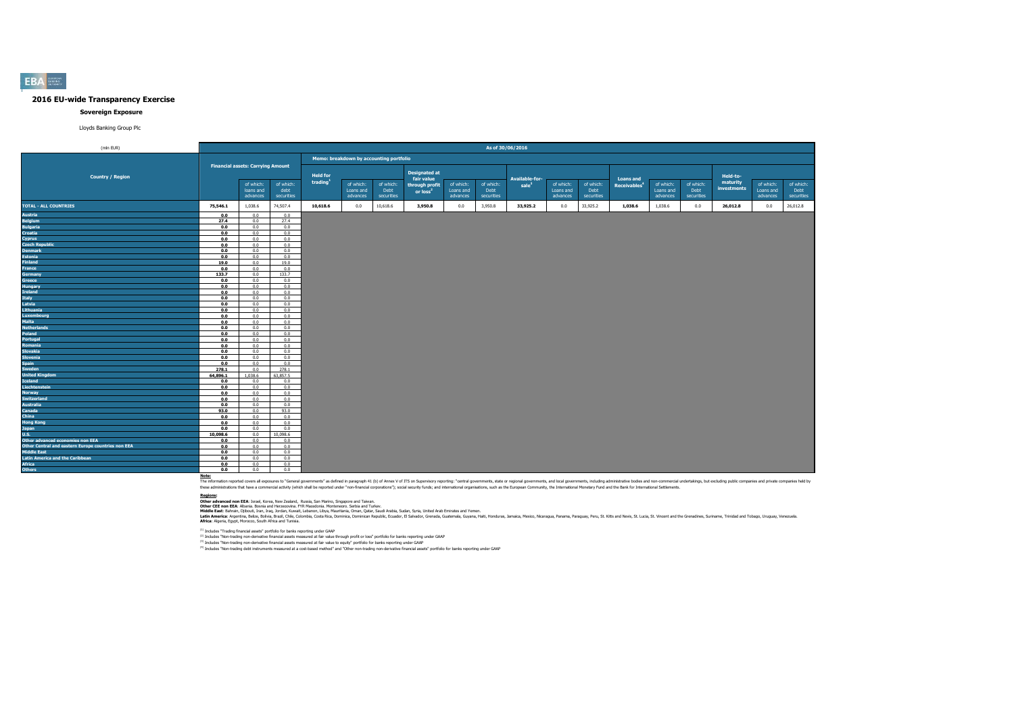#### **Sovereign Exposure**

Lloyds Banking Group Plc

| (mln EUR)                                                                |            |                                          |                    |                 |                                         |                    |                              |                       | As of 30/06/2016   |                                     |                       |                    |                                              |                       |                    |                                     |                       |                    |
|--------------------------------------------------------------------------|------------|------------------------------------------|--------------------|-----------------|-----------------------------------------|--------------------|------------------------------|-----------------------|--------------------|-------------------------------------|-----------------------|--------------------|----------------------------------------------|-----------------------|--------------------|-------------------------------------|-----------------------|--------------------|
|                                                                          |            |                                          |                    |                 | Memo: breakdown by accounting portfolio |                    |                              |                       |                    |                                     |                       |                    |                                              |                       |                    |                                     |                       |                    |
|                                                                          |            | <b>Financial assets: Carrying Amount</b> |                    | <b>Held for</b> |                                         |                    | <b>Designated at</b>         |                       |                    |                                     |                       |                    |                                              |                       |                    |                                     |                       |                    |
| <b>Country / Region</b>                                                  |            | of which:                                | of which:          | trading         | of which:                               | of which:          | fair value<br>through profit | of which:             | of which:          | Available-for-<br>sale <sup>3</sup> | of which:             | of which:          | <b>Loans and</b><br>Receivables <sup>4</sup> | of which:             | of which:          | Held-to-<br>maturity<br>investments | of which:             | of which:          |
|                                                                          |            | loans and<br>advances                    | debt<br>securities |                 | Loans and<br>advances                   | Debt<br>securities | or loss <sup>2</sup>         | Loans and<br>advances | Debt<br>securities |                                     | Loans and<br>advances | Debt<br>securities |                                              | Loans and<br>advances | Debt<br>securities |                                     | Loans and<br>advances | Debt<br>securities |
| <b>TOTAL - ALL COUNTRIES</b>                                             | 75,546.1   | 1,038.6                                  | 74,507.4           | 10,618.6        | 0.0                                     | 10,618.6           | 3,950.8                      | 0.0                   | 3,950.8            | 33,925.2                            | 0.0                   | 33,925.2           | 1,038.6                                      | 1,038.6               | 0.0                | 26,012.8                            | 0.0                   | 26,012.8           |
| Austria                                                                  | 0.0        | 0.0                                      | 0.0                |                 |                                         |                    |                              |                       |                    |                                     |                       |                    |                                              |                       |                    |                                     |                       |                    |
| <b>Belgium</b>                                                           | 27.4       | 0.0                                      | 27.4               |                 |                                         |                    |                              |                       |                    |                                     |                       |                    |                                              |                       |                    |                                     |                       |                    |
| <b>Bulgaria</b>                                                          | 0.0        | 0.0                                      | 0.0                |                 |                                         |                    |                              |                       |                    |                                     |                       |                    |                                              |                       |                    |                                     |                       |                    |
| <b>Croatia</b>                                                           | 0.0        | 0.0                                      | 0.0                |                 |                                         |                    |                              |                       |                    |                                     |                       |                    |                                              |                       |                    |                                     |                       |                    |
| Cyprus                                                                   | 0.0        | 0.0                                      | 0.0                |                 |                                         |                    |                              |                       |                    |                                     |                       |                    |                                              |                       |                    |                                     |                       |                    |
| <b>Czech Republic</b>                                                    | 0.0        | 0.0                                      | 0.0                |                 |                                         |                    |                              |                       |                    |                                     |                       |                    |                                              |                       |                    |                                     |                       |                    |
| <b>Denmark</b>                                                           | 0.0        | 0.0                                      | 0.0                |                 |                                         |                    |                              |                       |                    |                                     |                       |                    |                                              |                       |                    |                                     |                       |                    |
| <b>Estonia</b>                                                           | 0.0        | 0.0                                      | 0.0                |                 |                                         |                    |                              |                       |                    |                                     |                       |                    |                                              |                       |                    |                                     |                       |                    |
| Finland                                                                  | 19.0       | 0.0                                      | 19.0               |                 |                                         |                    |                              |                       |                    |                                     |                       |                    |                                              |                       |                    |                                     |                       |                    |
| France                                                                   | 0.0        | 0.0                                      | 0.0                |                 |                                         |                    |                              |                       |                    |                                     |                       |                    |                                              |                       |                    |                                     |                       |                    |
| <b>Germany</b>                                                           | 133.7      | 0.0                                      | 133.7              |                 |                                         |                    |                              |                       |                    |                                     |                       |                    |                                              |                       |                    |                                     |                       |                    |
| Greece                                                                   | 0.0        | 0.0                                      | 0.0                |                 |                                         |                    |                              |                       |                    |                                     |                       |                    |                                              |                       |                    |                                     |                       |                    |
| Hungary                                                                  | 0.0        | 0.0                                      | 0.0                |                 |                                         |                    |                              |                       |                    |                                     |                       |                    |                                              |                       |                    |                                     |                       |                    |
| Ireland                                                                  | 0.0        | 0.0                                      | 0.0                |                 |                                         |                    |                              |                       |                    |                                     |                       |                    |                                              |                       |                    |                                     |                       |                    |
| <b>Italy</b>                                                             | 0.0        | 0.0                                      | 0.0                |                 |                                         |                    |                              |                       |                    |                                     |                       |                    |                                              |                       |                    |                                     |                       |                    |
| Latvia                                                                   | 0.0        | 0.0                                      | 0.0                |                 |                                         |                    |                              |                       |                    |                                     |                       |                    |                                              |                       |                    |                                     |                       |                    |
| Lithuania                                                                | 0.0        | 0.0                                      | 0.0                |                 |                                         |                    |                              |                       |                    |                                     |                       |                    |                                              |                       |                    |                                     |                       |                    |
| Luxembourg                                                               | 0.0        | 0.0                                      | 0.0                |                 |                                         |                    |                              |                       |                    |                                     |                       |                    |                                              |                       |                    |                                     |                       |                    |
| Malta                                                                    | 0.0        | 0.0                                      | 0.0                |                 |                                         |                    |                              |                       |                    |                                     |                       |                    |                                              |                       |                    |                                     |                       |                    |
| <b>Netherlands</b>                                                       | 0.0        | 0.0                                      | 0.0                |                 |                                         |                    |                              |                       |                    |                                     |                       |                    |                                              |                       |                    |                                     |                       |                    |
| Poland                                                                   | 0.0        | 0.0                                      | 0.0                |                 |                                         |                    |                              |                       |                    |                                     |                       |                    |                                              |                       |                    |                                     |                       |                    |
| Portugal                                                                 | 0.0        | 0.0                                      | 0.0                |                 |                                         |                    |                              |                       |                    |                                     |                       |                    |                                              |                       |                    |                                     |                       |                    |
| Romania                                                                  | 0.0        | 0.0                                      | 0.0                |                 |                                         |                    |                              |                       |                    |                                     |                       |                    |                                              |                       |                    |                                     |                       |                    |
| <b>Slovakia</b>                                                          | 0.0        | 0.0                                      | 0.0                |                 |                                         |                    |                              |                       |                    |                                     |                       |                    |                                              |                       |                    |                                     |                       |                    |
| Slovenia                                                                 | 0.0        | 0.0                                      | 0.0                |                 |                                         |                    |                              |                       |                    |                                     |                       |                    |                                              |                       |                    |                                     |                       |                    |
| Spain                                                                    | 0.0        | 0.0                                      | 0.0                |                 |                                         |                    |                              |                       |                    |                                     |                       |                    |                                              |                       |                    |                                     |                       |                    |
| Sweden                                                                   | 278.1      | 0.0                                      | 278.1              |                 |                                         |                    |                              |                       |                    |                                     |                       |                    |                                              |                       |                    |                                     |                       |                    |
| <b>United Kingdom</b>                                                    | 64,896.1   | 1.038.6                                  | 63,857.5           |                 |                                         |                    |                              |                       |                    |                                     |                       |                    |                                              |                       |                    |                                     |                       |                    |
| Iceland                                                                  | 0.0        | 0.0                                      | 0.0                |                 |                                         |                    |                              |                       |                    |                                     |                       |                    |                                              |                       |                    |                                     |                       |                    |
| Liechtenstein                                                            | 0.0        | 0.0                                      | 0.0                |                 |                                         |                    |                              |                       |                    |                                     |                       |                    |                                              |                       |                    |                                     |                       |                    |
| Norway                                                                   | 0.0        | 0.0                                      | 0.0                |                 |                                         |                    |                              |                       |                    |                                     |                       |                    |                                              |                       |                    |                                     |                       |                    |
| <b>Switzerland</b>                                                       | 0.0        | 0.0                                      | 0.0                |                 |                                         |                    |                              |                       |                    |                                     |                       |                    |                                              |                       |                    |                                     |                       |                    |
| <b>Australia</b>                                                         | 0.0        | 0.0                                      | 0.0                |                 |                                         |                    |                              |                       |                    |                                     |                       |                    |                                              |                       |                    |                                     |                       |                    |
| Canada                                                                   | 93.0       | 0.0                                      | 93.0               |                 |                                         |                    |                              |                       |                    |                                     |                       |                    |                                              |                       |                    |                                     |                       |                    |
| China                                                                    | 0.0        | 0.0                                      | 0.0                |                 |                                         |                    |                              |                       |                    |                                     |                       |                    |                                              |                       |                    |                                     |                       |                    |
| <b>Hong Kong</b>                                                         | 0.0        | 0.0                                      | 0.0                |                 |                                         |                    |                              |                       |                    |                                     |                       |                    |                                              |                       |                    |                                     |                       |                    |
| Japan                                                                    | 0.0        | 0.0                                      | 0.0                |                 |                                         |                    |                              |                       |                    |                                     |                       |                    |                                              |                       |                    |                                     |                       |                    |
| U.S.<br>Other advanced economies non EEA                                 | 10,098.6   | 0.0                                      | 10.098.6           |                 |                                         |                    |                              |                       |                    |                                     |                       |                    |                                              |                       |                    |                                     |                       |                    |
|                                                                          | 0.0        | 0.0                                      | 0.0                |                 |                                         |                    |                              |                       |                    |                                     |                       |                    |                                              |                       |                    |                                     |                       |                    |
| Other Central and eastern Europe countries non EEA<br><b>Middle East</b> | 0.0<br>0.0 | 0.0<br>0.0                               | 0.0<br>0.0         |                 |                                         |                    |                              |                       |                    |                                     |                       |                    |                                              |                       |                    |                                     |                       |                    |
|                                                                          | 0.0        | 0.0                                      | 0.0                |                 |                                         |                    |                              |                       |                    |                                     |                       |                    |                                              |                       |                    |                                     |                       |                    |
| Latin America and the Caribbean                                          | 0.0        | 0.0                                      | 0.0                |                 |                                         |                    |                              |                       |                    |                                     |                       |                    |                                              |                       |                    |                                     |                       |                    |
| Africa                                                                   | 0.0        | 0.0                                      |                    |                 |                                         |                    |                              |                       |                    |                                     |                       |                    |                                              |                       |                    |                                     |                       |                    |
| <b>Others</b>                                                            |            |                                          | 0.0                |                 |                                         |                    |                              |                       |                    |                                     |                       |                    |                                              |                       |                    |                                     |                       |                    |

Note:<br>The information reported covers all exposures to "General governments" as defined in paraggin 41 (b) of Annex V of ITS on Supervisory reporting: "central governments, state or regional governments, and both governmen

**Redions:**<br>Other afvanced non EEA: Israel, Korea, New Zealand, Russia, San Marino, Singore and Taiwan.<br>Middle East: Bahain, Dilouti, Iran, Iran, Jordan, Kuran, Libya, Mewhamenn: Semina, Oman, Suna, Suna, Suna, United Arab

(1) Includes "Trading financial assets" portfolio for banks reporting under GAAP

<sup>(2)</sup> Includes "Non-trading non-derivative financial assets measured at fair value through profit or loss" portfolio for banks reporting under GAAP<br><sup>03</sup> Includes "Non-trading non-derivative financial and and the major bank

#### **EBA**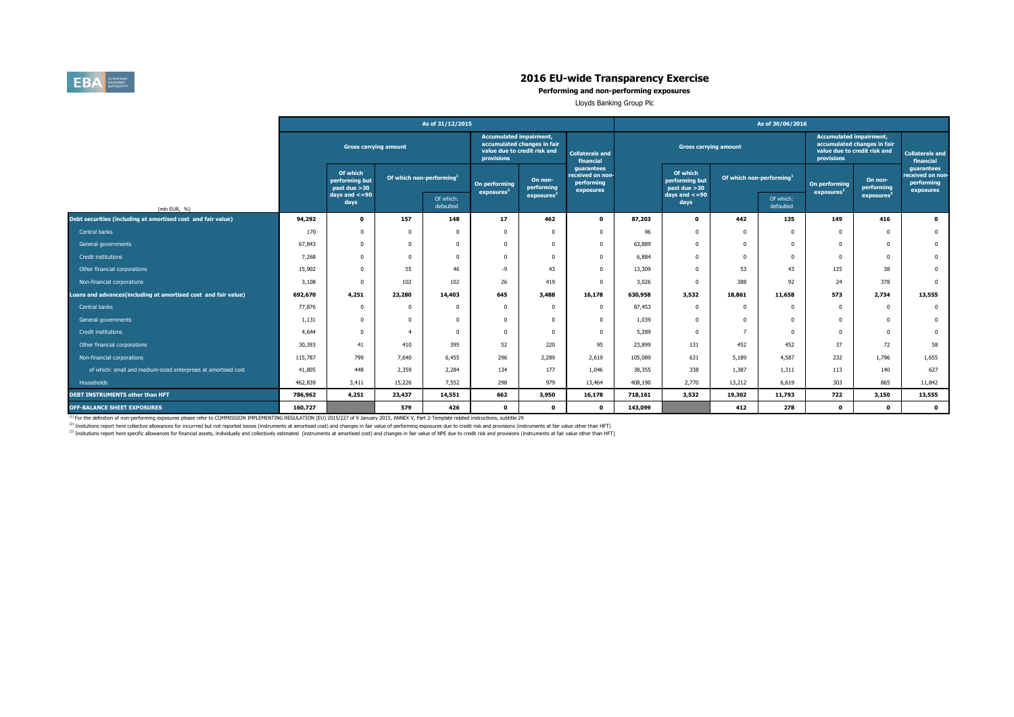

**Performing and non-performing exposures**

Lloyds Banking Group Plc

|                                                                |                              |                                            |                                      | As of 31/12/2015       |                                              |                                                             |                                                           | As of 30/06/2016 |                                            |                                      |                                                                                                             |                                         |                       |                                                           |  |  |
|----------------------------------------------------------------|------------------------------|--------------------------------------------|--------------------------------------|------------------------|----------------------------------------------|-------------------------------------------------------------|-----------------------------------------------------------|------------------|--------------------------------------------|--------------------------------------|-------------------------------------------------------------------------------------------------------------|-----------------------------------------|-----------------------|-----------------------------------------------------------|--|--|
|                                                                | <b>Gross carrying amount</b> |                                            |                                      |                        | <b>Accumulated impairment,</b><br>provisions | accumulated changes in fair<br>value due to credit risk and | <b>Collaterals and</b><br>financial                       |                  | <b>Gross carrying amount</b>               |                                      | <b>Accumulated impairment,</b><br>accumulated changes in fair<br>value due to credit risk and<br>provisions |                                         |                       | <b>Collaterals and</b><br>financial                       |  |  |
|                                                                |                              | Of which<br>performing but<br>past due >30 | Of which non-performing <sup>1</sup> |                        | On performing<br>exposures <sup>2</sup>      | On non-<br>performing                                       | guarantees<br>received on non-<br>performing<br>exposures |                  | Of which<br>performing but<br>past due >30 | Of which non-performing <sup>1</sup> |                                                                                                             | On performing<br>exposures <sup>2</sup> | On non-<br>performing | guarantees<br>received on non-<br>performing<br>exposures |  |  |
| (mln EUR, %)                                                   |                              | $days$ and $<=90$<br>days                  |                                      | Of which:<br>defaulted |                                              | exposures <sup>3</sup>                                      |                                                           |                  | $days$ and $<=90$<br>days                  |                                      | Of which:<br>defaulted                                                                                      |                                         | exposures             |                                                           |  |  |
| Debt securities (including at amortised cost and fair value)   | 94,292                       | $\mathbf 0$                                | 157                                  | 148                    | 17                                           | 462                                                         | $\bullet$                                                 | 87,203           | $\mathbf 0$                                | 442                                  | 135                                                                                                         | 149                                     | 416                   | $\bullet$                                                 |  |  |
| Central banks                                                  | 170                          | 0                                          |                                      | $\Omega$               |                                              |                                                             | $\Omega$                                                  | 96               | $\Omega$                                   |                                      | $\Omega$                                                                                                    | $\Omega$                                | $\theta$              | $\bf{0}$                                                  |  |  |
| General governments                                            | 67,843                       | 0                                          |                                      | $\Omega$               |                                              |                                                             | $\Omega$                                                  | 63,889           | $\Omega$                                   |                                      | $\Omega$                                                                                                    | $\Omega$                                | $\theta$              | $\mathbf{0}$                                              |  |  |
| Credit institutions                                            | 7,268                        | 0                                          |                                      | $\Omega$               | $\Omega$                                     |                                                             | $\Omega$                                                  | 6,884            | 0                                          | n                                    | $\Omega$                                                                                                    | $^{\circ}$                              | $\Omega$              | $\mathbf{0}$                                              |  |  |
| Other financial corporations                                   | 15,902                       | $\Omega$                                   | 55                                   | 46                     | $-9$                                         | 43                                                          | $\Omega$                                                  | 13,309           | $\Omega$                                   | 53                                   | 43                                                                                                          | 125                                     | 38                    | $\mathbf{0}$                                              |  |  |
| Non-financial corporations                                     | 3,108                        | 0                                          | 102                                  | 102                    | 26                                           | 419                                                         | $\Omega$                                                  | 3,026            | $\Omega$                                   | 388                                  | 92                                                                                                          | 24                                      | 378                   | $\mathbf{0}$                                              |  |  |
| Loans and advances(including at amortised cost and fair value) | 692,670                      | 4,251                                      | 23,280                               | 14,403                 | 645                                          | 3,488                                                       | 16,178                                                    | 630,958          | 3,532                                      | 18,861                               | 11,658                                                                                                      | 573                                     | 2,734                 | 13,555                                                    |  |  |
| Central banks                                                  | 77,876                       | $\Omega$                                   | $\Omega$                             | $\Omega$               | $\Omega$                                     | $\Omega$                                                    | $\Omega$                                                  | 87,453           | $\Omega$                                   | n                                    | $\Omega$                                                                                                    | $^{\circ}$                              | $\Omega$              | $\mathbf 0$                                               |  |  |
| General governments                                            | 1,131                        | 0                                          |                                      | $\Omega$               | $\Omega$                                     |                                                             | $\Omega$                                                  | 1,039            | $\Omega$                                   |                                      | $\Omega$                                                                                                    | $^{\circ}$                              | $\Omega$              | $\mathbf{0}$                                              |  |  |
| Credit institutions                                            | 4,644                        | 0                                          |                                      | $\Omega$               | $\Omega$                                     |                                                             | $\Omega$                                                  | 5,289            | $\Omega$                                   |                                      | $\Omega$                                                                                                    | $\Omega$                                | $\Omega$              | $\mathbf{0}$                                              |  |  |
| Other financial corporations                                   | 30,393                       | 41                                         | 410                                  | 395                    | 52                                           | 220                                                         | 95                                                        | 23,899           | 131                                        | 452                                  | 452                                                                                                         | 37                                      | 72                    | 58                                                        |  |  |
| Non-financial corporations                                     | 115,787                      | 799                                        | 7,640                                | 6,455                  | 296                                          | 2,289                                                       | 2,619                                                     | 105,089          | 631                                        | 5,189                                | 4,587                                                                                                       | 232                                     | 1,796                 | 1,655                                                     |  |  |
| of which: small and medium-sized enterprises at amortised cost | 41,805                       | 448                                        | 2,359                                | 2,284                  | 134                                          | 177                                                         | 1,046                                                     | 38,355           | 338                                        | 1,387                                | 1,311                                                                                                       | 113                                     | 140                   | 627                                                       |  |  |
| Households                                                     | 462,839                      | 3,411                                      | 15,226                               | 7,552                  | 298                                          | 979                                                         | 13,464                                                    | 408,190          | 2,770                                      | 13,212                               | 6,619                                                                                                       | 303                                     | 865                   | 11,842                                                    |  |  |
| DEBT INSTRUMENTS other than HFT                                | 786,962                      | 4,251                                      | 23,437                               | 14,551                 | 662                                          | 3,950                                                       | 16,178                                                    | 718,161          | 3,532                                      | 19,302                               | 11,793                                                                                                      | 722                                     | 3,150                 | 13,555                                                    |  |  |
| <b>OFF-BALANCE SHEET EXPOSURES</b>                             | 160,727                      |                                            | 579                                  | 426                    | $\mathbf{0}$                                 | $\mathbf{0}$                                                | $\mathbf{0}$                                              | 143,099          |                                            | 412                                  | 278                                                                                                         | $\Omega$                                | $\mathbf{0}$          | $\bullet$                                                 |  |  |

<sup>(1)</sup> For the definition of non-performing exposures please refer to COMMISSION IMPLEMENTING REGULATION (EU) 2015/227 of 9 January 2015, ANNEX V, Part 2-Template related instructions, subtitle 29

<sup>(2)</sup> Insitutions report here collective allowances for incurrred but not reported losses (instruments at amortised cost) and changes in fair value of performing exposures due to credit risk and provisions (instruments at

<sup>(3)</sup> Insitutions report here specific allowances for financial assets, individually and collectively estimated (instruments at amortised cost) and changes in fair value of NPE due to credit risk and provisions (instrument